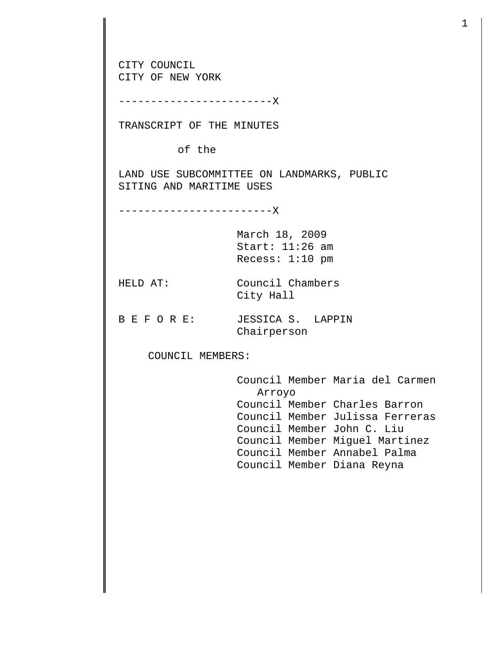CITY COUNCIL CITY OF NEW YORK ------------------------X TRANSCRIPT OF THE MINUTES of the LAND USE SUBCOMMITTEE ON LANDMARKS, PUBLIC SITING AND MARITIME USES ------------------------X March 18, 2009 Start: 11:26 am Recess: 1:10 pm HELD AT: Council Chambers City Hall B E F O R E: JESSICA S. LAPPIN Chairperson COUNCIL MEMBERS: Council Member Maria del Carmen Arroyo Council Member Charles Barron Council Member Julissa Ferreras Council Member John C. Liu Council Member Miguel Martinez Council Member Annabel Palma Council Member Diana Reyna

1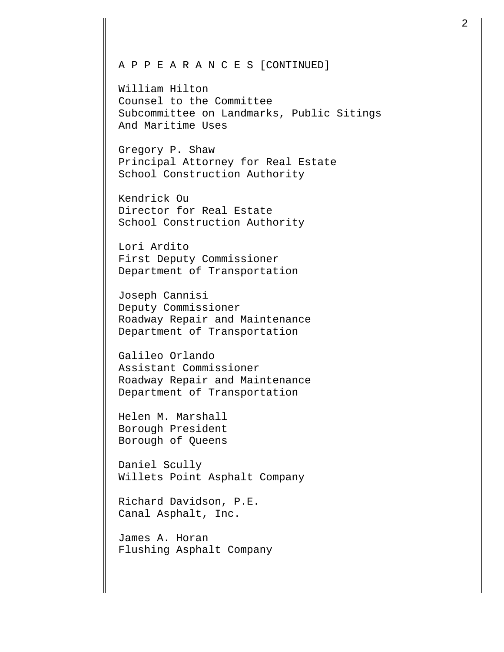## A P P E A R A N C E S [CONTINUED]

William Hilton Counsel to the Committee Subcommittee on Landmarks, Public Sitings And Maritime Uses

Gregory P. Shaw Principal Attorney for Real Estate School Construction Authority

Kendrick Ou Director for Real Estate School Construction Authority

Lori Ardito First Deputy Commissioner Department of Transportation

Joseph Cannisi Deputy Commissioner Roadway Repair and Maintenance Department of Transportation

Galileo Orlando Assistant Commissioner Roadway Repair and Maintenance Department of Transportation

Helen M. Marshall Borough President Borough of Queens

Daniel Scully Willets Point Asphalt Company

Richard Davidson, P.E. Canal Asphalt, Inc.

James A. Horan Flushing Asphalt Company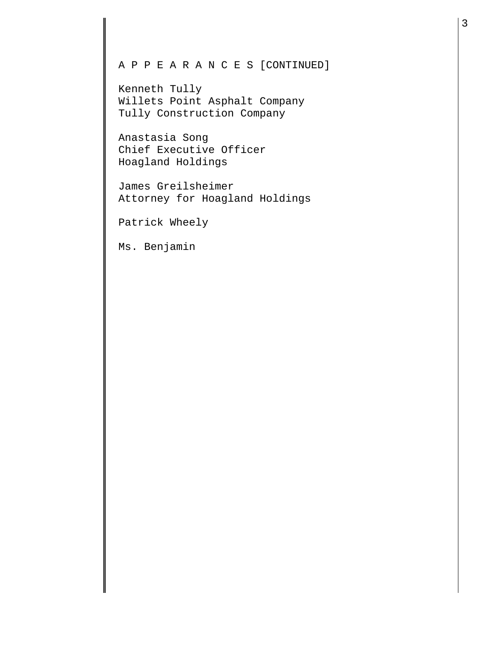## A P P E A R A N C E S [CONTINUED]

Kenneth Tully Willets Point Asphalt Company Tully Construction Company

Anastasia Song Chief Executive Officer Hoagland Holdings

James Greilsheimer Attorney for Hoagland Holdings

Patrick Wheely

Ms. Benjamin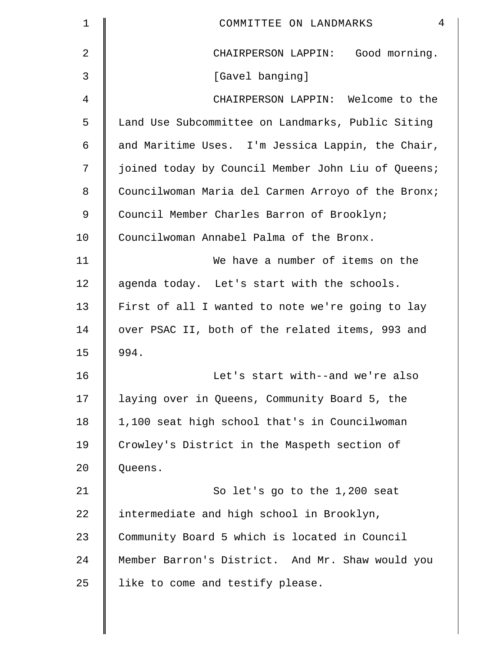| $\mathbf 1$    | $\overline{4}$<br>COMMITTEE ON LANDMARKS           |
|----------------|----------------------------------------------------|
| $\overline{a}$ | CHAIRPERSON LAPPIN: Good morning.                  |
| 3              | [Gavel banging]                                    |
| 4              | CHAIRPERSON LAPPIN: Welcome to the                 |
| 5              | Land Use Subcommittee on Landmarks, Public Siting  |
| 6              | and Maritime Uses. I'm Jessica Lappin, the Chair,  |
| 7              | joined today by Council Member John Liu of Queens; |
| 8              | Councilwoman Maria del Carmen Arroyo of the Bronx; |
| 9              | Council Member Charles Barron of Brooklyn;         |
| 10             | Councilwoman Annabel Palma of the Bronx.           |
| 11             | We have a number of items on the                   |
| 12             | agenda today. Let's start with the schools.        |
| 13             | First of all I wanted to note we're going to lay   |
| 14             | over PSAC II, both of the related items, 993 and   |
| 15             | 994.                                               |
| 16             | Let's start with--and we're also                   |
| 17             | laying over in Queens, Community Board 5, the      |
| 18             | 1,100 seat high school that's in Councilwoman      |
| 19             | Crowley's District in the Maspeth section of       |
| 20             | Queens.                                            |
| 21             | So let's go to the 1,200 seat                      |
| 22             | intermediate and high school in Brooklyn,          |
| 23             | Community Board 5 which is located in Council      |
| 24             | Member Barron's District. And Mr. Shaw would you   |
| 25             | like to come and testify please.                   |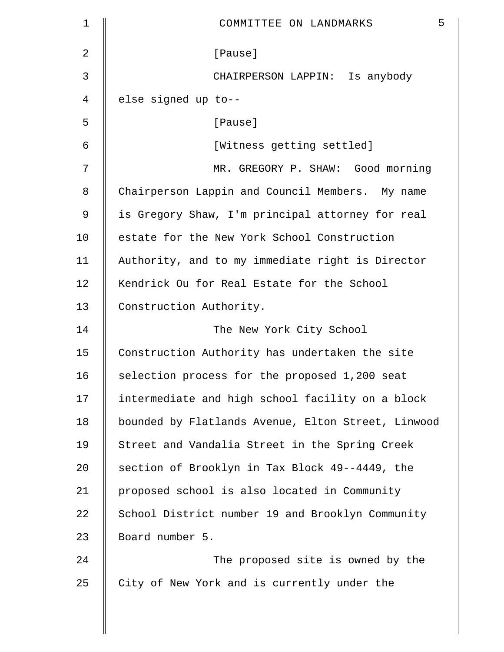| $\mathbf 1$ | 5<br>COMMITTEE ON LANDMARKS                        |
|-------------|----------------------------------------------------|
| 2           | [Pause]                                            |
| 3           | CHAIRPERSON LAPPIN: Is anybody                     |
| 4           | else signed up to--                                |
| 5           | [Pause]                                            |
| 6           | [Witness getting settled]                          |
| 7           | MR. GREGORY P. SHAW: Good morning                  |
| 8           | Chairperson Lappin and Council Members. My name    |
| 9           | is Gregory Shaw, I'm principal attorney for real   |
| 10          | estate for the New York School Construction        |
| 11          | Authority, and to my immediate right is Director   |
| 12          | Kendrick Ou for Real Estate for the School         |
| 13          | Construction Authority.                            |
| 14          | The New York City School                           |
| 15          | Construction Authority has undertaken the site     |
| 16          | selection process for the proposed 1,200 seat      |
| 17          | intermediate and high school facility on a block   |
| 18          | bounded by Flatlands Avenue, Elton Street, Linwood |
| 19          | Street and Vandalia Street in the Spring Creek     |
| 20          | section of Brooklyn in Tax Block 49--4449, the     |
| 21          | proposed school is also located in Community       |
| 22          | School District number 19 and Brooklyn Community   |
| 23          | Board number 5.                                    |
| 24          | The proposed site is owned by the                  |
| 25          | City of New York and is currently under the        |
|             |                                                    |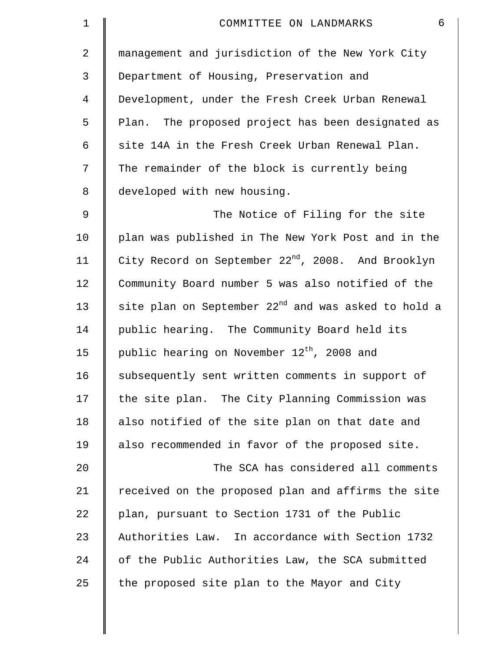| $\mathbf 1$ | 6<br>COMMITTEE ON LANDMARKS                                     |
|-------------|-----------------------------------------------------------------|
| 2           | management and jurisdiction of the New York City                |
| 3           | Department of Housing, Preservation and                         |
| 4           | Development, under the Fresh Creek Urban Renewal                |
| 5           | Plan. The proposed project has been designated as               |
| 6           | site 14A in the Fresh Creek Urban Renewal Plan.                 |
| 7           | The remainder of the block is currently being                   |
| 8           | developed with new housing.                                     |
| $\mathsf 9$ | The Notice of Filing for the site                               |
| 10          | plan was published in The New York Post and in the              |
| 11          | City Record on September 22 <sup>nd</sup> , 2008. And Brooklyn  |
| 12          | Community Board number 5 was also notified of the               |
| 13          | site plan on September 22 <sup>nd</sup> and was asked to hold a |
| 14          | public hearing. The Community Board held its                    |
| 15          | public hearing on November 12 <sup>th</sup> , 2008 and          |
| 16          | subsequently sent written comments in support of                |
| 17          | the site plan. The City Planning Commission was                 |
| 18          | also notified of the site plan on that date and                 |
| 19          | also recommended in favor of the proposed site.                 |
| 20          | The SCA has considered all comments                             |
| 21          | received on the proposed plan and affirms the site              |
| 22          | plan, pursuant to Section 1731 of the Public                    |
| 23          | Authorities Law. In accordance with Section 1732                |
| 24          | of the Public Authorities Law, the SCA submitted                |
| 25          | the proposed site plan to the Mayor and City                    |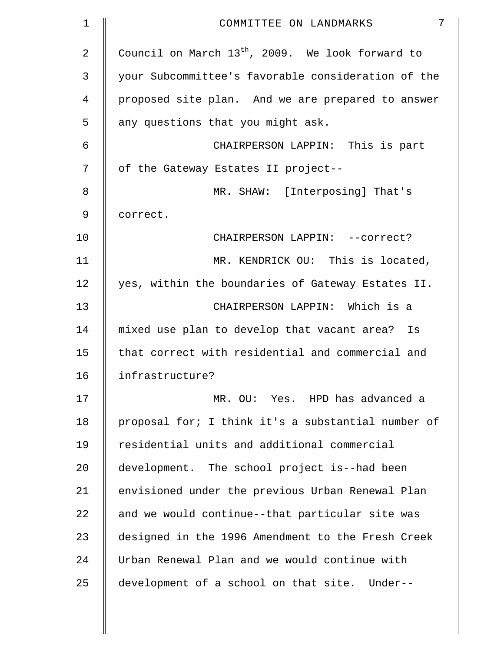| 1  | 7<br>COMMITTEE ON LANDMARKS                        |
|----|----------------------------------------------------|
| 2  | Council on March $13th$ , 2009. We look forward to |
| 3  | your Subcommittee's favorable consideration of the |
| 4  | proposed site plan. And we are prepared to answer  |
| 5  | any questions that you might ask.                  |
| 6  | CHAIRPERSON LAPPIN: This is part                   |
| 7  | of the Gateway Estates II project--                |
| 8  | MR. SHAW: [Interposing] That's                     |
| 9  | correct.                                           |
| 10 | CHAIRPERSON LAPPIN: --correct?                     |
| 11 | MR. KENDRICK OU: This is located,                  |
| 12 | yes, within the boundaries of Gateway Estates II.  |
| 13 | CHAIRPERSON LAPPIN: Which is a                     |
| 14 | mixed use plan to develop that vacant area? Is     |
| 15 | that correct with residential and commercial and   |
| 16 | infrastructure?                                    |
| 17 | MR. OU: Yes. HPD has advanced a                    |
| 18 | proposal for; I think it's a substantial number of |
| 19 | residential units and additional commercial        |
| 20 | development. The school project is--had been       |
| 21 | envisioned under the previous Urban Renewal Plan   |
| 22 | and we would continue--that particular site was    |
| 23 | designed in the 1996 Amendment to the Fresh Creek  |
| 24 | Urban Renewal Plan and we would continue with      |
| 25 | development of a school on that site. Under--      |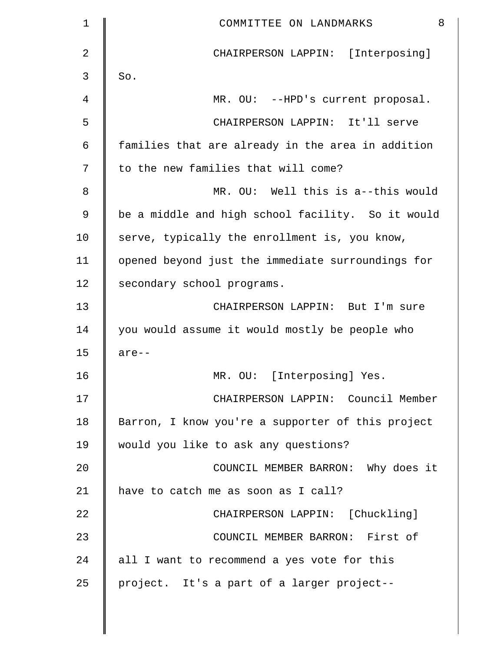| 1  | 8<br>COMMITTEE ON LANDMARKS                       |
|----|---------------------------------------------------|
| 2  | CHAIRPERSON LAPPIN: [Interposing]                 |
| 3  | So.                                               |
| 4  | MR. OU: --HPD's current proposal.                 |
| 5  | CHAIRPERSON LAPPIN: It'll serve                   |
| 6  | families that are already in the area in addition |
| 7  | to the new families that will come?               |
| 8  | MR. OU: Well this is a--this would                |
| 9  | be a middle and high school facility. So it would |
| 10 | serve, typically the enrollment is, you know,     |
| 11 | opened beyond just the immediate surroundings for |
| 12 | secondary school programs.                        |
| 13 | CHAIRPERSON LAPPIN: But I'm sure                  |
| 14 | you would assume it would mostly be people who    |
| 15 | $are--$                                           |
| 16 | MR. OU: [Interposing] Yes.                        |
| 17 | CHAIRPERSON LAPPIN: Council Member                |
| 18 | Barron, I know you're a supporter of this project |
| 19 | would you like to ask any questions?              |
| 20 | COUNCIL MEMBER BARRON: Why does it                |
| 21 | have to catch me as soon as I call?               |
| 22 | CHAIRPERSON LAPPIN: [Chuckling]                   |
| 23 | COUNCIL MEMBER BARRON: First of                   |
| 24 | all I want to recommend a yes vote for this       |
| 25 | project. It's a part of a larger project--        |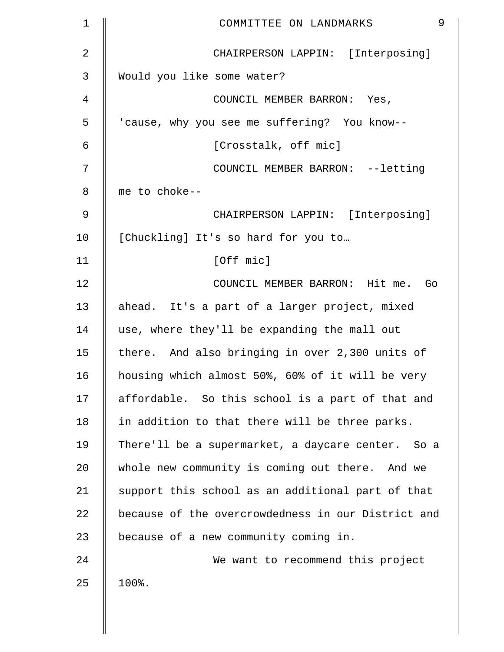| $\mathbf 1$ | 9<br>COMMITTEE ON LANDMARKS                        |
|-------------|----------------------------------------------------|
| 2           | CHAIRPERSON LAPPIN: [Interposing]                  |
| 3           | Would you like some water?                         |
| 4           | COUNCIL MEMBER BARRON: Yes,                        |
| 5           | 'cause, why you see me suffering? You know--       |
| 6           | [Crosstalk, off mic]                               |
| 7           | COUNCIL MEMBER BARRON: --letting                   |
| 8           | me to choke--                                      |
| 9           | CHAIRPERSON LAPPIN: [Interposing]                  |
| 10          | [Chuckling] It's so hard for you to                |
| 11          | [Off mic]                                          |
| 12          | COUNCIL MEMBER BARRON: Hit me. Go                  |
| 13          | ahead. It's a part of a larger project, mixed      |
| 14          | use, where they'll be expanding the mall out       |
| 15          | there. And also bringing in over 2,300 units of    |
| 16          | housing which almost 50%, 60% of it will be very   |
| 17          | affordable. So this school is a part of that and   |
| 18          | in addition to that there will be three parks.     |
| 19          | There'll be a supermarket, a daycare center. So a  |
| 20          | whole new community is coming out there. And we    |
| 21          | support this school as an additional part of that  |
| 22          | because of the overcrowdedness in our District and |
| 23          | because of a new community coming in.              |
| 24          | We want to recommend this project                  |
| 25          | 100%.                                              |
|             |                                                    |
|             |                                                    |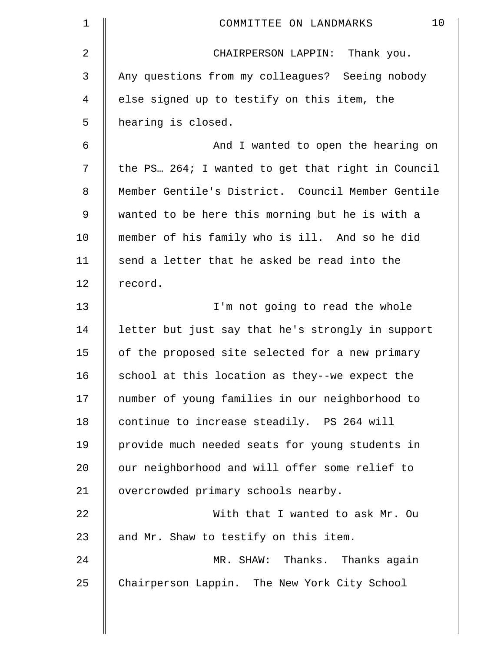| $\mathbf 1$    | 10<br>COMMITTEE ON LANDMARKS                      |
|----------------|---------------------------------------------------|
| $\overline{2}$ | CHAIRPERSON LAPPIN: Thank you.                    |
| 3              | Any questions from my colleagues? Seeing nobody   |
| 4              | else signed up to testify on this item, the       |
| 5              | hearing is closed.                                |
| 6              | And I wanted to open the hearing on               |
| 7              | the PS 264; I wanted to get that right in Council |
| $\,8\,$        | Member Gentile's District. Council Member Gentile |
| 9              | wanted to be here this morning but he is with a   |
| 10             | member of his family who is ill. And so he did    |
| 11             | send a letter that he asked be read into the      |
| 12             | record.                                           |
| 13             | I'm not going to read the whole                   |
| 14             | letter but just say that he's strongly in support |
| 15             | of the proposed site selected for a new primary   |
| 16             | school at this location as they--we expect the    |
| 17             | number of young families in our neighborhood to   |
| 18             | continue to increase steadily. PS 264 will        |
| 19             | provide much needed seats for young students in   |
| 20             | our neighborhood and will offer some relief to    |
| 21             | overcrowded primary schools nearby.               |
| 22             | With that I wanted to ask Mr. Ou                  |
| 23             | and Mr. Shaw to testify on this item.             |
| 24             | MR. SHAW: Thanks. Thanks again                    |
| 25             | Chairperson Lappin. The New York City School      |
|                |                                                   |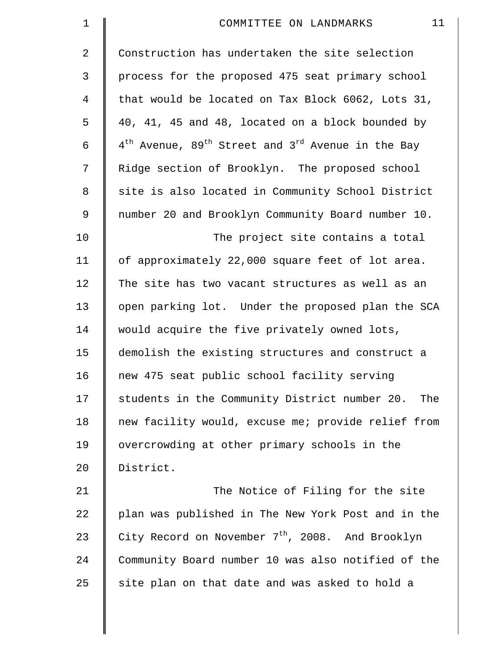| $\mathbf 1$    | 11<br>COMMITTEE ON LANDMARKS                                                          |
|----------------|---------------------------------------------------------------------------------------|
| $\overline{2}$ | Construction has undertaken the site selection                                        |
| 3              | process for the proposed 475 seat primary school                                      |
| 4              | that would be located on Tax Block 6062, Lots 31,                                     |
| 5              | 40, 41, 45 and 48, located on a block bounded by                                      |
| 6              | $4^{\text{th}}$ Avenue, 89 <sup>th</sup> Street and 3 <sup>rd</sup> Avenue in the Bay |
| 7              | Ridge section of Brooklyn. The proposed school                                        |
| 8              | site is also located in Community School District                                     |
| $\mathsf 9$    | number 20 and Brooklyn Community Board number 10.                                     |
| 10             | The project site contains a total                                                     |
| 11             | of approximately 22,000 square feet of lot area.                                      |
| 12             | The site has two vacant structures as well as an                                      |
| 13             | open parking lot. Under the proposed plan the SCA                                     |
| 14             | would acquire the five privately owned lots,                                          |
| 15             | demolish the existing structures and construct a                                      |
| 16             | new 475 seat public school facility serving                                           |
| 17             | students in the Community District number 20.<br>The                                  |
| 18             | new facility would, excuse me; provide relief from                                    |
| 19             | overcrowding at other primary schools in the                                          |
| 20             | District.                                                                             |
| 21             | The Notice of Filing for the site                                                     |
| 22             | plan was published in The New York Post and in the                                    |
| 23             | City Record on November 7 <sup>th</sup> , 2008. And Brooklyn                          |
| 24             | Community Board number 10 was also notified of the                                    |
| 25             | site plan on that date and was asked to hold a                                        |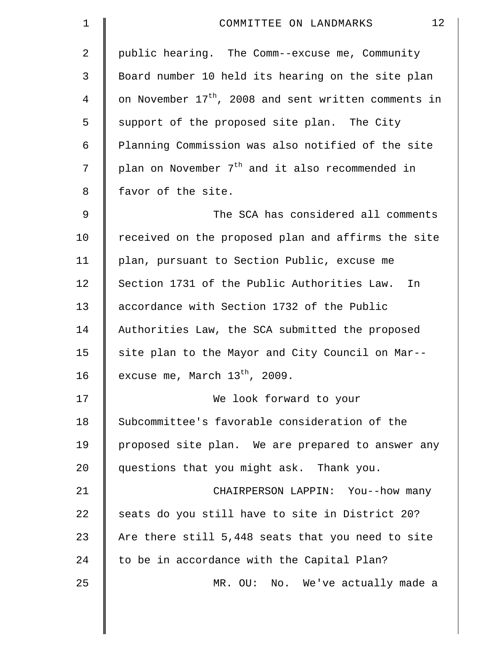| 1           | 12<br>COMMITTEE ON LANDMARKS                                     |
|-------------|------------------------------------------------------------------|
| 2           | public hearing. The Comm--excuse me, Community                   |
| 3           | Board number 10 held its hearing on the site plan                |
| 4           | on November 17 <sup>th</sup> , 2008 and sent written comments in |
| 5           | support of the proposed site plan. The City                      |
| 6           | Planning Commission was also notified of the site                |
| 7           | plan on November 7 <sup>th</sup> and it also recommended in      |
| 8           | favor of the site.                                               |
| $\mathsf 9$ | The SCA has considered all comments                              |
| 10          | received on the proposed plan and affirms the site               |
| 11          | plan, pursuant to Section Public, excuse me                      |
| 12          | Section 1731 of the Public Authorities Law.<br>In                |
| 13          | accordance with Section 1732 of the Public                       |
| 14          | Authorities Law, the SCA submitted the proposed                  |
| 15          | site plan to the Mayor and City Council on Mar--                 |
| 16          | excuse me, March $13^{th}$ , 2009.                               |
| 17          | We look forward to your                                          |
| 18          | Subcommittee's favorable consideration of the                    |
| 19          | proposed site plan. We are prepared to answer any                |
| 20          | questions that you might ask. Thank you.                         |
| 21          | CHAIRPERSON LAPPIN: You--how many                                |
| 22          | seats do you still have to site in District 20?                  |
| 23          | Are there still 5,448 seats that you need to site                |
| 24          | to be in accordance with the Capital Plan?                       |
| 25          | MR. OU: No. We've actually made a                                |
|             |                                                                  |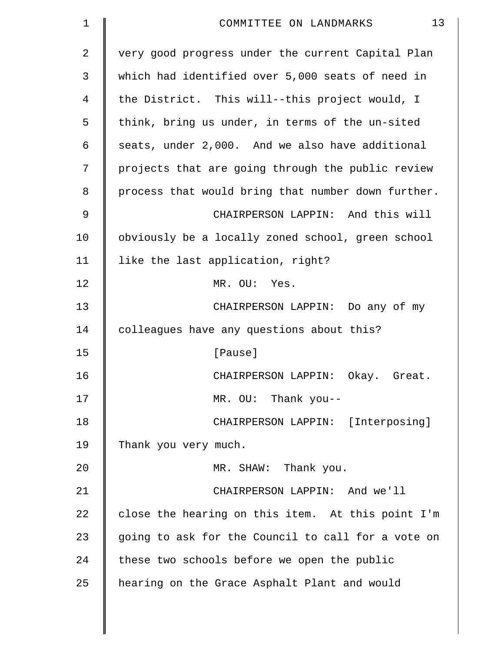| $\mathbf 1$ | 13<br>COMMITTEE ON LANDMARKS                       |
|-------------|----------------------------------------------------|
| 2           | very good progress under the current Capital Plan  |
| 3           | which had identified over 5,000 seats of need in   |
| 4           | the District. This will--this project would, I     |
| 5           | think, bring us under, in terms of the un-sited    |
| 6           | seats, under 2,000. And we also have additional    |
| 7           | projects that are going through the public review  |
| 8           | process that would bring that number down further. |
| 9           | CHAIRPERSON LAPPIN: And this will                  |
| 10          | obviously be a locally zoned school, green school  |
| 11          | like the last application, right?                  |
| 12          | MR. OU: Yes.                                       |
| 13          | CHAIRPERSON LAPPIN: Do any of my                   |
| 14          | colleagues have any questions about this?          |
| 15          | [Pause]                                            |
| 16          | CHAIRPERSON LAPPIN: Okay. Great.                   |
| 17          | MR. OU: Thank you--                                |
| 18          | CHAIRPERSON LAPPIN: [Interposing]                  |
| 19          | Thank you very much.                               |
| 20          | MR. SHAW: Thank you.                               |
| 21          | CHAIRPERSON LAPPIN: And we'll                      |
| 22          | close the hearing on this item. At this point I'm  |
| 23          | going to ask for the Council to call for a vote on |
| 24          | these two schools before we open the public        |
| 25          | hearing on the Grace Asphalt Plant and would       |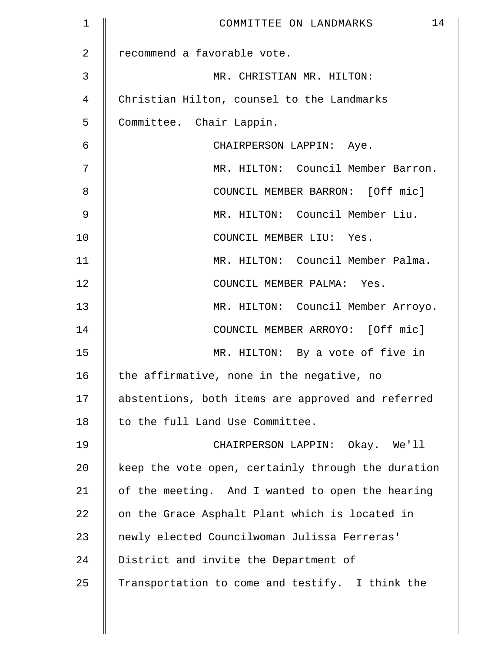| $\mathbf 1$   | 14<br>COMMITTEE ON LANDMARKS                       |
|---------------|----------------------------------------------------|
| 2             | recommend a favorable vote.                        |
| 3             | MR. CHRISTIAN MR. HILTON:                          |
| 4             | Christian Hilton, counsel to the Landmarks         |
| 5             | Committee. Chair Lappin.                           |
| 6             | CHAIRPERSON LAPPIN: Aye.                           |
| 7             | MR. HILTON: Council Member Barron.                 |
| 8             | COUNCIL MEMBER BARRON: [Off mic]                   |
| $\mathcal{G}$ | MR. HILTON: Council Member Liu.                    |
| 10            | COUNCIL MEMBER LIU: Yes.                           |
| 11            | MR. HILTON: Council Member Palma.                  |
| 12            | COUNCIL MEMBER PALMA: Yes.                         |
| 13            | MR. HILTON: Council Member Arroyo.                 |
| 14            | COUNCIL MEMBER ARROYO: [Off mic]                   |
| 15            | MR. HILTON: By a vote of five in                   |
| 16            | the affirmative, none in the negative, no          |
| 17            | abstentions, both items are approved and referred  |
| 18            | to the full Land Use Committee.                    |
| 19            | CHAIRPERSON LAPPIN: Okay. We'll                    |
| 20            | keep the vote open, certainly through the duration |
| 21            | of the meeting. And I wanted to open the hearing   |
| 22            | on the Grace Asphalt Plant which is located in     |
| 23            | newly elected Councilwoman Julissa Ferreras'       |
| 24            | District and invite the Department of              |
| 25            | Transportation to come and testify. I think the    |
|               |                                                    |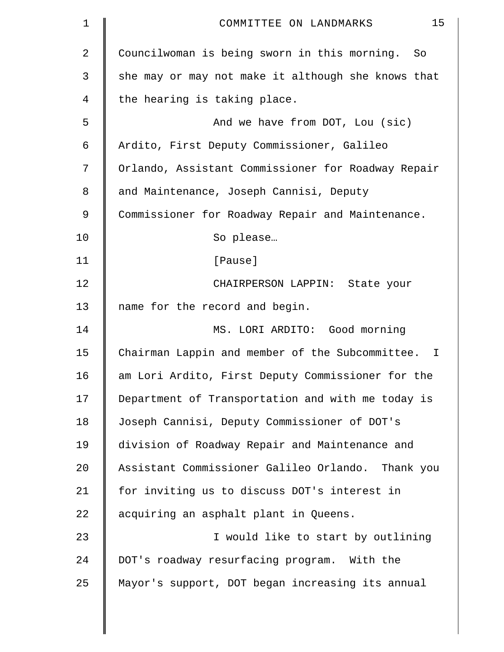| 1  | 15<br>COMMITTEE ON LANDMARKS                       |
|----|----------------------------------------------------|
| 2  | Councilwoman is being sworn in this morning. So    |
| 3  | she may or may not make it although she knows that |
| 4  | the hearing is taking place.                       |
| 5  | And we have from DOT, Lou (sic)                    |
| 6  | Ardito, First Deputy Commissioner, Galileo         |
| 7  | Orlando, Assistant Commissioner for Roadway Repair |
| 8  | and Maintenance, Joseph Cannisi, Deputy            |
| 9  | Commissioner for Roadway Repair and Maintenance.   |
| 10 | So please                                          |
| 11 | [Pause]                                            |
| 12 | CHAIRPERSON LAPPIN: State your                     |
| 13 | name for the record and begin.                     |
| 14 | MS. LORI ARDITO: Good morning                      |
| 15 | Chairman Lappin and member of the Subcommittee. I  |
| 16 | am Lori Ardito, First Deputy Commissioner for the  |
| 17 | Department of Transportation and with me today is  |
| 18 | Joseph Cannisi, Deputy Commissioner of DOT's       |
| 19 | division of Roadway Repair and Maintenance and     |
| 20 | Assistant Commissioner Galileo Orlando. Thank you  |
| 21 | for inviting us to discuss DOT's interest in       |
| 22 | acquiring an asphalt plant in Queens.              |
| 23 | I would like to start by outlining                 |
| 24 | DOT's roadway resurfacing program. With the        |
| 25 | Mayor's support, DOT began increasing its annual   |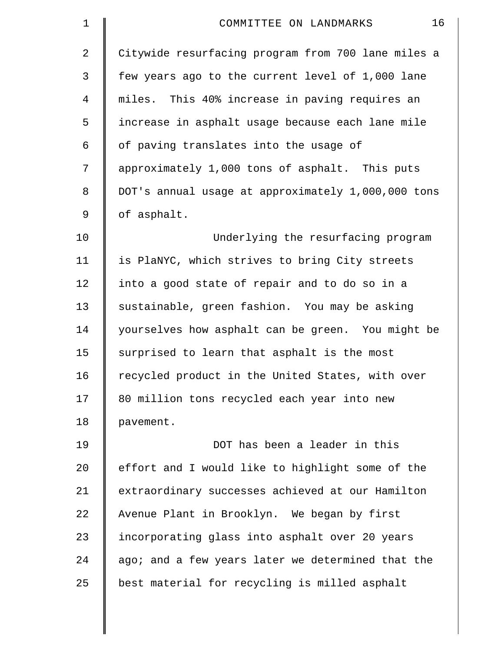| $\mathbf 1$    | 16<br>COMMITTEE ON LANDMARKS                       |
|----------------|----------------------------------------------------|
| 2              | Citywide resurfacing program from 700 lane miles a |
| 3              | few years ago to the current level of 1,000 lane   |
| $\overline{4}$ | miles. This 40% increase in paving requires an     |
| 5              | increase in asphalt usage because each lane mile   |
| 6              | of paving translates into the usage of             |
| 7              | approximately 1,000 tons of asphalt. This puts     |
| 8              | DOT's annual usage at approximately 1,000,000 tons |
| 9              | of asphalt.                                        |
| 10             | Underlying the resurfacing program                 |
| 11             | is PlaNYC, which strives to bring City streets     |
| 12             | into a good state of repair and to do so in a      |
| 13             | sustainable, green fashion. You may be asking      |
| 14             | yourselves how asphalt can be green. You might be  |
| 15             | surprised to learn that asphalt is the most        |
| 16             | recycled product in the United States, with over   |
| 17             | 80 million tons recycled each year into new        |
| 18             | pavement.                                          |
| 19             | DOT has been a leader in this                      |
| 20             | effort and I would like to highlight some of the   |
| 21             | extraordinary successes achieved at our Hamilton   |
| 22             | Avenue Plant in Brooklyn. We began by first        |
| 23             | incorporating glass into asphalt over 20 years     |
| 24             | ago; and a few years later we determined that the  |
| 25             | best material for recycling is milled asphalt      |
|                |                                                    |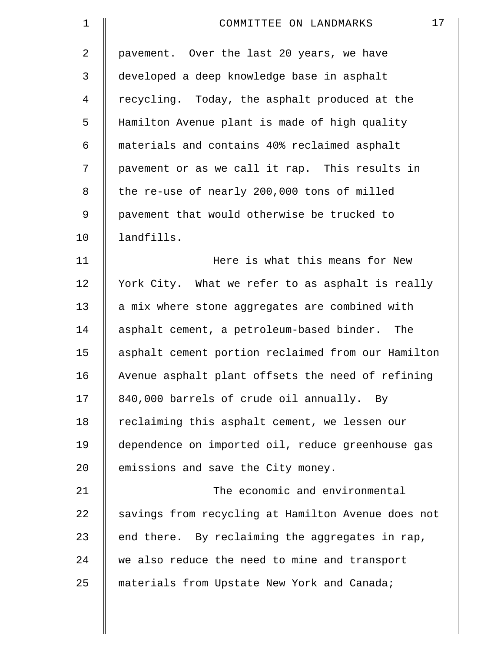| $\mathbf 1$    | 17<br>COMMITTEE ON LANDMARKS                       |
|----------------|----------------------------------------------------|
| $\overline{2}$ | pavement. Over the last 20 years, we have          |
| 3              | developed a deep knowledge base in asphalt         |
| 4              | recycling. Today, the asphalt produced at the      |
| 5              | Hamilton Avenue plant is made of high quality      |
| 6              | materials and contains 40% reclaimed asphalt       |
| 7              | pavement or as we call it rap. This results in     |
| $\,8\,$        | the re-use of nearly 200,000 tons of milled        |
| $\mathsf 9$    | pavement that would otherwise be trucked to        |
| 10             | landfills.                                         |
| 11             | Here is what this means for New                    |
| 12             | York City. What we refer to as asphalt is really   |
| 13             | a mix where stone aggregates are combined with     |
| 14             | asphalt cement, a petroleum-based binder. The      |
| 15             | asphalt cement portion reclaimed from our Hamilton |
| 16             | Avenue asphalt plant offsets the need of refining  |
| 17             | 840,000 barrels of crude oil annually. By          |
| 18             | reclaiming this asphalt cement, we lessen our      |
| 19             | dependence on imported oil, reduce greenhouse gas  |
| 20             | emissions and save the City money.                 |
| 21             | The economic and environmental                     |
| 22             | savings from recycling at Hamilton Avenue does not |
| 23             | end there. By reclaiming the aggregates in rap,    |
| 24             | we also reduce the need to mine and transport      |
| 25             | materials from Upstate New York and Canada;        |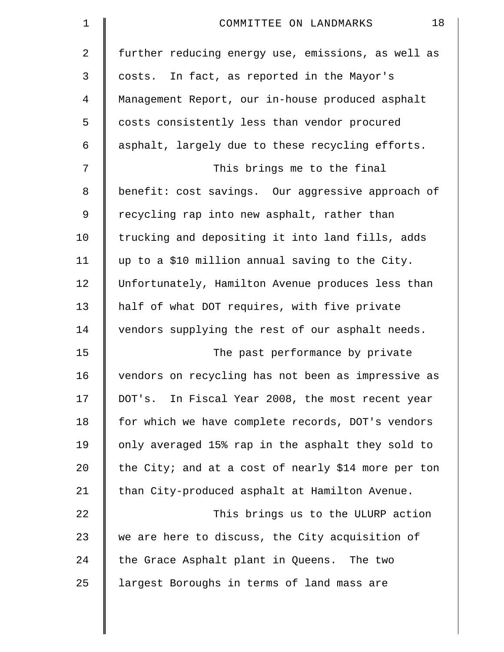| $\mathbf 1$ | 18<br>COMMITTEE ON LANDMARKS                        |
|-------------|-----------------------------------------------------|
| 2           | further reducing energy use, emissions, as well as  |
| 3           | costs. In fact, as reported in the Mayor's          |
| 4           | Management Report, our in-house produced asphalt    |
| 5           | costs consistently less than vendor procured        |
| 6           | asphalt, largely due to these recycling efforts.    |
| 7           | This brings me to the final                         |
| 8           | benefit: cost savings. Our aggressive approach of   |
| 9           | recycling rap into new asphalt, rather than         |
| 10          | trucking and depositing it into land fills, adds    |
| 11          | up to a \$10 million annual saving to the City.     |
| 12          | Unfortunately, Hamilton Avenue produces less than   |
| 13          | half of what DOT requires, with five private        |
| 14          | vendors supplying the rest of our asphalt needs.    |
| 15          | The past performance by private                     |
| 16          | vendors on recycling has not been as impressive as  |
| 17          | DOT's. In Fiscal Year 2008, the most recent year    |
| 18          | for which we have complete records, DOT's vendors   |
| 19          | only averaged 15% rap in the asphalt they sold to   |
| 20          | the City; and at a cost of nearly \$14 more per ton |
| 21          | than City-produced asphalt at Hamilton Avenue.      |
| 22          | This brings us to the ULURP action                  |
| 23          | we are here to discuss, the City acquisition of     |
| 24          | the Grace Asphalt plant in Queens. The two          |
| 25          | largest Boroughs in terms of land mass are          |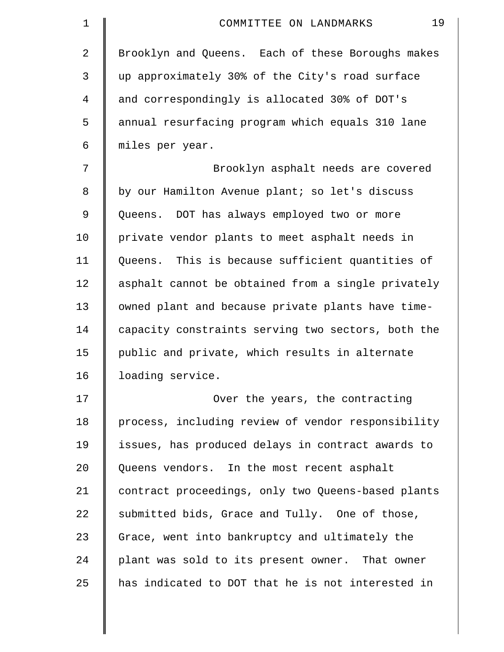| $\mathbf 1$    | 19<br>COMMITTEE ON LANDMARKS                       |
|----------------|----------------------------------------------------|
| $\overline{2}$ | Brooklyn and Queens. Each of these Boroughs makes  |
| 3              | up approximately 30% of the City's road surface    |
| 4              | and correspondingly is allocated 30% of DOT's      |
| 5              | annual resurfacing program which equals 310 lane   |
| 6              | miles per year.                                    |
| 7              | Brooklyn asphalt needs are covered                 |
| 8              | by our Hamilton Avenue plant; so let's discuss     |
| 9              | Queens. DOT has always employed two or more        |
| 10             | private vendor plants to meet asphalt needs in     |
| 11             | Queens. This is because sufficient quantities of   |
| 12             | asphalt cannot be obtained from a single privately |
| 13             | owned plant and because private plants have time-  |
| 14             | capacity constraints serving two sectors, both the |
| 15             | public and private, which results in alternate     |
| 16             | loading service.                                   |
| 17             | Over the years, the contracting                    |
| 18             | process, including review of vendor responsibility |
| 19             | issues, has produced delays in contract awards to  |
| 20             | Queens vendors. In the most recent asphalt         |
| 21             | contract proceedings, only two Queens-based plants |
| 22             | submitted bids, Grace and Tully. One of those,     |
| 23             | Grace, went into bankruptcy and ultimately the     |
| 24             | plant was sold to its present owner. That owner    |
| 25             | has indicated to DOT that he is not interested in  |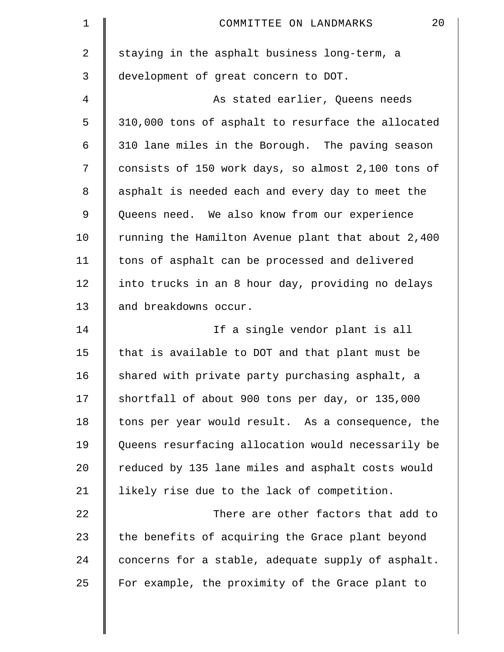| $\mathbf 1$    | 20<br>COMMITTEE ON LANDMARKS                       |
|----------------|----------------------------------------------------|
| $\overline{2}$ | staying in the asphalt business long-term, a       |
| 3              | development of great concern to DOT.               |
| 4              | As stated earlier, Queens needs                    |
| 5              | 310,000 tons of asphalt to resurface the allocated |
| 6              | 310 lane miles in the Borough. The paving season   |
| 7              | consists of 150 work days, so almost 2,100 tons of |
| 8              | asphalt is needed each and every day to meet the   |
| 9              | Queens need. We also know from our experience      |
| 10             | running the Hamilton Avenue plant that about 2,400 |
| 11             | tons of asphalt can be processed and delivered     |
| 12             | into trucks in an 8 hour day, providing no delays  |
| 13             | and breakdowns occur.                              |
| 14             | If a single vendor plant is all                    |
| 15             | that is available to DOT and that plant must be    |
| 16             | shared with private party purchasing asphalt, a    |
| 17             | shortfall of about 900 tons per day, or 135,000    |
| 18             | tons per year would result. As a consequence, the  |
| 19             | Queens resurfacing allocation would necessarily be |
| 20             | reduced by 135 lane miles and asphalt costs would  |
| 21             | likely rise due to the lack of competition.        |
| 22             | There are other factors that add to                |
| 23             | the benefits of acquiring the Grace plant beyond   |
| 24             | concerns for a stable, adequate supply of asphalt. |
| 25             | For example, the proximity of the Grace plant to   |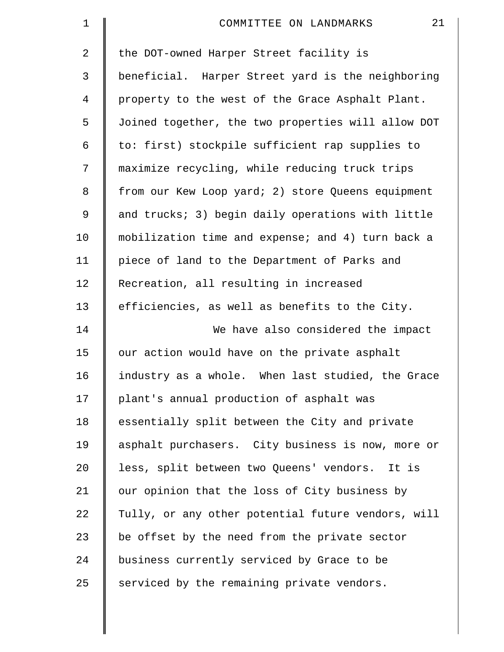| $\mathbf 1$     | 21<br>COMMITTEE ON LANDMARKS                       |
|-----------------|----------------------------------------------------|
| $\overline{2}$  | the DOT-owned Harper Street facility is            |
| 3               | beneficial. Harper Street yard is the neighboring  |
| $\overline{4}$  | property to the west of the Grace Asphalt Plant.   |
| 5               | Joined together, the two properties will allow DOT |
| 6               | to: first) stockpile sufficient rap supplies to    |
| 7               | maximize recycling, while reducing truck trips     |
| 8               | from our Kew Loop yard; 2) store Queens equipment  |
| 9               | and trucks; 3) begin daily operations with little  |
| 10              | mobilization time and expense; and 4) turn back a  |
| 11              | piece of land to the Department of Parks and       |
| 12              | Recreation, all resulting in increased             |
| 13              | efficiencies, as well as benefits to the City.     |
| 14              | We have also considered the impact                 |
| 15              | our action would have on the private asphalt       |
| 16              | industry as a whole. When last studied, the Grace  |
| 17              | plant's annual production of asphalt was           |
| 18              | essentially split between the City and private     |
| 19              | asphalt purchasers. City business is now, more or  |
| 20 <sub>o</sub> | less, split between two Queens' vendors. It is     |
| 21              | our opinion that the loss of City business by      |
| 22              | Tully, or any other potential future vendors, will |
| 23              | be offset by the need from the private sector      |
| 24              | business currently serviced by Grace to be         |
| 25              | serviced by the remaining private vendors.         |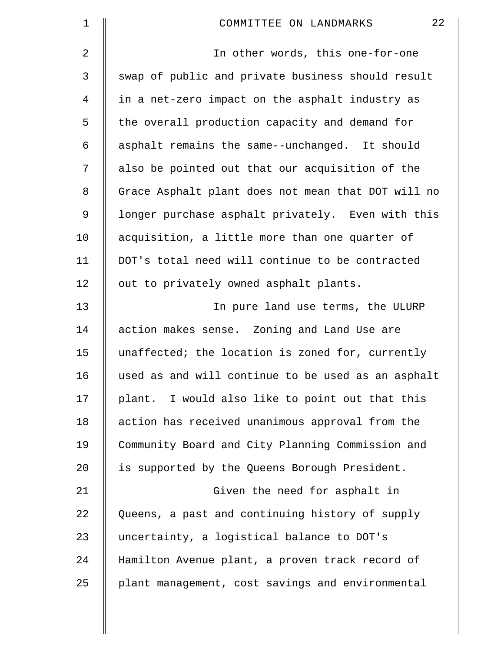| $\mathbf 1$ | 22<br>COMMITTEE ON LANDMARKS                       |
|-------------|----------------------------------------------------|
| 2           | In other words, this one-for-one                   |
| 3           | swap of public and private business should result  |
| 4           | in a net-zero impact on the asphalt industry as    |
| 5           | the overall production capacity and demand for     |
| 6           | asphalt remains the same--unchanged. It should     |
| 7           | also be pointed out that our acquisition of the    |
| 8           | Grace Asphalt plant does not mean that DOT will no |
| 9           | longer purchase asphalt privately. Even with this  |
| 10          | acquisition, a little more than one quarter of     |
| 11          | DOT's total need will continue to be contracted    |
| 12          | out to privately owned asphalt plants.             |
| 13          | In pure land use terms, the ULURP                  |
| 14          | action makes sense. Zoning and Land Use are        |
| 15          | unaffected; the location is zoned for, currently   |
| 16          | used as and will continue to be used as an asphalt |
| 17          | plant. I would also like to point out that this    |
| 18          | action has received unanimous approval from the    |
| 19          | Community Board and City Planning Commission and   |
| 20          | is supported by the Queens Borough President.      |
| 21          | Given the need for asphalt in                      |
| 22          | Queens, a past and continuing history of supply    |
| 23          | uncertainty, a logistical balance to DOT's         |
| 24          | Hamilton Avenue plant, a proven track record of    |
| 25          | plant management, cost savings and environmental   |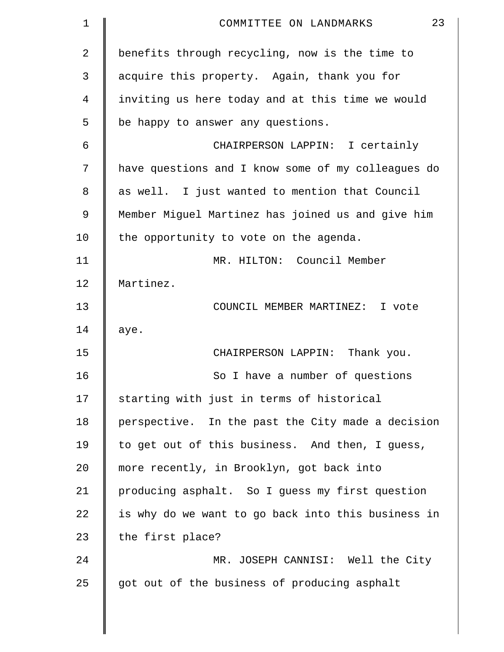| $\mathbf 1$    | 23<br>COMMITTEE ON LANDMARKS                       |
|----------------|----------------------------------------------------|
| $\overline{2}$ | benefits through recycling, now is the time to     |
| 3              | acquire this property. Again, thank you for        |
| 4              | inviting us here today and at this time we would   |
| 5              | be happy to answer any questions.                  |
| 6              | CHAIRPERSON LAPPIN: I certainly                    |
| 7              | have questions and I know some of my colleagues do |
| 8              | as well. I just wanted to mention that Council     |
| 9              | Member Miguel Martinez has joined us and give him  |
| 10             | the opportunity to vote on the agenda.             |
| 11             | MR. HILTON: Council Member                         |
| 12             | Martinez.                                          |
| 13             | COUNCIL MEMBER MARTINEZ: I vote                    |
| 14             | aye.                                               |
| 15             | CHAIRPERSON LAPPIN: Thank you.                     |
| 16             | So I have a number of questions                    |
| 17             | starting with just in terms of historical          |
| 18             | perspective. In the past the City made a decision  |
| 19             | to get out of this business. And then, I guess,    |
| $20 \,$        | more recently, in Brooklyn, got back into          |
| 21             | producing asphalt. So I guess my first question    |
| 22             | is why do we want to go back into this business in |
| 23             | the first place?                                   |
| 24             | MR. JOSEPH CANNISI: Well the City                  |
| 25             | got out of the business of producing asphalt       |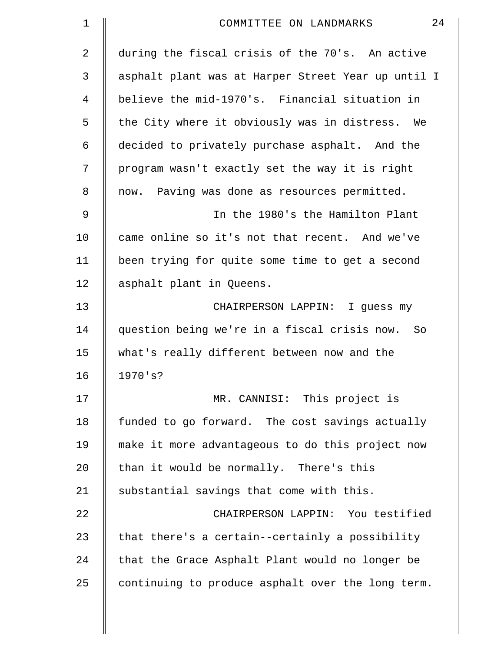| $\mathbf 1$    | 24<br>COMMITTEE ON LANDMARKS                       |
|----------------|----------------------------------------------------|
| $\overline{2}$ | during the fiscal crisis of the 70's. An active    |
| 3              | asphalt plant was at Harper Street Year up until I |
| 4              | believe the mid-1970's. Financial situation in     |
| 5              | the City where it obviously was in distress.<br>We |
| 6              | decided to privately purchase asphalt. And the     |
| 7              | program wasn't exactly set the way it is right     |
| 8              | now. Paving was done as resources permitted.       |
| 9              | In the 1980's the Hamilton Plant                   |
| 10             | came online so it's not that recent. And we've     |
| 11             | been trying for quite some time to get a second    |
| 12             | asphalt plant in Queens.                           |
| 13             | CHAIRPERSON LAPPIN: I guess my                     |
| 14             | question being we're in a fiscal crisis now. So    |
| 15             | what's really different between now and the        |
| 16             | 1970's?                                            |
| 17             | MR. CANNISI: This project is                       |
| 18             | funded to go forward. The cost savings actually    |
| 19             | make it more advantageous to do this project now   |
| 20             | than it would be normally. There's this            |
| 21             | substantial savings that come with this.           |
| 22             | CHAIRPERSON LAPPIN: You testified                  |
| 23             | that there's a certain--certainly a possibility    |
| 24             | that the Grace Asphalt Plant would no longer be    |
| 25             | continuing to produce asphalt over the long term.  |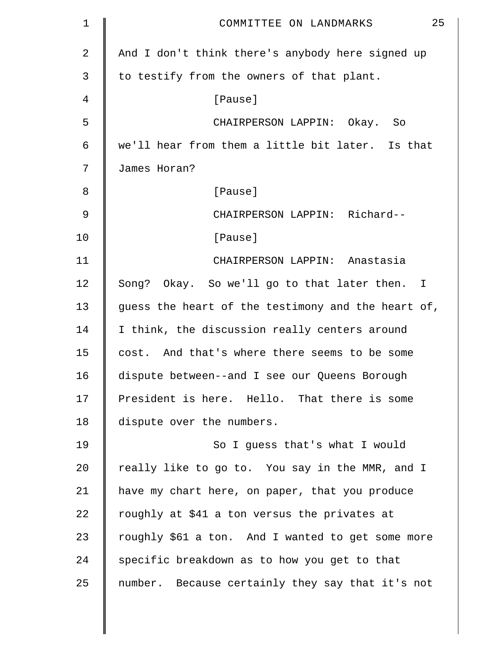| 1  | 25<br>COMMITTEE ON LANDMARKS                       |
|----|----------------------------------------------------|
| 2  | And I don't think there's anybody here signed up   |
| 3  | to testify from the owners of that plant.          |
| 4  | [Pause]                                            |
| 5  | CHAIRPERSON LAPPIN: Okay. So                       |
| 6  | we'll hear from them a little bit later. Is that   |
| 7  | James Horan?                                       |
| 8  | [Pause]                                            |
| 9  | CHAIRPERSON LAPPIN: Richard--                      |
| 10 | [Pause]                                            |
| 11 | CHAIRPERSON LAPPIN: Anastasia                      |
| 12 | Song? Okay. So we'll go to that later then. I      |
| 13 | guess the heart of the testimony and the heart of, |
| 14 | I think, the discussion really centers around      |
| 15 | cost. And that's where there seems to be some      |
| 16 | dispute between--and I see our Queens Borough      |
| 17 | President is here. Hello. That there is some       |
| 18 | dispute over the numbers.                          |
| 19 | So I guess that's what I would                     |
| 20 | really like to go to. You say in the MMR, and I    |
| 21 | have my chart here, on paper, that you produce     |
| 22 | roughly at \$41 a ton versus the privates at       |
| 23 | roughly \$61 a ton. And I wanted to get some more  |
| 24 | specific breakdown as to how you get to that       |
| 25 | number. Because certainly they say that it's not   |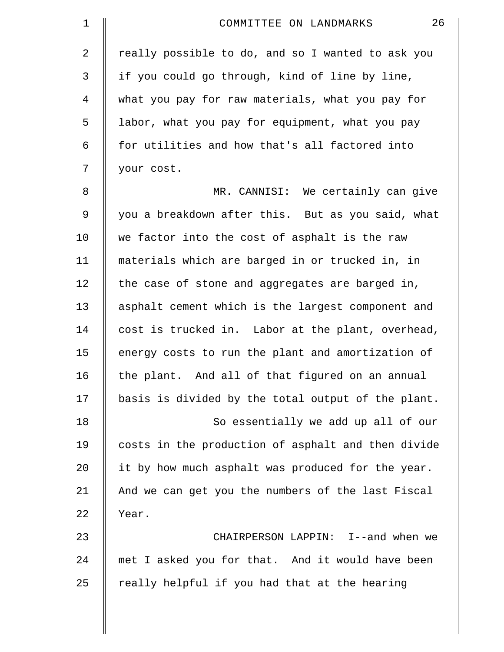| 1              | 26<br>COMMITTEE ON LANDMARKS                       |
|----------------|----------------------------------------------------|
| 2              | really possible to do, and so I wanted to ask you  |
| 3              | if you could go through, kind of line by line,     |
| $\overline{4}$ | what you pay for raw materials, what you pay for   |
| 5              | labor, what you pay for equipment, what you pay    |
| 6              | for utilities and how that's all factored into     |
| 7              | your cost.                                         |
| 8              | MR. CANNISI: We certainly can give                 |
| $\mathsf 9$    | you a breakdown after this. But as you said, what  |
| 10             | we factor into the cost of asphalt is the raw      |
| 11             | materials which are barged in or trucked in, in    |
| 12             | the case of stone and aggregates are barged in,    |
| 13             | asphalt cement which is the largest component and  |
| 14             | cost is trucked in. Labor at the plant, overhead,  |
| 15             | energy costs to run the plant and amortization of  |
| 16             | the plant. And all of that figured on an annual    |
| 17             | basis is divided by the total output of the plant. |
| 18             | So essentially we add up all of our                |
| 19             | costs in the production of asphalt and then divide |
| 20             | it by how much asphalt was produced for the year.  |
| 21             | And we can get you the numbers of the last Fiscal  |
| 22             | Year.                                              |
| 23             | CHAIRPERSON LAPPIN: I--and when we                 |
| 24             | met I asked you for that. And it would have been   |
| 25             | really helpful if you had that at the hearing      |
|                |                                                    |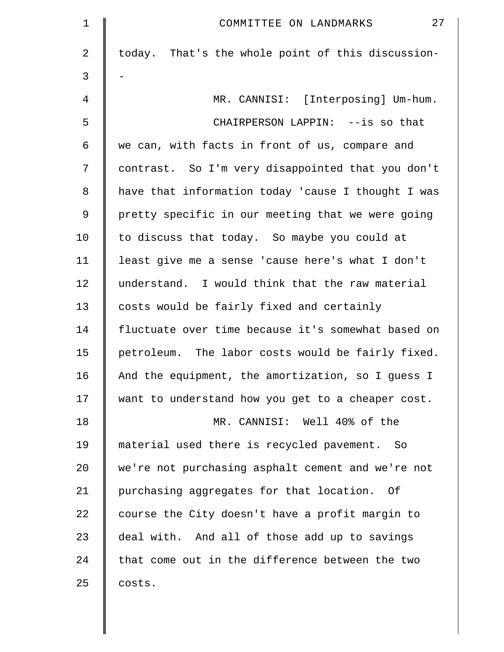| $\mathbf 1$ | 27<br>COMMITTEE ON LANDMARKS                       |
|-------------|----------------------------------------------------|
| 2           | today. That's the whole point of this discussion-  |
| 3           |                                                    |
| 4           | MR. CANNISI: [Interposing] Um-hum.                 |
| 5           | CHAIRPERSON LAPPIN: --is so that                   |
| 6           | we can, with facts in front of us, compare and     |
| 7           | contrast. So I'm very disappointed that you don't  |
| 8           | have that information today 'cause I thought I was |
| 9           | pretty specific in our meeting that we were going  |
| 10          | to discuss that today. So maybe you could at       |
| 11          | least give me a sense 'cause here's what I don't   |
| 12          | understand. I would think that the raw material    |
| 13          | costs would be fairly fixed and certainly          |
| 14          | fluctuate over time because it's somewhat based on |
| 15          | petroleum. The labor costs would be fairly fixed.  |
| 16          | And the equipment, the amortization, so I quess I  |
| 17          | want to understand how you get to a cheaper cost.  |
| 18          | MR. CANNISI: Well 40% of the                       |
| 19          | material used there is recycled pavement. So       |
| 20          | we're not purchasing asphalt cement and we're not  |
| 21          | purchasing aggregates for that location. Of        |
| 22          | course the City doesn't have a profit margin to    |
| 23          | deal with. And all of those add up to savings      |
| 24          | that come out in the difference between the two    |
| 25          | costs.                                             |
|             |                                                    |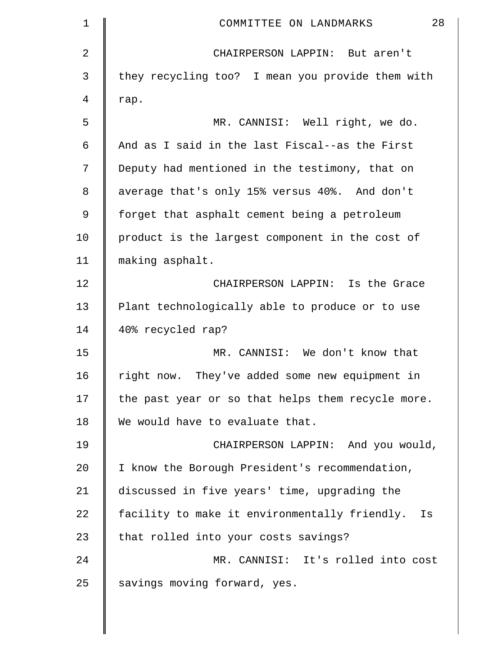| $\mathbf 1$ | 28<br>COMMITTEE ON LANDMARKS                        |
|-------------|-----------------------------------------------------|
| 2           | CHAIRPERSON LAPPIN: But aren't                      |
| 3           | they recycling too? I mean you provide them with    |
| 4           | rap.                                                |
| 5           | MR. CANNISI: Well right, we do.                     |
| 6           | And as I said in the last Fiscal--as the First      |
| 7           | Deputy had mentioned in the testimony, that on      |
| 8           | average that's only 15% versus 40%. And don't       |
| 9           | forget that asphalt cement being a petroleum        |
| 10          | product is the largest component in the cost of     |
| 11          | making asphalt.                                     |
| 12          | CHAIRPERSON LAPPIN: Is the Grace                    |
| 13          | Plant technologically able to produce or to use     |
| 14          | 40% recycled rap?                                   |
| 15          | MR. CANNISI: We don't know that                     |
| 16          | right now. They've added some new equipment in      |
| 17          | the past year or so that helps them recycle more.   |
| 18          | We would have to evaluate that.                     |
| 19          | CHAIRPERSON LAPPIN: And you would,                  |
| 20          | I know the Borough President's recommendation,      |
| 21          | discussed in five years' time, upgrading the        |
| 22          | facility to make it environmentally friendly.<br>Is |
| 23          | that rolled into your costs savings?                |
| 24          | MR. CANNISI: It's rolled into cost                  |
| 25          | savings moving forward, yes.                        |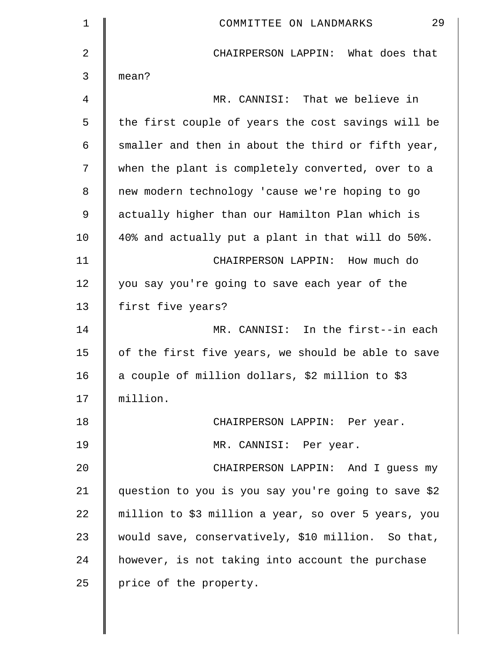| $\mathbf 1$ | 29<br>COMMITTEE ON LANDMARKS                        |
|-------------|-----------------------------------------------------|
| 2           | CHAIRPERSON LAPPIN: What does that                  |
| 3           | mean?                                               |
| 4           | MR. CANNISI: That we believe in                     |
| 5           | the first couple of years the cost savings will be  |
| 6           | smaller and then in about the third or fifth year,  |
| 7           | when the plant is completely converted, over to a   |
| 8           | new modern technology 'cause we're hoping to go     |
| 9           | actually higher than our Hamilton Plan which is     |
| 10          | 40% and actually put a plant in that will do 50%.   |
| 11          | CHAIRPERSON LAPPIN:<br>How much do                  |
| 12          | you say you're going to save each year of the       |
| 13          | first five years?                                   |
| 14          | MR. CANNISI: In the first--in each                  |
| 15          | of the first five years, we should be able to save  |
| 16          | a couple of million dollars, \$2 million to \$3     |
| 17          | million.                                            |
| 18          | CHAIRPERSON LAPPIN: Per year.                       |
| 19          | MR. CANNISI: Per year.                              |
| 20          | CHAIRPERSON LAPPIN: And I guess my                  |
| 21          | question to you is you say you're going to save \$2 |
| 22          | million to \$3 million a year, so over 5 years, you |
| 23          | would save, conservatively, \$10 million. So that,  |
| 24          | however, is not taking into account the purchase    |
| 25          | price of the property.                              |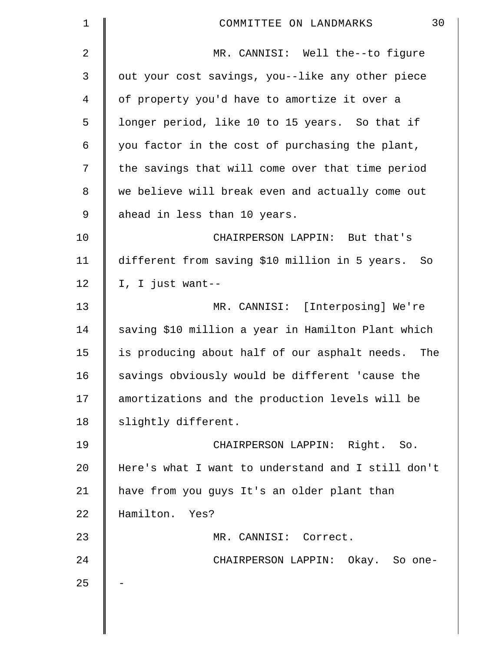| 1  | 30<br>COMMITTEE ON LANDMARKS                       |
|----|----------------------------------------------------|
| 2  | MR. CANNISI: Well the--to figure                   |
| 3  | out your cost savings, you--like any other piece   |
| 4  | of property you'd have to amortize it over a       |
| 5  | longer period, like 10 to 15 years. So that if     |
| 6  | you factor in the cost of purchasing the plant,    |
| 7  | the savings that will come over that time period   |
| 8  | we believe will break even and actually come out   |
| 9  | ahead in less than 10 years.                       |
| 10 | CHAIRPERSON LAPPIN: But that's                     |
| 11 | different from saving \$10 million in 5 years. So  |
| 12 | I, I just want--                                   |
| 13 | MR. CANNISI: [Interposing] We're                   |
| 14 | saving \$10 million a year in Hamilton Plant which |
| 15 | is producing about half of our asphalt needs. The  |
| 16 | savings obviously would be different 'cause the    |
| 17 | amortizations and the production levels will be    |
| 18 | slightly different.                                |
| 19 | CHAIRPERSON LAPPIN: Right. So.                     |
| 20 | Here's what I want to understand and I still don't |
| 21 | have from you guys It's an older plant than        |
| 22 | Hamilton. Yes?                                     |
| 23 | MR. CANNISI: Correct.                              |
| 24 | CHAIRPERSON LAPPIN: Okay. So one-                  |
| 25 |                                                    |
|    |                                                    |
|    |                                                    |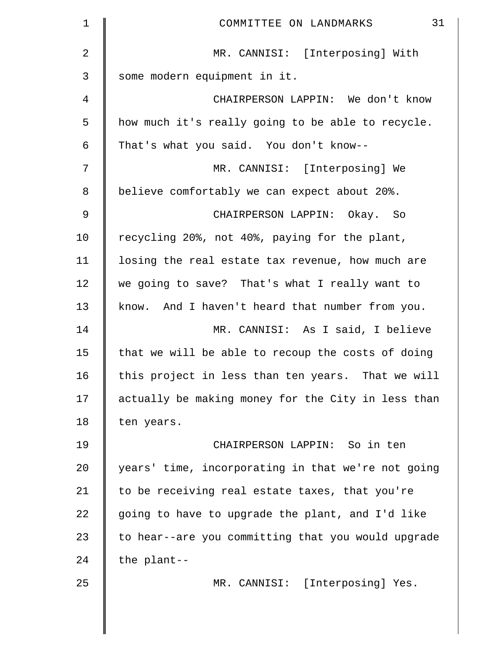| $\mathbf 1$ | 31<br>COMMITTEE ON LANDMARKS                       |
|-------------|----------------------------------------------------|
| 2           | MR. CANNISI: [Interposing] With                    |
| 3           | some modern equipment in it.                       |
| 4           | CHAIRPERSON LAPPIN: We don't know                  |
| 5           | how much it's really going to be able to recycle.  |
| 6           | That's what you said. You don't know--             |
| 7           | MR. CANNISI: [Interposing] We                      |
| 8           | believe comfortably we can expect about 20%.       |
| $\mathsf 9$ | CHAIRPERSON LAPPIN: Okay. So                       |
| 10          | recycling 20%, not 40%, paying for the plant,      |
| 11          | losing the real estate tax revenue, how much are   |
| 12          | we going to save? That's what I really want to     |
| 13          | know. And I haven't heard that number from you.    |
| 14          | MR. CANNISI: As I said, I believe                  |
| 15          | that we will be able to recoup the costs of doing  |
| 16          | this project in less than ten years. That we will  |
| 17          | actually be making money for the City in less than |
| 18          | ten years.                                         |
| 19          | CHAIRPERSON LAPPIN: So in ten                      |
| 20          | years' time, incorporating in that we're not going |
| 21          | to be receiving real estate taxes, that you're     |
| 22          | going to have to upgrade the plant, and I'd like   |
| 23          | to hear--are you committing that you would upgrade |
| 24          | the plant--                                        |
| 25          | MR. CANNISI: [Interposing] Yes.                    |
|             |                                                    |
|             |                                                    |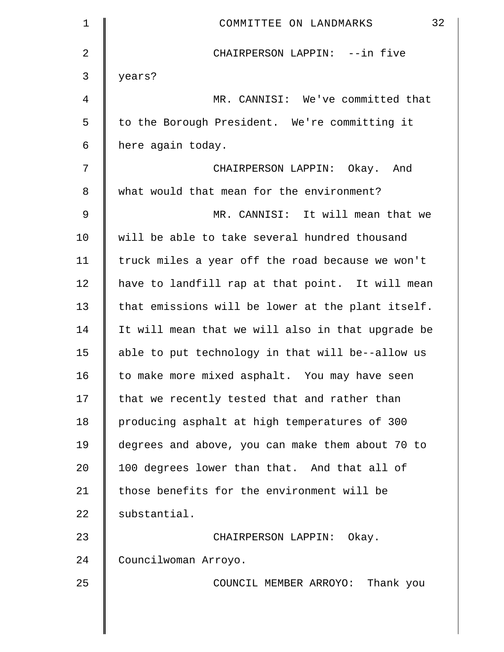| $\mathbf 1$   | 32<br>COMMITTEE ON LANDMARKS                      |
|---------------|---------------------------------------------------|
| 2             | CHAIRPERSON LAPPIN: --in five                     |
| 3             | years?                                            |
| 4             | MR. CANNISI: We've committed that                 |
| 5             | to the Borough President. We're committing it     |
| 6             | here again today.                                 |
| 7             | CHAIRPERSON LAPPIN: Okay. And                     |
| 8             | what would that mean for the environment?         |
| $\mathcal{G}$ | MR. CANNISI: It will mean that we                 |
| 10            | will be able to take several hundred thousand     |
| 11            | truck miles a year off the road because we won't  |
| 12            | have to landfill rap at that point. It will mean  |
| 13            | that emissions will be lower at the plant itself. |
| 14            | It will mean that we will also in that upgrade be |
| 15            | able to put technology in that will be--allow us  |
| 16            | to make more mixed asphalt. You may have seen     |
| 17            | that we recently tested that and rather than      |
| 18            | producing asphalt at high temperatures of 300     |
| 19            | degrees and above, you can make them about 70 to  |
| 20            | 100 degrees lower than that. And that all of      |
| 21            | those benefits for the environment will be        |
| 22            | substantial.                                      |
| 23            | CHAIRPERSON LAPPIN: Okay.                         |
| 24            | Councilwoman Arroyo.                              |
| 25            | COUNCIL MEMBER ARROYO: Thank you                  |
|               |                                                   |
|               |                                                   |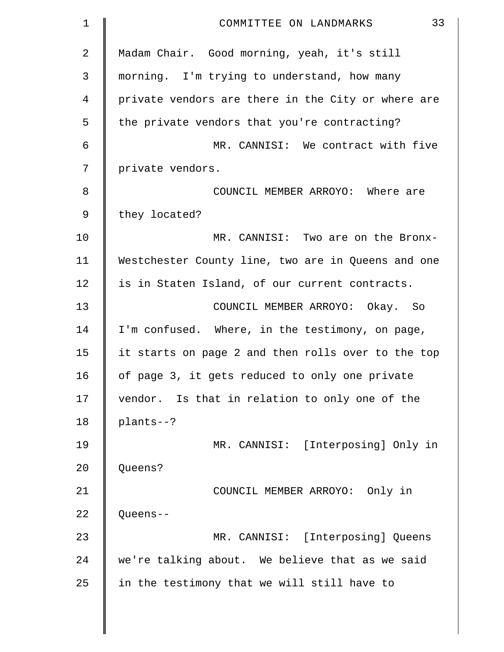| $\mathbf 1$ | 33<br>COMMITTEE ON LANDMARKS                       |
|-------------|----------------------------------------------------|
| 2           | Madam Chair. Good morning, yeah, it's still        |
| 3           | morning. I'm trying to understand, how many        |
| 4           | private vendors are there in the City or where are |
| 5           | the private vendors that you're contracting?       |
| 6           | MR. CANNISI: We contract with five                 |
| 7           | private vendors.                                   |
| 8           | COUNCIL MEMBER ARROYO: Where are                   |
| 9           | they located?                                      |
| 10          | MR. CANNISI: Two are on the Bronx-                 |
| 11          | Westchester County line, two are in Queens and one |
| 12          | is in Staten Island, of our current contracts.     |
| 13          | COUNCIL MEMBER ARROYO: Okay. So                    |
| 14          | I'm confused. Where, in the testimony, on page,    |
| 15          | it starts on page 2 and then rolls over to the top |
| 16          | of page 3, it gets reduced to only one private     |
| 17          | vendor. Is that in relation to only one of the     |
| 18          | plants--?                                          |
| 19          | MR. CANNISI: [Interposing] Only in                 |
| 20          | Queens?                                            |
| 21          | COUNCIL MEMBER ARROYO: Only in                     |
| 22          | Queens--                                           |
| 23          | MR. CANNISI: [Interposing] Queens                  |
| 24          | we're talking about. We believe that as we said    |
| 25          | in the testimony that we will still have to        |
|             |                                                    |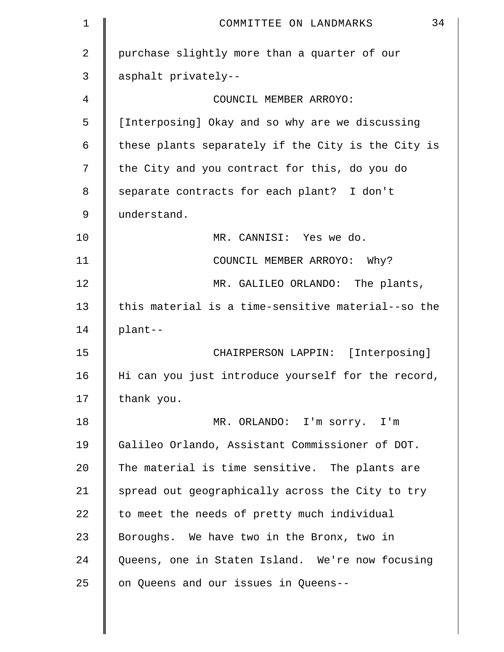| $\mathbf 1$ | 34<br>COMMITTEE ON LANDMARKS                       |
|-------------|----------------------------------------------------|
| 2           | purchase slightly more than a quarter of our       |
| 3           | asphalt privately--                                |
| 4           | COUNCIL MEMBER ARROYO:                             |
| 5           | [Interposing] Okay and so why are we discussing    |
| 6           | these plants separately if the City is the City is |
| 7           | the City and you contract for this, do you do      |
| 8           | separate contracts for each plant? I don't         |
| 9           | understand.                                        |
| 10          | MR. CANNISI: Yes we do.                            |
| 11          | COUNCIL MEMBER ARROYO: Why?                        |
| 12          | MR. GALILEO ORLANDO: The plants,                   |
| 13          | this material is a time-sensitive material--so the |
| 14          | plant--                                            |
| 15          | CHAIRPERSON LAPPIN: [Interposing]                  |
| 16          | Hi can you just introduce yourself for the record, |
| 17          | thank you.                                         |
| 18          | MR. ORLANDO: I'm sorry. I'm                        |
| 19          | Galileo Orlando, Assistant Commissioner of DOT.    |
| 20          | The material is time sensitive. The plants are     |
| 21          | spread out geographically across the City to try   |
| 22          | to meet the needs of pretty much individual        |
| 23          | Boroughs. We have two in the Bronx, two in         |
| 24          | Queens, one in Staten Island. We're now focusing   |
| 25          | on Queens and our issues in Queens--               |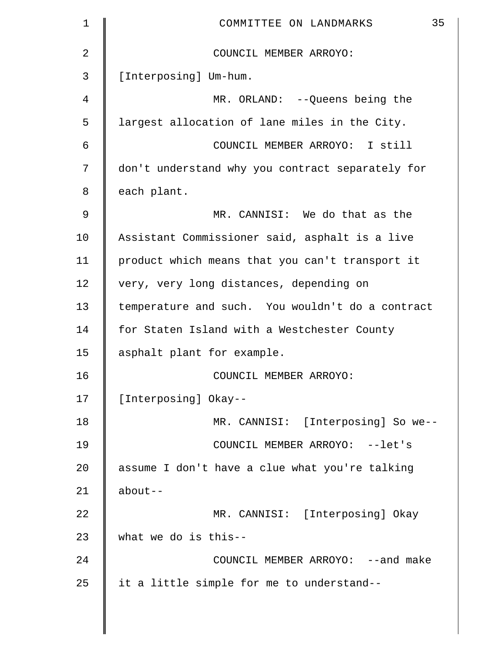| $\mathbf 1$ | 35<br>COMMITTEE ON LANDMARKS                     |
|-------------|--------------------------------------------------|
| 2           | COUNCIL MEMBER ARROYO:                           |
| 3           | [Interposing] Um-hum.                            |
| 4           | MR. ORLAND: -- Queens being the                  |
| 5           | largest allocation of lane miles in the City.    |
| 6           | COUNCIL MEMBER ARROYO: I still                   |
| 7           | don't understand why you contract separately for |
| 8           | each plant.                                      |
| 9           | MR. CANNISI: We do that as the                   |
| 10          | Assistant Commissioner said, asphalt is a live   |
| 11          | product which means that you can't transport it  |
| 12          | very, very long distances, depending on          |
| 13          | temperature and such. You wouldn't do a contract |
| 14          | for Staten Island with a Westchester County      |
| 15          | asphalt plant for example.                       |
| 16          | COUNCIL MEMBER ARROYO:                           |
| 17          | [Interposing] Okay--                             |
| 18          | MR. CANNISI: [Interposing] So we--               |
| 19          | COUNCIL MEMBER ARROYO: --let's                   |
| 20          | assume I don't have a clue what you're talking   |
| 21          | $about--$                                        |
| 22          | MR. CANNISI: [Interposing] Okay                  |
| 23          | what we do is this--                             |
| 24          | COUNCIL MEMBER ARROYO: --and make                |
| 25          | it a little simple for me to understand--        |
|             |                                                  |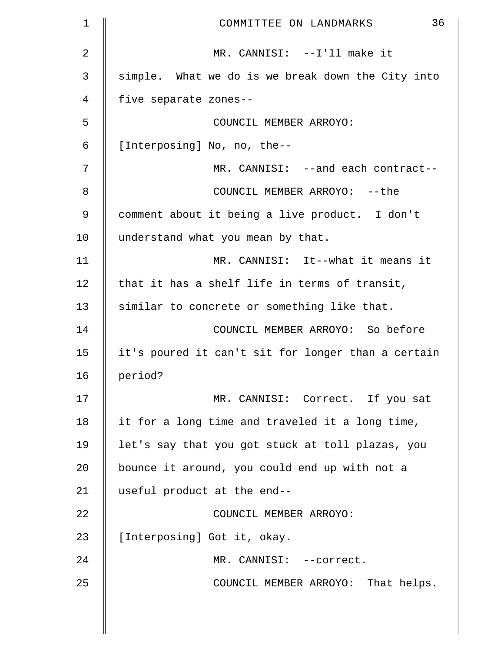| 1           | 36<br>COMMITTEE ON LANDMARKS                       |
|-------------|----------------------------------------------------|
| 2           | MR. CANNISI: --I'll make it                        |
| 3           | simple. What we do is we break down the City into  |
| 4           | five separate zones--                              |
| 5           | COUNCIL MEMBER ARROYO:                             |
| 6           | [Interposing] No, no, the--                        |
| 7           | MR. CANNISI: --and each contract--                 |
| 8           | COUNCIL MEMBER ARROYO: -- the                      |
| $\mathsf 9$ | comment about it being a live product. I don't     |
| 10          | understand what you mean by that.                  |
| 11          | MR. CANNISI: It--what it means it                  |
| 12          | that it has a shelf life in terms of transit,      |
| 13          | similar to concrete or something like that.        |
| 14          | COUNCIL MEMBER ARROYO: So before                   |
| 15          | it's poured it can't sit for longer than a certain |
| 16          | period?                                            |
| 17          | MR. CANNISI: Correct. If you sat                   |
| 18          | it for a long time and traveled it a long time,    |
| 19          | let's say that you got stuck at toll plazas, you   |
| 20          | bounce it around, you could end up with not a      |
| 21          | useful product at the end--                        |
| 22          | COUNCIL MEMBER ARROYO:                             |
| 23          | [Interposing] Got it, okay.                        |
| 24          | MR. CANNISI: --correct.                            |
| 25          | COUNCIL MEMBER ARROYO: That helps.                 |
|             |                                                    |

 $\parallel$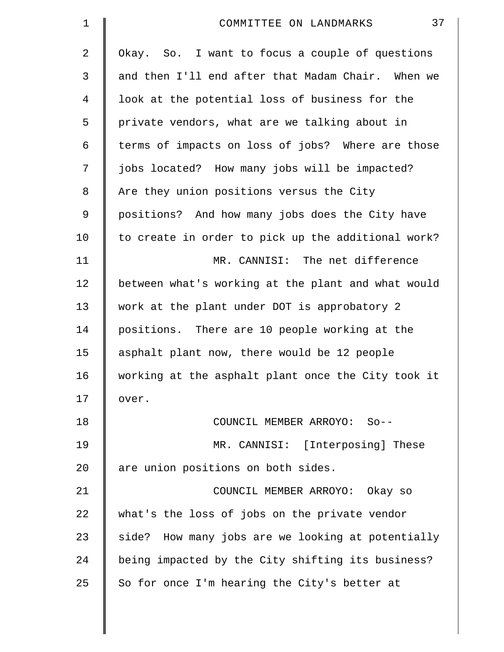| $\mathbf 1$ | 37<br>COMMITTEE ON LANDMARKS                       |
|-------------|----------------------------------------------------|
| 2           | Okay. So. I want to focus a couple of questions    |
| 3           | and then I'll end after that Madam Chair. When we  |
| 4           | look at the potential loss of business for the     |
| 5           | private vendors, what are we talking about in      |
| 6           | terms of impacts on loss of jobs? Where are those  |
| 7           | jobs located? How many jobs will be impacted?      |
| 8           | Are they union positions versus the City           |
| $\mathsf 9$ | positions? And how many jobs does the City have    |
| 10          | to create in order to pick up the additional work? |
| 11          | MR. CANNISI: The net difference                    |
| 12          | between what's working at the plant and what would |
| 13          | work at the plant under DOT is approbatory 2       |
| 14          | positions. There are 10 people working at the      |
| 15          | asphalt plant now, there would be 12 people        |
| 16          | working at the asphalt plant once the City took it |
| 17          | over.                                              |
| 18          | COUNCIL MEMBER ARROYO: So--                        |
| 19          | MR. CANNISI: [Interposing] These                   |
| 20          | are union positions on both sides.                 |
| 21          | COUNCIL MEMBER ARROYO: Okay so                     |
| 22          | what's the loss of jobs on the private vendor      |
| 23          | side? How many jobs are we looking at potentially  |
| 24          | being impacted by the City shifting its business?  |
| 25          | So for once I'm hearing the City's better at       |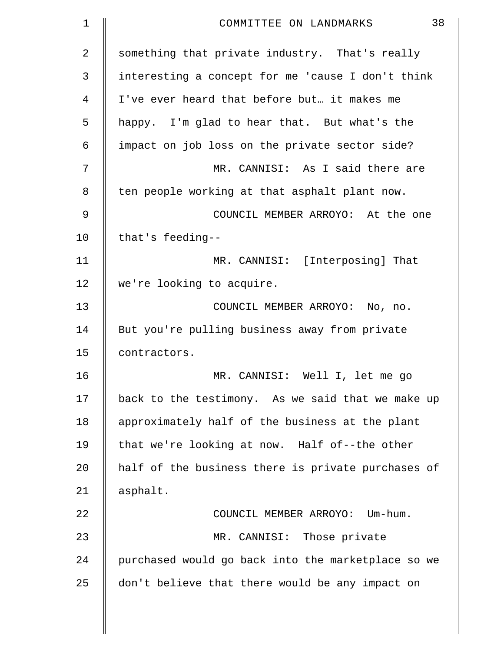| 1              | 38<br>COMMITTEE ON LANDMARKS                       |
|----------------|----------------------------------------------------|
| $\overline{a}$ | something that private industry. That's really     |
| 3              | interesting a concept for me 'cause I don't think  |
| 4              | I've ever heard that before but it makes me        |
| 5              | happy. I'm glad to hear that. But what's the       |
| 6              | impact on job loss on the private sector side?     |
| 7              | MR. CANNISI: As I said there are                   |
| 8              | ten people working at that asphalt plant now.      |
| 9              | COUNCIL MEMBER ARROYO: At the one                  |
| 10             | that's feeding--                                   |
| 11             | MR. CANNISI: [Interposing] That                    |
| 12             | we're looking to acquire.                          |
| 13             | COUNCIL MEMBER ARROYO: No, no.                     |
| 14             | But you're pulling business away from private      |
| 15             | contractors.                                       |
| 16             | MR. CANNISI: Well I, let me go                     |
| 17             | back to the testimony. As we said that we make up  |
| 18             | approximately half of the business at the plant    |
| 19             | that we're looking at now. Half of--the other      |
| 20             | half of the business there is private purchases of |
| 21             | asphalt.                                           |
| 22             | COUNCIL MEMBER ARROYO: Um-hum.                     |
| 23             | MR. CANNISI: Those private                         |
| 24             | purchased would go back into the marketplace so we |
| 25             | don't believe that there would be any impact on    |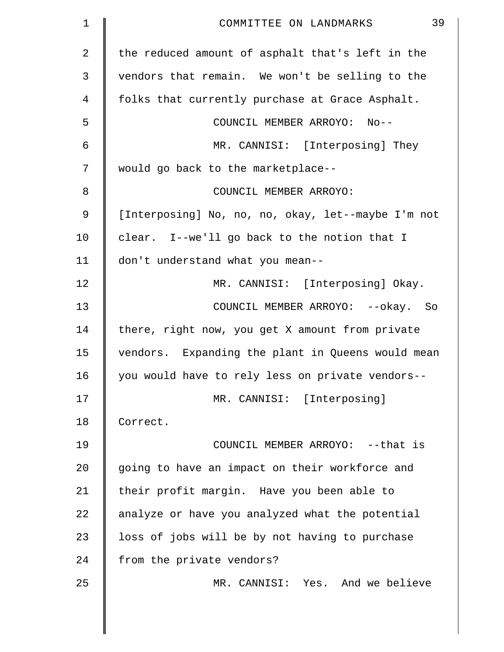| $\mathbf 1$ | 39<br>COMMITTEE ON LANDMARKS                       |
|-------------|----------------------------------------------------|
| 2           | the reduced amount of asphalt that's left in the   |
| 3           | vendors that remain. We won't be selling to the    |
| 4           | folks that currently purchase at Grace Asphalt.    |
| 5           | COUNCIL MEMBER ARROYO: No--                        |
| 6           | MR. CANNISI: [Interposing] They                    |
| 7           | would go back to the marketplace--                 |
| 8           | COUNCIL MEMBER ARROYO:                             |
| 9           | [Interposing] No, no, no, okay, let--maybe I'm not |
| 10          | clear. I--we'll go back to the notion that I       |
| 11          | don't understand what you mean--                   |
| 12          | MR. CANNISI: [Interposing] Okay.                   |
| 13          | COUNCIL MEMBER ARROYO: -- okay. So                 |
| 14          | there, right now, you get X amount from private    |
| 15          | vendors. Expanding the plant in Queens would mean  |
| 16          | you would have to rely less on private vendors--   |
| 17          | MR. CANNISI: [Interposing]                         |
| 18          | Correct.                                           |
| 19          | COUNCIL MEMBER ARROYO: -- that is                  |
| 20          | going to have an impact on their workforce and     |
| 21          | their profit margin. Have you been able to         |
| 22          | analyze or have you analyzed what the potential    |
| 23          | loss of jobs will be by not having to purchase     |
| 24          | from the private vendors?                          |
| 25          | MR. CANNISI: Yes. And we believe                   |
|             |                                                    |
|             |                                                    |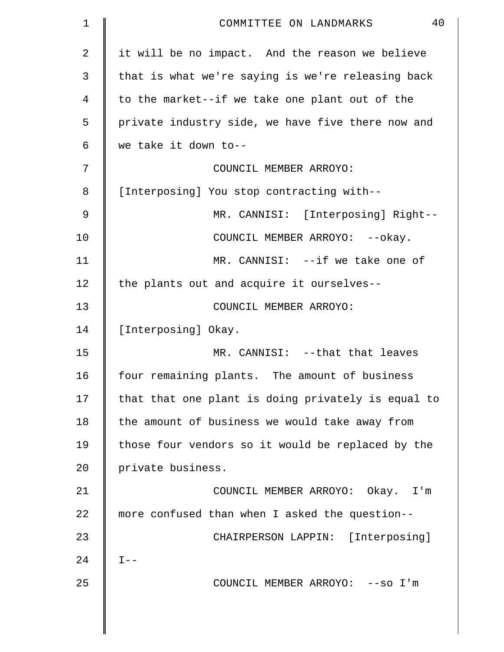| 1  | 40<br>COMMITTEE ON LANDMARKS                       |
|----|----------------------------------------------------|
| 2  | it will be no impact. And the reason we believe    |
| 3  | that is what we're saying is we're releasing back  |
| 4  | to the market--if we take one plant out of the     |
| 5  | private industry side, we have five there now and  |
| 6  | we take it down to--                               |
| 7  | COUNCIL MEMBER ARROYO:                             |
| 8  | [Interposing] You stop contracting with--          |
| 9  | MR. CANNISI: [Interposing] Right--                 |
| 10 | COUNCIL MEMBER ARROYO: -- okay.                    |
| 11 | MR. CANNISI: -- if we take one of                  |
| 12 | the plants out and acquire it ourselves--          |
| 13 | COUNCIL MEMBER ARROYO:                             |
| 14 | [Interposing] Okay.                                |
| 15 | MR. CANNISI: --that that leaves                    |
| 16 | four remaining plants. The amount of business      |
| 17 | that that one plant is doing privately is equal to |
| 18 | the amount of business we would take away from     |
| 19 | those four vendors so it would be replaced by the  |
| 20 | private business.                                  |
| 21 | COUNCIL MEMBER ARROYO: Okay. I'm                   |
| 22 | more confused than when I asked the question--     |
| 23 | CHAIRPERSON LAPPIN: [Interposing]                  |
| 24 | $I - -$                                            |
| 25 | COUNCIL MEMBER ARROYO: -- so I'm                   |
|    |                                                    |
|    |                                                    |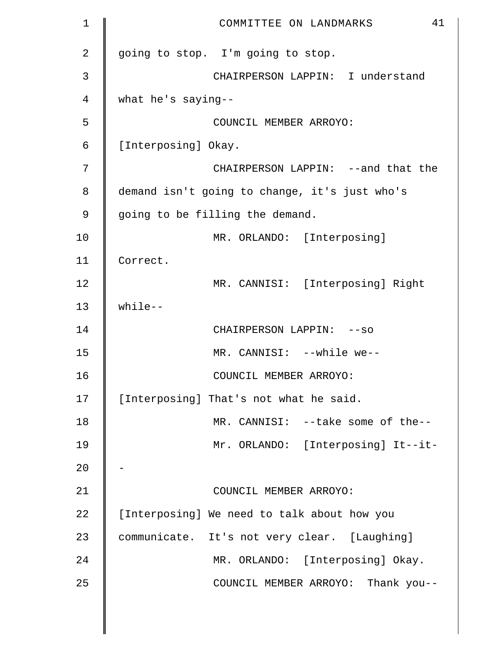| $\mathbf 1$    | 41<br>COMMITTEE ON LANDMARKS                  |
|----------------|-----------------------------------------------|
| $\overline{2}$ | going to stop. I'm going to stop.             |
| 3              | CHAIRPERSON LAPPIN: I understand              |
| 4              | what he's saying--                            |
| 5              | COUNCIL MEMBER ARROYO:                        |
| 6              | [Interposing] Okay.                           |
| 7              | CHAIRPERSON LAPPIN: --and that the            |
| 8              | demand isn't going to change, it's just who's |
| 9              | going to be filling the demand.               |
| 10             | MR. ORLANDO: [Interposing]                    |
| 11             | Correct.                                      |
| 12             | MR. CANNISI: [Interposing] Right              |
| 13             | $while--$                                     |
| 14             | CHAIRPERSON LAPPIN: --so                      |
| 15             | MR. CANNISI: --while we--                     |
| 16             | COUNCIL MEMBER ARROYO:                        |
| 17             | [Interposing] That's not what he said.        |
| 18             | MR. CANNISI: --take some of the--             |
| 19             | Mr. ORLANDO: [Interposing] It--it-            |
| 20             |                                               |
| 21             | COUNCIL MEMBER ARROYO:                        |
| 22             | [Interposing] We need to talk about how you   |
| 23             | communicate. It's not very clear. [Laughing]  |
| 24             | MR. ORLANDO: [Interposing] Okay.              |
| 25             | COUNCIL MEMBER ARROYO: Thank you--            |
|                |                                               |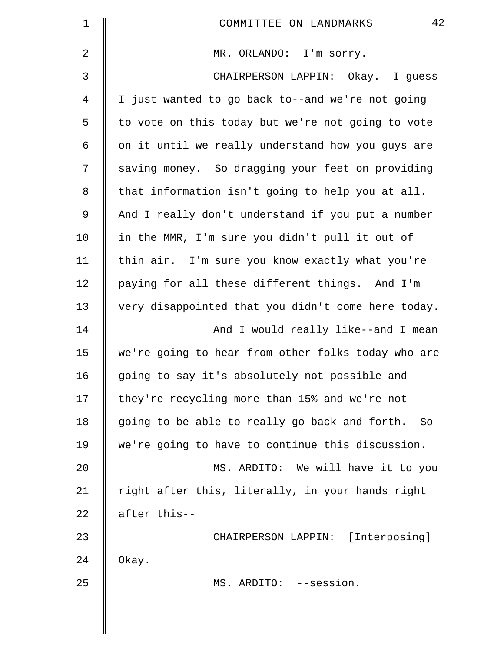| $\mathbf 1$    | 42<br>COMMITTEE ON LANDMARKS                       |
|----------------|----------------------------------------------------|
| $\overline{2}$ | MR. ORLANDO: I'm sorry.                            |
| 3              | CHAIRPERSON LAPPIN: Okay. I guess                  |
| 4              | I just wanted to go back to--and we're not going   |
| 5              | to vote on this today but we're not going to vote  |
| 6              | on it until we really understand how you guys are  |
| 7              | saving money. So dragging your feet on providing   |
| 8              | that information isn't going to help you at all.   |
| 9              | And I really don't understand if you put a number  |
| 10             | in the MMR, I'm sure you didn't pull it out of     |
| 11             | thin air. I'm sure you know exactly what you're    |
| 12             | paying for all these different things. And I'm     |
| 13             | very disappointed that you didn't come here today. |
| 14             | And I would really like--and I mean                |
| 15             | we're going to hear from other folks today who are |
| 16             | going to say it's absolutely not possible and      |
| 17             | they're recycling more than 15% and we're not      |
| 18             | going to be able to really go back and forth. So   |
| 19             | we're going to have to continue this discussion.   |
| 20             | MS. ARDITO: We will have it to you                 |
| 21             | right after this, literally, in your hands right   |
| 22             | after this--                                       |
| 23             | CHAIRPERSON LAPPIN: [Interposing]                  |
| 24             | Okay.                                              |
| 25             | MS. ARDITO: --session.                             |
|                |                                                    |
|                |                                                    |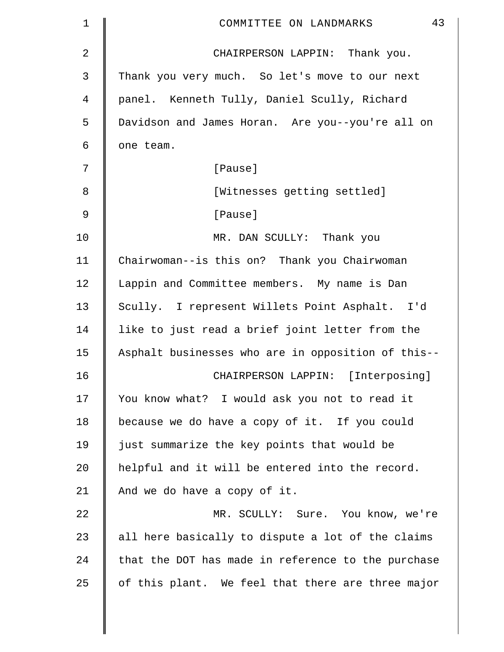| 1  | 43<br>COMMITTEE ON LANDMARKS                       |
|----|----------------------------------------------------|
| 2  | CHAIRPERSON LAPPIN: Thank you.                     |
| 3  | Thank you very much. So let's move to our next     |
| 4  | panel. Kenneth Tully, Daniel Scully, Richard       |
| 5  | Davidson and James Horan. Are you--you're all on   |
| 6  | one team.                                          |
| 7  | [Pause]                                            |
| 8  | [Witnesses getting settled]                        |
| 9  | [Pause]                                            |
| 10 | MR. DAN SCULLY: Thank you                          |
| 11 | Chairwoman--is this on? Thank you Chairwoman       |
| 12 | Lappin and Committee members. My name is Dan       |
| 13 | Scully. I represent Willets Point Asphalt. I'd     |
| 14 | like to just read a brief joint letter from the    |
| 15 | Asphalt businesses who are in opposition of this-- |
| 16 | CHAIRPERSON LAPPIN: [Interposing]                  |
| 17 | You know what? I would ask you not to read it      |
| 18 | because we do have a copy of it. If you could      |
| 19 | just summarize the key points that would be        |
| 20 | helpful and it will be entered into the record.    |
| 21 | And we do have a copy of it.                       |
| 22 | MR. SCULLY: Sure. You know, we're                  |
| 23 | all here basically to dispute a lot of the claims  |
| 24 | that the DOT has made in reference to the purchase |
| 25 | of this plant. We feel that there are three major  |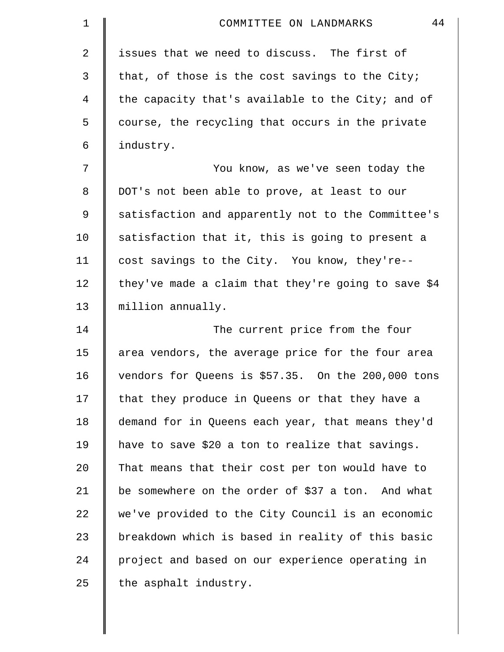| 1              | 44<br>COMMITTEE ON LANDMARKS                        |
|----------------|-----------------------------------------------------|
| $\overline{a}$ | issues that we need to discuss. The first of        |
| 3              | that, of those is the cost savings to the City;     |
| 4              | the capacity that's available to the City; and of   |
| 5              | course, the recycling that occurs in the private    |
| 6              | industry.                                           |
| 7              | You know, as we've seen today the                   |
| 8              | DOT's not been able to prove, at least to our       |
| 9              | satisfaction and apparently not to the Committee's  |
| 10             | satisfaction that it, this is going to present a    |
| 11             | cost savings to the City. You know, they're--       |
| 12             | they've made a claim that they're going to save \$4 |
| 13             | million annually.                                   |
| 14             | The current price from the four                     |
| 15             | area vendors, the average price for the four area   |
| 16             | vendors for Queens is \$57.35. On the 200,000 tons  |
| 17             | that they produce in Queens or that they have a     |
| 18             | demand for in Queens each year, that means they'd   |
| 19             | have to save \$20 a ton to realize that savings.    |
| $20 \,$        | That means that their cost per ton would have to    |
| 21             | be somewhere on the order of \$37 a ton. And what   |
| 22             | we've provided to the City Council is an economic   |
| 23             | breakdown which is based in reality of this basic   |
| 24             | project and based on our experience operating in    |
| 25             | the asphalt industry.                               |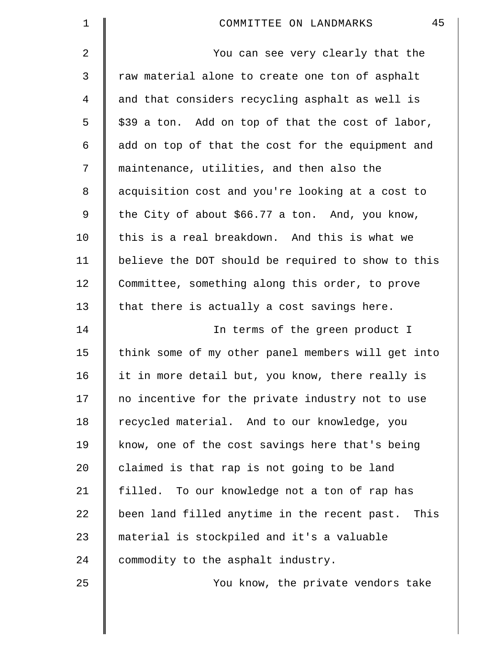| $\mathbf 1$ | 45<br>COMMITTEE ON LANDMARKS                       |
|-------------|----------------------------------------------------|
| 2           | You can see very clearly that the                  |
| 3           | raw material alone to create one ton of asphalt    |
| 4           | and that considers recycling asphalt as well is    |
| 5           | \$39 a ton. Add on top of that the cost of labor,  |
| 6           | add on top of that the cost for the equipment and  |
| 7           | maintenance, utilities, and then also the          |
| 8           | acquisition cost and you're looking at a cost to   |
| 9           | the City of about \$66.77 a ton. And, you know,    |
| 10          | this is a real breakdown. And this is what we      |
| 11          | believe the DOT should be required to show to this |
| 12          | Committee, something along this order, to prove    |
| 13          | that there is actually a cost savings here.        |
| 14          | In terms of the green product I                    |
| 15          | think some of my other panel members will get into |
| 16          | it in more detail but, you know, there really is   |
| 17          | no incentive for the private industry not to use   |
| 18          | recycled material. And to our knowledge, you       |
| 19          | know, one of the cost savings here that's being    |
| 20          | claimed is that rap is not going to be land        |
| 21          | filled. To our knowledge not a ton of rap has      |
| 22          | been land filled anytime in the recent past. This  |
| 23          | material is stockpiled and it's a valuable         |
| 24          | commodity to the asphalt industry.                 |
| 25          | You know, the private vendors take                 |
|             |                                                    |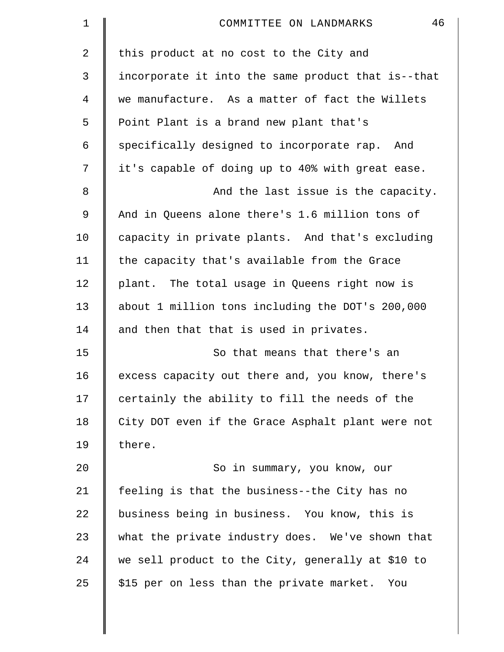| $\mathbf 1$    | 46<br>COMMITTEE ON LANDMARKS                       |
|----------------|----------------------------------------------------|
| $\overline{2}$ | this product at no cost to the City and            |
| 3              | incorporate it into the same product that is--that |
| $\overline{4}$ | we manufacture. As a matter of fact the Willets    |
| 5              | Point Plant is a brand new plant that's            |
| 6              | specifically designed to incorporate rap. And      |
| 7              | it's capable of doing up to 40% with great ease.   |
| 8              | And the last issue is the capacity.                |
| 9              | And in Queens alone there's 1.6 million tons of    |
| 10             | capacity in private plants. And that's excluding   |
| 11             | the capacity that's available from the Grace       |
| 12             | plant. The total usage in Queens right now is      |
| 13             | about 1 million tons including the DOT's 200,000   |
| 14             | and then that that is used in privates.            |
| 15             | So that means that there's an                      |
| 16             | excess capacity out there and, you know, there's   |
| 17             | certainly the ability to fill the needs of the     |
| 18             | City DOT even if the Grace Asphalt plant were not  |
| 19             | there.                                             |
| 20             | So in summary, you know, our                       |
| 21             | feeling is that the business--the City has no      |
| 22             | business being in business. You know, this is      |
| 23             | what the private industry does. We've shown that   |
| 24             | we sell product to the City, generally at \$10 to  |
| 25             | \$15 per on less than the private market. You      |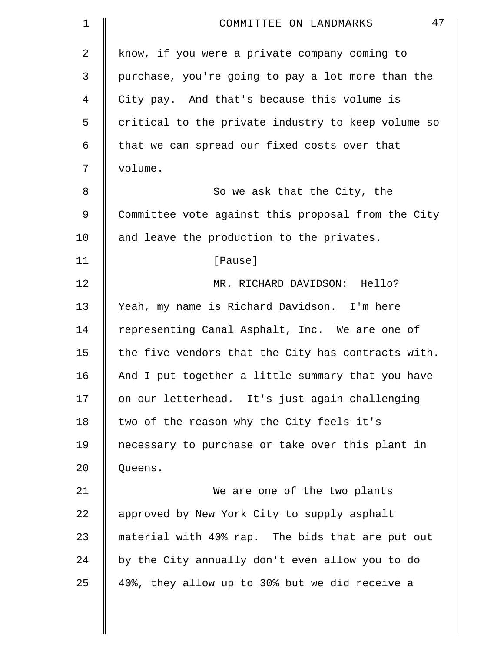| $\mathbf 1$ | 47<br>COMMITTEE ON LANDMARKS                       |
|-------------|----------------------------------------------------|
| 2           | know, if you were a private company coming to      |
| 3           | purchase, you're going to pay a lot more than the  |
| 4           | City pay. And that's because this volume is        |
| 5           | critical to the private industry to keep volume so |
| 6           | that we can spread our fixed costs over that       |
| 7           | volume.                                            |
| 8           | So we ask that the City, the                       |
| 9           | Committee vote against this proposal from the City |
| 10          | and leave the production to the privates.          |
| 11          | [Pause]                                            |
| 12          | MR. RICHARD DAVIDSON: Hello?                       |
| 13          | Yeah, my name is Richard Davidson. I'm here        |
| 14          | representing Canal Asphalt, Inc. We are one of     |
| 15          | the five vendors that the City has contracts with. |
| 16          | And I put together a little summary that you have  |
| 17          | on our letterhead. It's just again challenging     |
| 18          | two of the reason why the City feels it's          |
| 19          | necessary to purchase or take over this plant in   |
| 20          | Queens.                                            |
| 21          | We are one of the two plants                       |
| 22          | approved by New York City to supply asphalt        |
| 23          | material with 40% rap. The bids that are put out   |
| 24          | by the City annually don't even allow you to do    |
| 25          | 40%, they allow up to 30% but we did receive a     |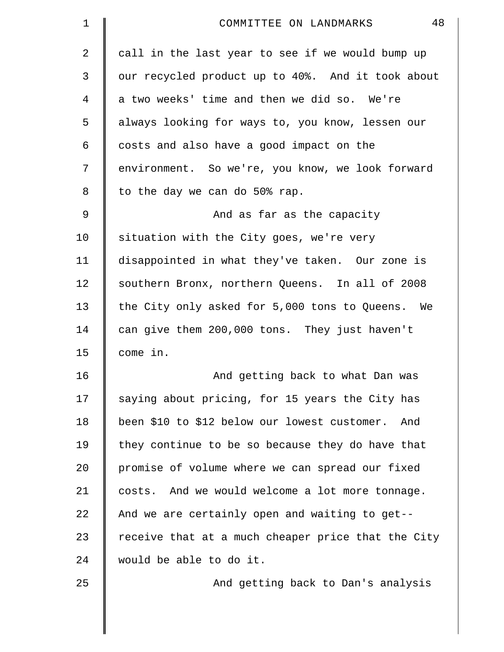| 1  | 48<br>COMMITTEE ON LANDMARKS                       |
|----|----------------------------------------------------|
| 2  | call in the last year to see if we would bump up   |
| 3  | our recycled product up to 40%. And it took about  |
| 4  | a two weeks' time and then we did so. We're        |
| 5  | always looking for ways to, you know, lessen our   |
| 6  | costs and also have a good impact on the           |
| 7  | environment. So we're, you know, we look forward   |
| 8  | to the day we can do 50% rap.                      |
| 9  | And as far as the capacity                         |
| 10 | situation with the City goes, we're very           |
| 11 | disappointed in what they've taken. Our zone is    |
| 12 | southern Bronx, northern Queens. In all of 2008    |
| 13 | the City only asked for 5,000 tons to Queens. We   |
| 14 | can give them 200,000 tons. They just haven't      |
| 15 | come in.                                           |
| 16 | And getting back to what Dan was                   |
| 17 | saying about pricing, for 15 years the City has    |
| 18 | been \$10 to \$12 below our lowest customer. And   |
| 19 | they continue to be so because they do have that   |
| 20 | promise of volume where we can spread our fixed    |
| 21 | costs. And we would welcome a lot more tonnage.    |
| 22 | And we are certainly open and waiting to get--     |
| 23 | receive that at a much cheaper price that the City |
| 24 | would be able to do it.                            |
| 25 | And getting back to Dan's analysis                 |
|    |                                                    |
|    |                                                    |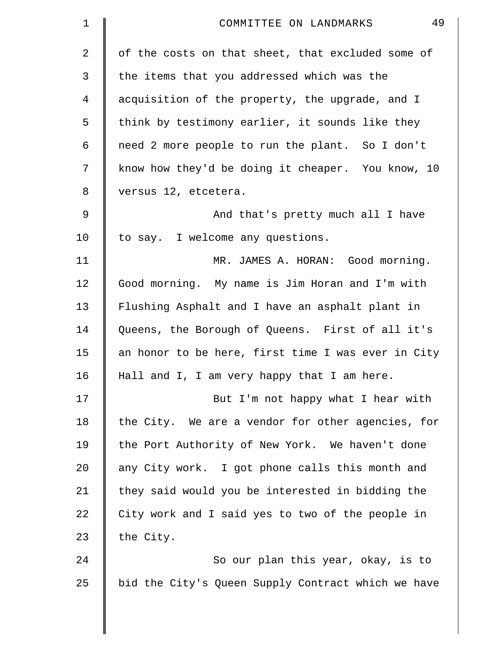| $\mathbf 1$ | 49<br>COMMITTEE ON LANDMARKS                       |
|-------------|----------------------------------------------------|
| 2           | of the costs on that sheet, that excluded some of  |
| 3           | the items that you addressed which was the         |
| 4           | acquisition of the property, the upgrade, and I    |
| 5           | think by testimony earlier, it sounds like they    |
| 6           | need 2 more people to run the plant. So I don't    |
| 7           | know how they'd be doing it cheaper. You know, 10  |
| 8           | versus 12, etcetera.                               |
| 9           | And that's pretty much all I have                  |
| 10          | to say. I welcome any questions.                   |
| 11          | MR. JAMES A. HORAN: Good morning.                  |
| 12          | Good morning. My name is Jim Horan and I'm with    |
| 13          | Flushing Asphalt and I have an asphalt plant in    |
| 14          | Queens, the Borough of Queens. First of all it's   |
| 15          | an honor to be here, first time I was ever in City |
| 16          | Hall and I, I am very happy that I am here.        |
| 17          | But I'm not happy what I hear with                 |
| 18          | the City. We are a vendor for other agencies, for  |
| 19          | the Port Authority of New York. We haven't done    |
| 20          | any City work. I got phone calls this month and    |
| 21          | they said would you be interested in bidding the   |
| 22          | City work and I said yes to two of the people in   |
| 23          | the City.                                          |
| 24          | So our plan this year, okay, is to                 |
| 25          | bid the City's Queen Supply Contract which we have |
|             |                                                    |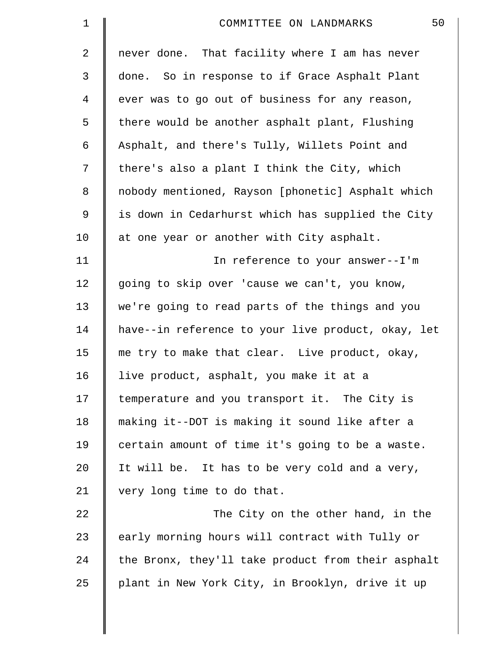| $\mathbf 1$ | 50<br>COMMITTEE ON LANDMARKS                       |
|-------------|----------------------------------------------------|
| 2           | never done. That facility where I am has never     |
| 3           | done. So in response to if Grace Asphalt Plant     |
| 4           | ever was to go out of business for any reason,     |
| 5           | there would be another asphalt plant, Flushing     |
| 6           | Asphalt, and there's Tully, Willets Point and      |
| 7           | there's also a plant I think the City, which       |
| 8           | nobody mentioned, Rayson [phonetic] Asphalt which  |
| 9           | is down in Cedarhurst which has supplied the City  |
| 10          | at one year or another with City asphalt.          |
| 11          | In reference to your answer--I'm                   |
| 12          | going to skip over 'cause we can't, you know,      |
| 13          | we're going to read parts of the things and you    |
| 14          | have--in reference to your live product, okay, let |
| 15          | me try to make that clear. Live product, okay,     |
| 16          | live product, asphalt, you make it at a            |
| 17          | temperature and you transport it. The City is      |
| 18          | making it--DOT is making it sound like after a     |
| 19          | certain amount of time it's going to be a waste.   |
| 20          | It will be. It has to be very cold and a very,     |
| 21          | very long time to do that.                         |
| 22          | The City on the other hand, in the                 |
| 23          | early morning hours will contract with Tully or    |
| 24          | the Bronx, they'll take product from their asphalt |
| 25          | plant in New York City, in Brooklyn, drive it up   |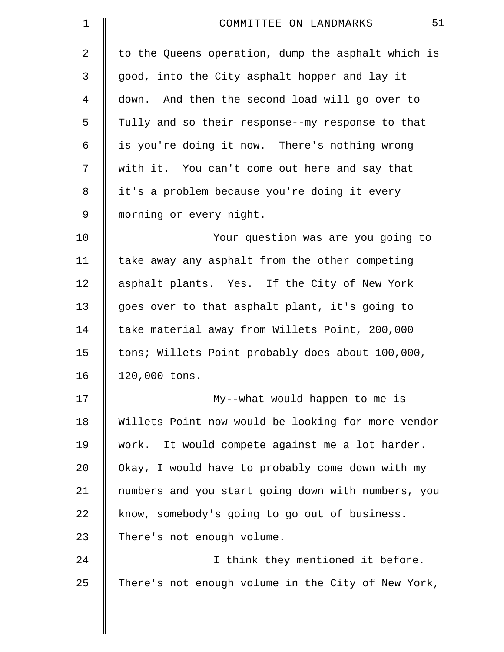| $\mathbf 1$    | 51<br>COMMITTEE ON LANDMARKS                       |
|----------------|----------------------------------------------------|
| $\overline{2}$ | to the Queens operation, dump the asphalt which is |
| 3              | good, into the City asphalt hopper and lay it      |
| 4              | down. And then the second load will go over to     |
| 5              | Tully and so their response--my response to that   |
| 6              | is you're doing it now. There's nothing wrong      |
| 7              | with it. You can't come out here and say that      |
| 8              | it's a problem because you're doing it every       |
| 9              | morning or every night.                            |
| 10             | Your question was are you going to                 |
| 11             | take away any asphalt from the other competing     |
| 12             | asphalt plants. Yes. If the City of New York       |
| 13             | goes over to that asphalt plant, it's going to     |
| 14             | take material away from Willets Point, 200,000     |
| 15             | tons; Willets Point probably does about 100,000,   |
| 16             | 120,000 tons.                                      |
| 17             | My--what would happen to me is                     |
| 18             | Willets Point now would be looking for more vendor |
| 19             | work. It would compete against me a lot harder.    |
| 20             | Okay, I would have to probably come down with my   |
| 21             | numbers and you start going down with numbers, you |
| 22             | know, somebody's going to go out of business.      |
| 23             | There's not enough volume.                         |
| 24             | I think they mentioned it before.                  |
| 25             | There's not enough volume in the City of New York, |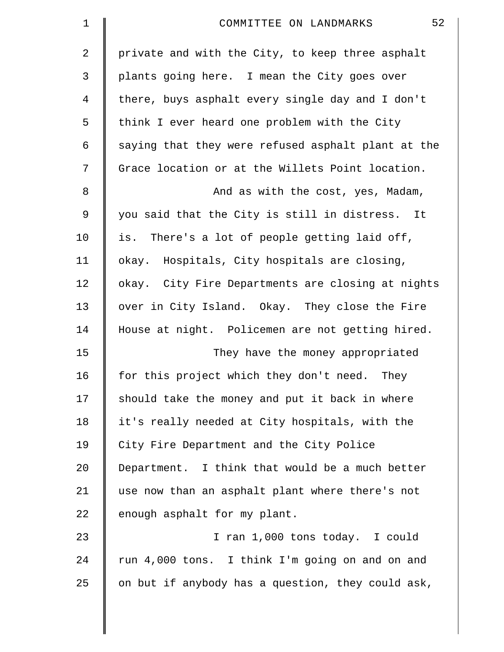| $\mathbf 1$ | 52<br>COMMITTEE ON LANDMARKS                       |
|-------------|----------------------------------------------------|
| 2           | private and with the City, to keep three asphalt   |
| 3           | plants going here. I mean the City goes over       |
| 4           | there, buys asphalt every single day and I don't   |
| 5           | think I ever heard one problem with the City       |
| 6           | saying that they were refused asphalt plant at the |
| 7           | Grace location or at the Willets Point location.   |
| 8           | And as with the cost, yes, Madam,                  |
| $\mathsf 9$ | you said that the City is still in distress. It    |
| 10          | is. There's a lot of people getting laid off,      |
| 11          | okay. Hospitals, City hospitals are closing,       |
| 12          | okay. City Fire Departments are closing at nights  |
| 13          | over in City Island. Okay. They close the Fire     |
| 14          | House at night. Policemen are not getting hired.   |
| 15          | They have the money appropriated                   |
| 16          | for this project which they don't need.<br>They    |
| 17          | should take the money and put it back in where     |
| 18          | it's really needed at City hospitals, with the     |
| 19          | City Fire Department and the City Police           |
| 20          | Department. I think that would be a much better    |
| 21          | use now than an asphalt plant where there's not    |
| 22          | enough asphalt for my plant.                       |
| 23          | I ran 1,000 tons today. I could                    |
| 24          | run 4,000 tons. I think I'm going on and on and    |
| 25          | on but if anybody has a question, they could ask,  |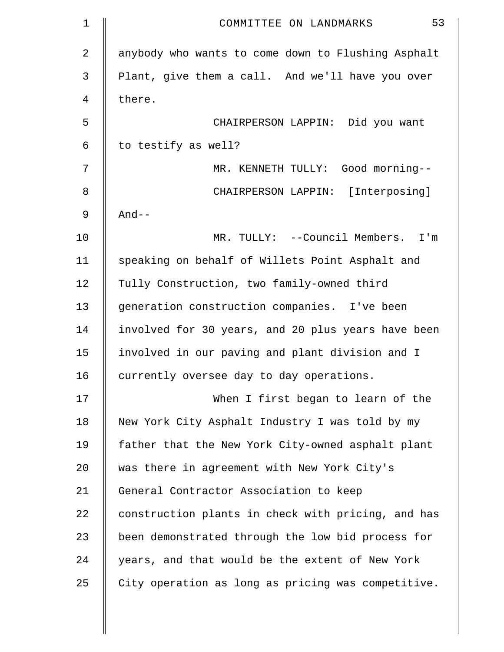| $\mathbf 1$    | 53<br>COMMITTEE ON LANDMARKS                       |
|----------------|----------------------------------------------------|
| $\overline{2}$ | anybody who wants to come down to Flushing Asphalt |
| 3              | Plant, give them a call. And we'll have you over   |
| 4              | there.                                             |
| 5              | CHAIRPERSON LAPPIN: Did you want                   |
| 6              | to testify as well?                                |
| 7              | MR. KENNETH TULLY: Good morning--                  |
| 8              | CHAIRPERSON LAPPIN: [Interposing]                  |
| 9              | $And--$                                            |
| 10             | MR. TULLY: --Council Members. I'm                  |
| 11             | speaking on behalf of Willets Point Asphalt and    |
| 12             | Tully Construction, two family-owned third         |
| 13             | generation construction companies. I've been       |
| 14             | involved for 30 years, and 20 plus years have been |
| 15             | involved in our paving and plant division and I    |
| 16             | currently oversee day to day operations.           |
| 17             | When I first began to learn of the                 |
| 18             | New York City Asphalt Industry I was told by my    |
| 19             | father that the New York City-owned asphalt plant  |
| 20             | was there in agreement with New York City's        |
| 21             | General Contractor Association to keep             |
| 22             | construction plants in check with pricing, and has |
| 23             | been demonstrated through the low bid process for  |
| 24             | years, and that would be the extent of New York    |
| 25             | City operation as long as pricing was competitive. |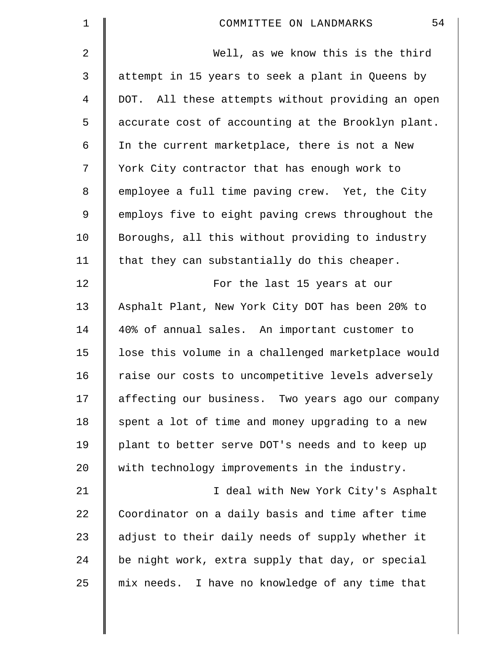| $\mathbf 1$    | 54<br>COMMITTEE ON LANDMARKS                       |
|----------------|----------------------------------------------------|
| $\mathbf{2}$   | Well, as we know this is the third                 |
| 3              | attempt in 15 years to seek a plant in Queens by   |
| $\overline{4}$ | DOT. All these attempts without providing an open  |
| 5              | accurate cost of accounting at the Brooklyn plant. |
| 6              | In the current marketplace, there is not a New     |
| 7              | York City contractor that has enough work to       |
| $\,8\,$        | employee a full time paving crew. Yet, the City    |
| 9              | employs five to eight paving crews throughout the  |
| 10             | Boroughs, all this without providing to industry   |
| 11             | that they can substantially do this cheaper.       |
| 12             | For the last 15 years at our                       |
| 13             | Asphalt Plant, New York City DOT has been 20% to   |
| 14             | 40% of annual sales. An important customer to      |
| 15             | lose this volume in a challenged marketplace would |
| 16             | raise our costs to uncompetitive levels adversely  |
| 17             | affecting our business. Two years ago our company  |
| 18             | spent a lot of time and money upgrading to a new   |
| 19             | plant to better serve DOT's needs and to keep up   |
| 20             | with technology improvements in the industry.      |
| 21             | I deal with New York City's Asphalt                |
| 22             | Coordinator on a daily basis and time after time   |
| 23             | adjust to their daily needs of supply whether it   |
| 24             | be night work, extra supply that day, or special   |
| 25             | mix needs. I have no knowledge of any time that    |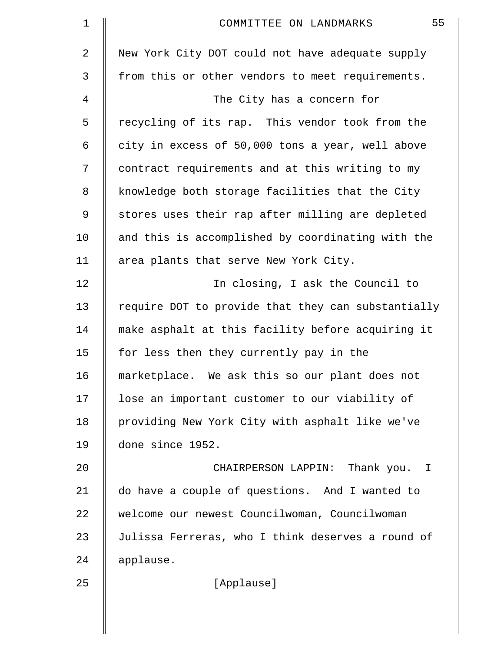| 1  | 55<br>COMMITTEE ON LANDMARKS                       |
|----|----------------------------------------------------|
| 2  | New York City DOT could not have adequate supply   |
| 3  | from this or other vendors to meet requirements.   |
| 4  | The City has a concern for                         |
| 5  | recycling of its rap. This vendor took from the    |
| 6  | city in excess of 50,000 tons a year, well above   |
| 7  | contract requirements and at this writing to my    |
| 8  | knowledge both storage facilities that the City    |
| 9  | stores uses their rap after milling are depleted   |
| 10 | and this is accomplished by coordinating with the  |
| 11 | area plants that serve New York City.              |
| 12 | In closing, I ask the Council to                   |
| 13 | require DOT to provide that they can substantially |
| 14 | make asphalt at this facility before acquiring it  |
| 15 | for less then they currently pay in the            |
| 16 | marketplace. We ask this so our plant does not     |
| 17 | lose an important customer to our viability of     |
| 18 | providing New York City with asphalt like we've    |
| 19 | done since 1952.                                   |
| 20 | CHAIRPERSON LAPPIN: Thank you. I                   |
| 21 | do have a couple of questions. And I wanted to     |
| 22 | welcome our newest Councilwoman, Councilwoman      |
| 23 | Julissa Ferreras, who I think deserves a round of  |
| 24 | applause.                                          |
| 25 | [Applause]                                         |
|    |                                                    |

 $\parallel$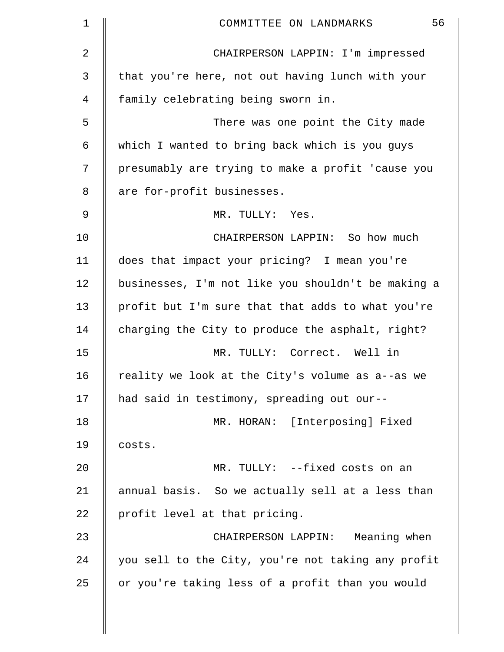| $\mathbf 1$ | 56<br>COMMITTEE ON LANDMARKS                       |
|-------------|----------------------------------------------------|
| 2           | CHAIRPERSON LAPPIN: I'm impressed                  |
| 3           | that you're here, not out having lunch with your   |
| 4           | family celebrating being sworn in.                 |
| 5           | There was one point the City made                  |
| 6           | which I wanted to bring back which is you guys     |
| 7           | presumably are trying to make a profit 'cause you  |
| 8           | are for-profit businesses.                         |
| 9           | MR. TULLY: Yes.                                    |
| 10          | CHAIRPERSON LAPPIN: So how much                    |
| 11          | does that impact your pricing? I mean you're       |
| 12          | businesses, I'm not like you shouldn't be making a |
| 13          | profit but I'm sure that that adds to what you're  |
| 14          | charging the City to produce the asphalt, right?   |
| 15          | MR. TULLY: Correct. Well in                        |
| 16          | reality we look at the City's volume as a--as we   |
| 17          | had said in testimony, spreading out our--         |
| 18          | MR. HORAN: [Interposing] Fixed                     |
| 19          | costs.                                             |
| 20          | MR. TULLY: --fixed costs on an                     |
| 21          | annual basis. So we actually sell at a less than   |
| 22          | profit level at that pricing.                      |
| 23          | CHAIRPERSON LAPPIN: Meaning when                   |
| 24          | you sell to the City, you're not taking any profit |
| 25          | or you're taking less of a profit than you would   |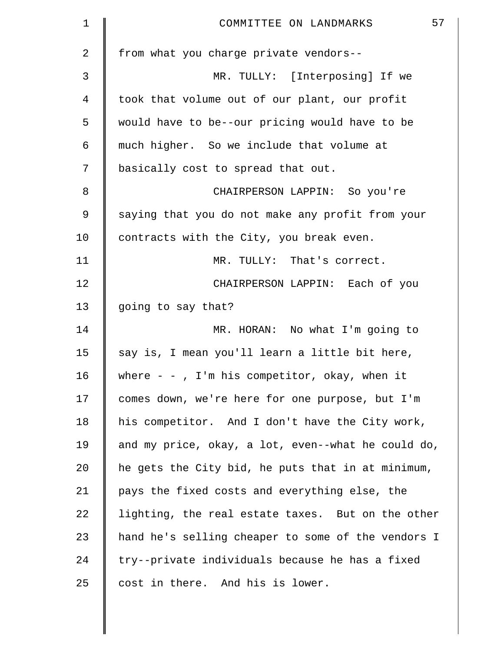| $\mathbf 1$ | 57<br>COMMITTEE ON LANDMARKS                       |
|-------------|----------------------------------------------------|
| 2           | from what you charge private vendors--             |
| 3           | MR. TULLY: [Interposing] If we                     |
| 4           | took that volume out of our plant, our profit      |
| 5           | would have to be--our pricing would have to be     |
| 6           | much higher. So we include that volume at          |
| 7           | basically cost to spread that out.                 |
| 8           | CHAIRPERSON LAPPIN: So you're                      |
| 9           | saying that you do not make any profit from your   |
| 10          | contracts with the City, you break even.           |
| 11          | MR. TULLY: That's correct.                         |
| 12          | CHAIRPERSON LAPPIN: Each of you                    |
| 13          | going to say that?                                 |
| 14          | MR. HORAN: No what I'm going to                    |
| 15          | say is, I mean you'll learn a little bit here,     |
| 16          | where $-$ - , I'm his competitor, okay, when it    |
| 17          | comes down, we're here for one purpose, but I'm    |
| 18          | his competitor. And I don't have the City work,    |
| 19          | and my price, okay, a lot, even--what he could do, |
| 20          | he gets the City bid, he puts that in at minimum,  |
| 21          | pays the fixed costs and everything else, the      |
| 22          | lighting, the real estate taxes. But on the other  |
| 23          | hand he's selling cheaper to some of the vendors I |
| 24          | try--private individuals because he has a fixed    |
| 25          | cost in there. And his is lower.                   |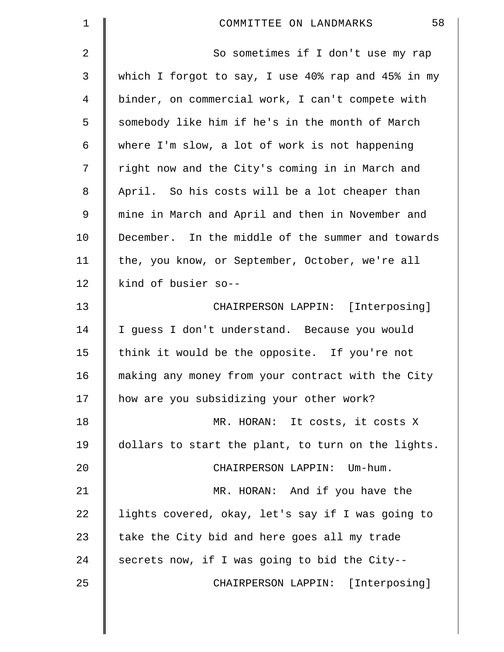| 1  | 58<br>COMMITTEE ON LANDMARKS                       |
|----|----------------------------------------------------|
| 2  | So sometimes if I don't use my rap                 |
| 3  | which I forgot to say, I use 40% rap and 45% in my |
| 4  | binder, on commercial work, I can't compete with   |
| 5  | somebody like him if he's in the month of March    |
| 6  | where I'm slow, a lot of work is not happening     |
| 7  | right now and the City's coming in in March and    |
| 8  | April. So his costs will be a lot cheaper than     |
| 9  | mine in March and April and then in November and   |
| 10 | December. In the middle of the summer and towards  |
| 11 | the, you know, or September, October, we're all    |
| 12 | kind of busier so--                                |
| 13 | CHAIRPERSON LAPPIN: [Interposing]                  |
| 14 | I guess I don't understand. Because you would      |
| 15 | think it would be the opposite. If you're not      |
| 16 | making any money from your contract with the City  |
| 17 | how are you subsidizing your other work?           |
| 18 | MR. HORAN: It costs, it costs X                    |
| 19 | dollars to start the plant, to turn on the lights. |
| 20 | CHAIRPERSON LAPPIN: Um-hum.                        |
| 21 | MR. HORAN: And if you have the                     |
| 22 | lights covered, okay, let's say if I was going to  |
| 23 | take the City bid and here goes all my trade       |
| 24 | secrets now, if I was going to bid the City--      |
| 25 | CHAIRPERSON LAPPIN: [Interposing]                  |
|    |                                                    |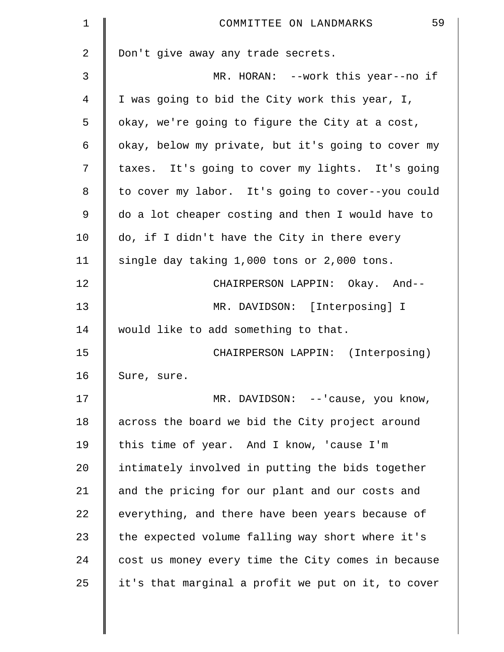| $\mathbf 1$ | 59<br>COMMITTEE ON LANDMARKS                       |
|-------------|----------------------------------------------------|
| 2           | Don't give away any trade secrets.                 |
| 3           | MR. HORAN: --work this year--no if                 |
| 4           | I was going to bid the City work this year, I,     |
| 5           | okay, we're going to figure the City at a cost,    |
| 6           | okay, below my private, but it's going to cover my |
| 7           | taxes. It's going to cover my lights. It's going   |
| 8           | to cover my labor. It's going to cover--you could  |
| 9           | do a lot cheaper costing and then I would have to  |
| 10          | do, if I didn't have the City in there every       |
| 11          | single day taking 1,000 tons or 2,000 tons.        |
| 12          | CHAIRPERSON LAPPIN: Okay. And--                    |
| 13          | MR. DAVIDSON: [Interposing] I                      |
| 14          | would like to add something to that.               |
| 15          | CHAIRPERSON LAPPIN: (Interposing)                  |
| 16          | Sure, sure.                                        |
| 17          | MR. DAVIDSON: --'cause, you know,                  |
| 18          | across the board we bid the City project around    |
| 19          | this time of year. And I know, 'cause I'm          |
| 20          | intimately involved in putting the bids together   |
| 21          | and the pricing for our plant and our costs and    |
| 22          | everything, and there have been years because of   |
| 23          | the expected volume falling way short where it's   |
| 24          | cost us money every time the City comes in because |
| 25          | it's that marginal a profit we put on it, to cover |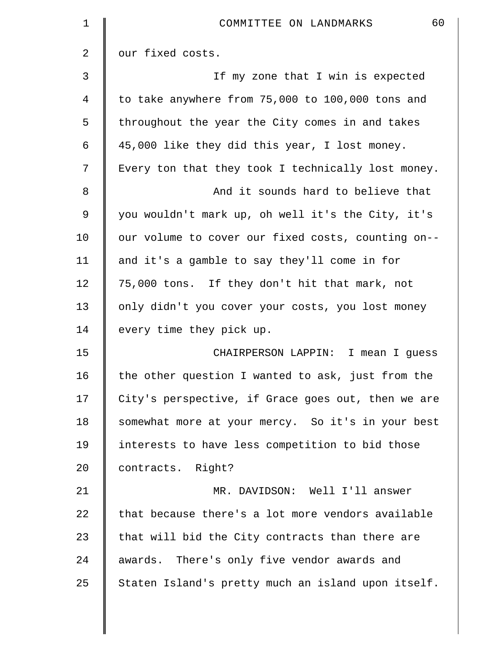| 1              | 60<br>COMMITTEE ON LANDMARKS                       |
|----------------|----------------------------------------------------|
| $\overline{2}$ | our fixed costs.                                   |
| 3              | If my zone that I win is expected                  |
| 4              | to take anywhere from 75,000 to 100,000 tons and   |
| 5              | throughout the year the City comes in and takes    |
| 6              | 45,000 like they did this year, I lost money.      |
| 7              | Every ton that they took I technically lost money. |
| 8              | And it sounds hard to believe that                 |
| $\mathfrak{g}$ | you wouldn't mark up, oh well it's the City, it's  |
| 10             | our volume to cover our fixed costs, counting on-- |
| 11             | and it's a gamble to say they'll come in for       |
| 12             | 75,000 tons. If they don't hit that mark, not      |
| 13             | only didn't you cover your costs, you lost money   |
| 14             | every time they pick up.                           |
| 15             | CHAIRPERSON LAPPIN: I mean I guess                 |
| 16             | the other question I wanted to ask, just from the  |
| 17             | City's perspective, if Grace goes out, then we are |
| 18             | somewhat more at your mercy. So it's in your best  |
| 19             | interests to have less competition to bid those    |
| 20             | contracts. Right?                                  |
| 21             | MR. DAVIDSON: Well I'll answer                     |
| 22             | that because there's a lot more vendors available  |
| 23             | that will bid the City contracts than there are    |
| 24             | awards. There's only five vendor awards and        |
| 25             | Staten Island's pretty much an island upon itself. |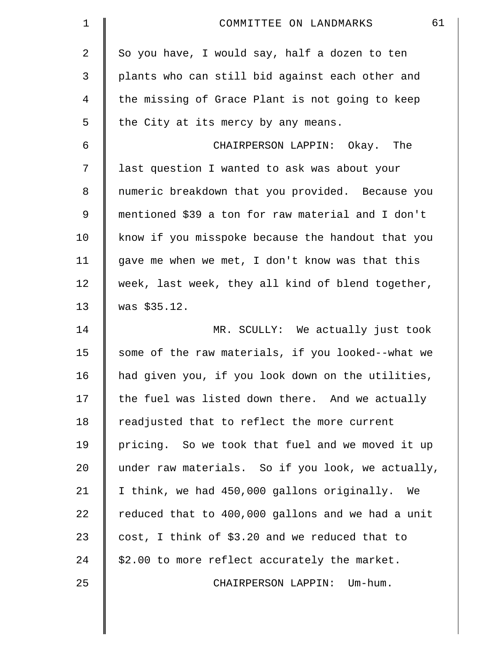| $\mathbf 1$    | 61<br>COMMITTEE ON LANDMARKS                      |
|----------------|---------------------------------------------------|
| 2              | So you have, I would say, half a dozen to ten     |
| 3              | plants who can still bid against each other and   |
| $\overline{4}$ | the missing of Grace Plant is not going to keep   |
| 5              | the City at its mercy by any means.               |
| 6              | CHAIRPERSON LAPPIN: Okay. The                     |
| 7              | last question I wanted to ask was about your      |
| 8              | numeric breakdown that you provided. Because you  |
| 9              | mentioned \$39 a ton for raw material and I don't |
| 10             | know if you misspoke because the handout that you |
| 11             | gave me when we met, I don't know was that this   |
| 12             | week, last week, they all kind of blend together, |
| 13             | was \$35.12.                                      |
| 14             | MR. SCULLY: We actually just took                 |
| 15             | some of the raw materials, if you looked--what we |
| 16             | had given you, if you look down on the utilities, |
| 17             | the fuel was listed down there. And we actually   |
| 18             | readjusted that to reflect the more current       |
| 19             | pricing. So we took that fuel and we moved it up  |
| 20             | under raw materials. So if you look, we actually, |
| 21             | I think, we had 450,000 gallons originally.<br>We |
| 22             | reduced that to 400,000 gallons and we had a unit |
| 23             | cost, I think of \$3.20 and we reduced that to    |
| 24             | \$2.00 to more reflect accurately the market.     |
| 25             | CHAIRPERSON LAPPIN: Um-hum.                       |
|                |                                                   |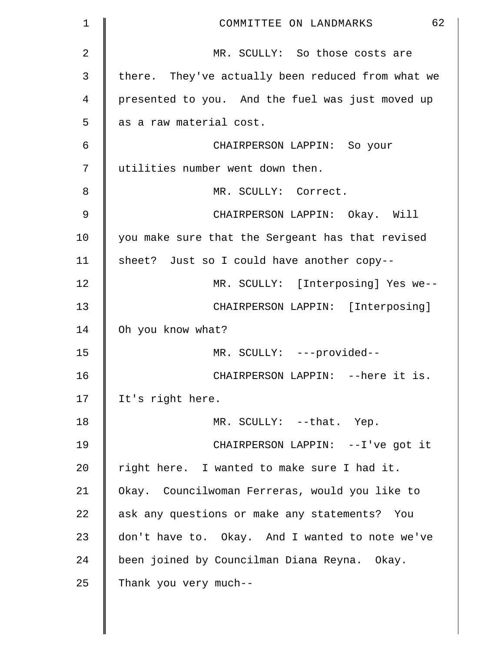| $\mathbf 1$    | 62<br>COMMITTEE ON LANDMARKS                      |
|----------------|---------------------------------------------------|
| $\overline{2}$ | MR. SCULLY: So those costs are                    |
| 3              | there. They've actually been reduced from what we |
| 4              | presented to you. And the fuel was just moved up  |
| 5              | as a raw material cost.                           |
| 6              | CHAIRPERSON LAPPIN: So your                       |
| 7              | utilities number went down then.                  |
| 8              | MR. SCULLY: Correct.                              |
| 9              | CHAIRPERSON LAPPIN: Okay. Will                    |
| 10             | you make sure that the Sergeant has that revised  |
| 11             | sheet? Just so I could have another copy--        |
| 12             | MR. SCULLY: [Interposing] Yes we--                |
| 13             | CHAIRPERSON LAPPIN: [Interposing]                 |
| 14             | Oh you know what?                                 |
| 15             | MR. SCULLY: ---provided--                         |
| 16             | CHAIRPERSON LAPPIN: -- here it is.                |
| 17             | It's right here.                                  |
| 18             | MR. SCULLY: --that. Yep.                          |
| 19             | CHAIRPERSON LAPPIN: --I've got it                 |
| 20             | right here. I wanted to make sure I had it.       |
| 21             | Okay. Councilwoman Ferreras, would you like to    |
| 22             | ask any questions or make any statements? You     |
| 23             | don't have to. Okay. And I wanted to note we've   |
| 24             | been joined by Councilman Diana Reyna. Okay.      |
| 25             | Thank you very much--                             |
|                |                                                   |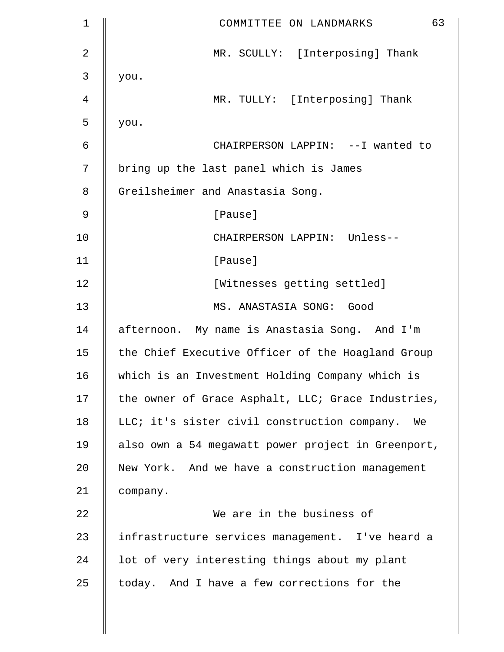| $\mathbf 1$    | 63<br>COMMITTEE ON LANDMARKS                       |
|----------------|----------------------------------------------------|
| $\overline{2}$ | MR. SCULLY: [Interposing] Thank                    |
| 3              | you.                                               |
| 4              | MR. TULLY: [Interposing] Thank                     |
| 5              | you.                                               |
| 6              | CHAIRPERSON LAPPIN: --I wanted to                  |
| 7              | bring up the last panel which is James             |
| 8              | Greilsheimer and Anastasia Song.                   |
| 9              | [Pause]                                            |
| 10             | CHAIRPERSON LAPPIN: Unless--                       |
| 11             | [Pause]                                            |
| 12             | [Witnesses getting settled]                        |
| 13             | MS. ANASTASIA SONG: Good                           |
| 14             | afternoon. My name is Anastasia Song. And I'm      |
| 15             | the Chief Executive Officer of the Hoagland Group  |
| 16             | which is an Investment Holding Company which is    |
| 17             | the owner of Grace Asphalt, LLC; Grace Industries, |
| 18             | LLC; it's sister civil construction company. We    |
| 19             | also own a 54 megawatt power project in Greenport, |
| 20             | New York. And we have a construction management    |
| 21             | company.                                           |
| 22             | We are in the business of                          |
| 23             | infrastructure services management. I've heard a   |
| 24             | lot of very interesting things about my plant      |
| 25             | today. And I have a few corrections for the        |
|                |                                                    |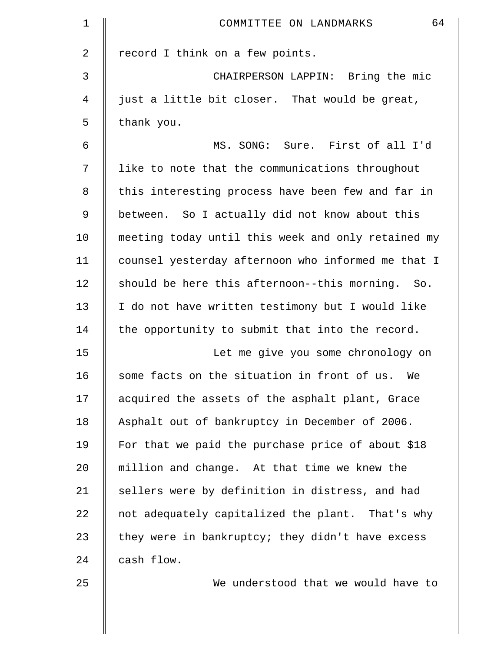| $\mathbf 1$ | 64<br>COMMITTEE ON LANDMARKS                       |
|-------------|----------------------------------------------------|
| 2           | record I think on a few points.                    |
| 3           | CHAIRPERSON LAPPIN: Bring the mic                  |
| 4           | just a little bit closer. That would be great,     |
| 5           | thank you.                                         |
| 6           | MS. SONG: Sure. First of all I'd                   |
| 7           | like to note that the communications throughout    |
| 8           | this interesting process have been few and far in  |
| 9           | between. So I actually did not know about this     |
| 10          | meeting today until this week and only retained my |
| 11          | counsel yesterday afternoon who informed me that I |
| 12          | should be here this afternoon--this morning. So.   |
| 13          | I do not have written testimony but I would like   |
| 14          | the opportunity to submit that into the record.    |
| 15          | Let me give you some chronology on                 |
| 16          | some facts on the situation in front of us.<br>We  |
| 17          | acquired the assets of the asphalt plant, Grace    |
| 18          | Asphalt out of bankruptcy in December of 2006.     |
| 19          | For that we paid the purchase price of about \$18  |
| 20          | million and change. At that time we knew the       |
| 21          | sellers were by definition in distress, and had    |
| 22          | not adequately capitalized the plant. That's why   |
| 23          | they were in bankruptcy; they didn't have excess   |
| 24          | cash flow.                                         |
| 25          | We understood that we would have to                |
|             |                                                    |

 $\parallel$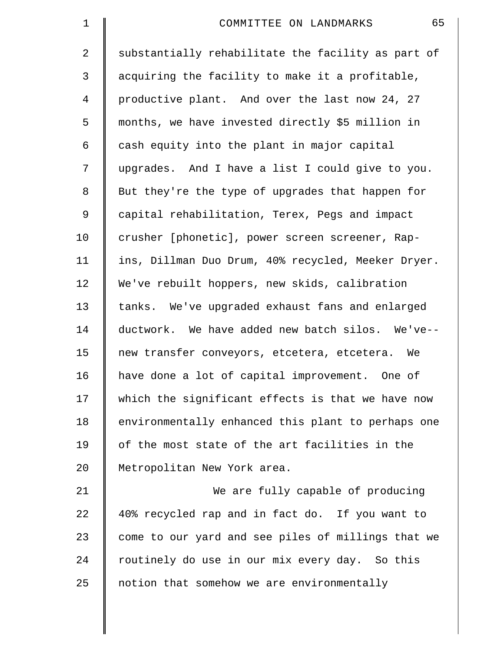| $\mathbf 1$ | 65<br>COMMITTEE ON LANDMARKS                       |
|-------------|----------------------------------------------------|
| 2           | substantially rehabilitate the facility as part of |
| 3           | acquiring the facility to make it a profitable,    |
| 4           | productive plant. And over the last now 24, 27     |
| 5           | months, we have invested directly \$5 million in   |
| 6           | cash equity into the plant in major capital        |
| 7           | upgrades. And I have a list I could give to you.   |
| 8           | But they're the type of upgrades that happen for   |
| 9           | capital rehabilitation, Terex, Pegs and impact     |
| 10          | crusher [phonetic], power screen screener, Rap-    |
| 11          | ins, Dillman Duo Drum, 40% recycled, Meeker Dryer. |
| 12          | We've rebuilt hoppers, new skids, calibration      |
| 13          | tanks. We've upgraded exhaust fans and enlarged    |
| 14          | ductwork. We have added new batch silos. We've--   |
| 15          | new transfer conveyors, etcetera, etcetera. We     |
| 16          | have done a lot of capital improvement. One of     |
| 17          | which the significant effects is that we have now  |
| 18          | environmentally enhanced this plant to perhaps one |
| 19          | of the most state of the art facilities in the     |
| 20          | Metropolitan New York area.                        |
| 21          | We are fully capable of producing                  |
| 22          | 40% recycled rap and in fact do. If you want to    |
| 23          | come to our yard and see piles of millings that we |
| 24          | routinely do use in our mix every day. So this     |
| 25          | notion that somehow we are environmentally         |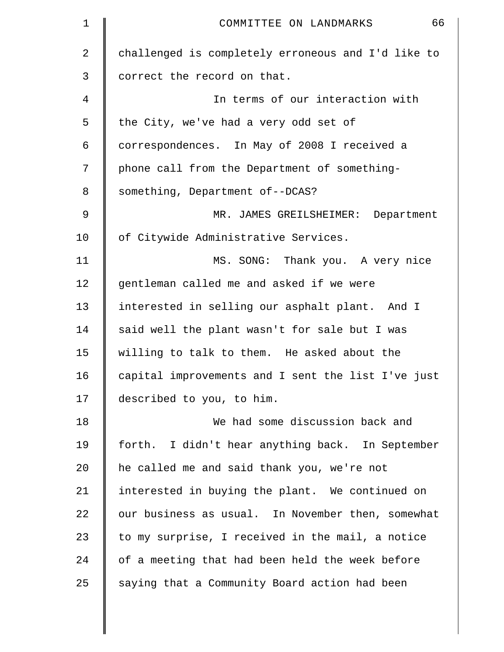| $\mathbf 1$    | 66<br>COMMITTEE ON LANDMARKS                       |
|----------------|----------------------------------------------------|
| $\overline{a}$ | challenged is completely erroneous and I'd like to |
| 3              | correct the record on that.                        |
| 4              | In terms of our interaction with                   |
| 5              | the City, we've had a very odd set of              |
| 6              | correspondences. In May of 2008 I received a       |
| 7              | phone call from the Department of something-       |
| 8              | something, Department of--DCAS?                    |
| 9              | MR. JAMES GREILSHEIMER: Department                 |
| 10             | of Citywide Administrative Services.               |
| 11             | MS. SONG: Thank you. A very nice                   |
| 12             | gentleman called me and asked if we were           |
| 13             | interested in selling our asphalt plant. And I     |
| 14             | said well the plant wasn't for sale but I was      |
| 15             | willing to talk to them. He asked about the        |
| 16             | capital improvements and I sent the list I've just |
| 17             | described to you, to him.                          |
| 18             | We had some discussion back and                    |
| 19             | forth. I didn't hear anything back. In September   |
| 20             | he called me and said thank you, we're not         |
| 21             | interested in buying the plant. We continued on    |
| 22             | our business as usual. In November then, somewhat  |
| 23             | to my surprise, I received in the mail, a notice   |
| 24             | of a meeting that had been held the week before    |
| 25             | saying that a Community Board action had been      |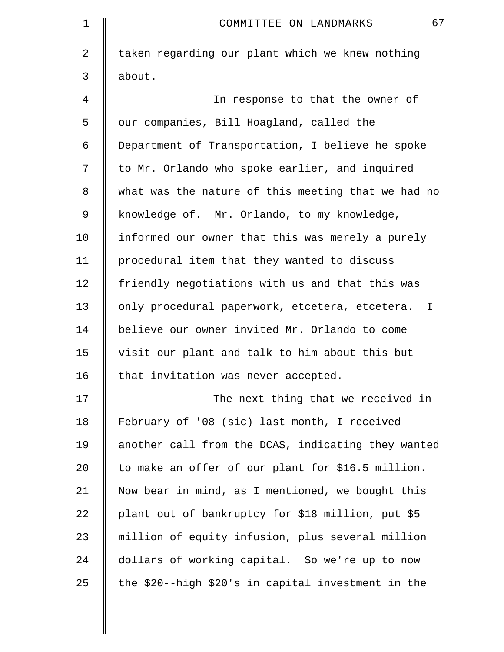| 1              | 67<br>COMMITTEE ON LANDMARKS                       |
|----------------|----------------------------------------------------|
| $\overline{a}$ | taken regarding our plant which we knew nothing    |
| 3              | about.                                             |
| 4              | In response to that the owner of                   |
| 5              | our companies, Bill Hoagland, called the           |
| 6              | Department of Transportation, I believe he spoke   |
| 7              | to Mr. Orlando who spoke earlier, and inquired     |
| 8              | what was the nature of this meeting that we had no |
| 9              | knowledge of. Mr. Orlando, to my knowledge,        |
| 10             | informed our owner that this was merely a purely   |
| 11             | procedural item that they wanted to discuss        |
| 12             | friendly negotiations with us and that this was    |
| 13             | only procedural paperwork, etcetera, etcetera. I   |
| 14             | believe our owner invited Mr. Orlando to come      |
| 15             | visit our plant and talk to him about this but     |
| 16             | that invitation was never accepted.                |
| 17             | The next thing that we received in                 |
| 18             | February of '08 (sic) last month, I received       |
| 19             | another call from the DCAS, indicating they wanted |
| 20             | to make an offer of our plant for \$16.5 million.  |
| 21             | Now bear in mind, as I mentioned, we bought this   |
| 22             | plant out of bankruptcy for \$18 million, put \$5  |
| 23             | million of equity infusion, plus several million   |
| 24             | dollars of working capital. So we're up to now     |
| 25             | the \$20--high \$20's in capital investment in the |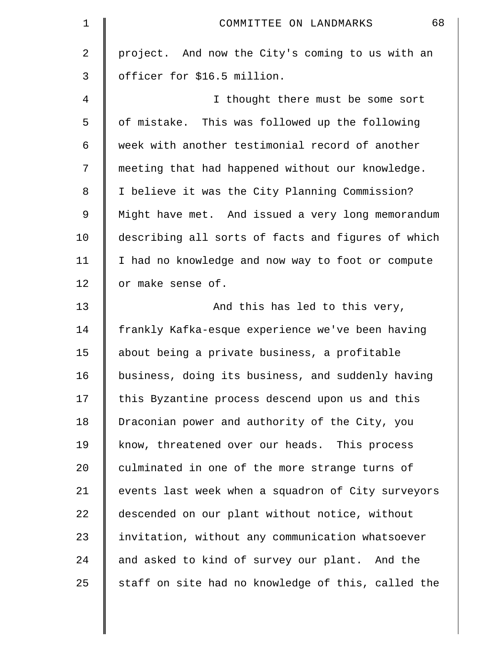| 1  | 68<br>COMMITTEE ON LANDMARKS                       |
|----|----------------------------------------------------|
| 2  | project. And now the City's coming to us with an   |
| 3  | officer for \$16.5 million.                        |
| 4  | I thought there must be some sort                  |
| 5  | of mistake. This was followed up the following     |
| 6  | week with another testimonial record of another    |
| 7  | meeting that had happened without our knowledge.   |
| 8  | I believe it was the City Planning Commission?     |
| 9  | Might have met. And issued a very long memorandum  |
| 10 | describing all sorts of facts and figures of which |
| 11 | I had no knowledge and now way to foot or compute  |
| 12 | or make sense of.                                  |
| 13 | And this has led to this very,                     |
| 14 | frankly Kafka-esque experience we've been having   |
| 15 | about being a private business, a profitable       |
| 16 | business, doing its business, and suddenly having  |
| 17 | this Byzantine process descend upon us and this    |
| 18 | Draconian power and authority of the City, you     |
| 19 | know, threatened over our heads. This process      |
| 20 | culminated in one of the more strange turns of     |
| 21 | events last week when a squadron of City surveyors |
| 22 | descended on our plant without notice, without     |
| 23 | invitation, without any communication whatsoever   |
| 24 | and asked to kind of survey our plant. And the     |
| 25 | staff on site had no knowledge of this, called the |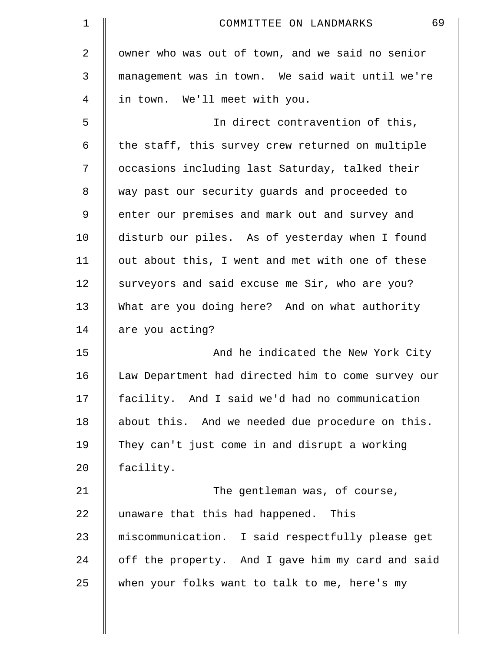| 1              | 69<br>COMMITTEE ON LANDMARKS                       |
|----------------|----------------------------------------------------|
| $\overline{a}$ | owner who was out of town, and we said no senior   |
| 3              | management was in town. We said wait until we're   |
| 4              | in town. We'll meet with you.                      |
| 5              | In direct contravention of this,                   |
| 6              | the staff, this survey crew returned on multiple   |
| 7              | occasions including last Saturday, talked their    |
| 8              | way past our security guards and proceeded to      |
| 9              | enter our premises and mark out and survey and     |
| 10             | disturb our piles. As of yesterday when I found    |
| 11             | out about this, I went and met with one of these   |
| 12             | surveyors and said excuse me Sir, who are you?     |
| 13             | What are you doing here? And on what authority     |
| 14             | are you acting?                                    |
| 15             | And he indicated the New York City                 |
| 16             | Law Department had directed him to come survey our |
| 17             | facility. And I said we'd had no communication     |
| 18             | about this. And we needed due procedure on this.   |
| 19             | They can't just come in and disrupt a working      |
| 20             | facility.                                          |
| 21             | The gentleman was, of course,                      |
| 22             | unaware that this had happened. This               |
| 23             | miscommunication. I said respectfully please get   |
| 24             | off the property. And I gave him my card and said  |
| 25             | when your folks want to talk to me, here's my      |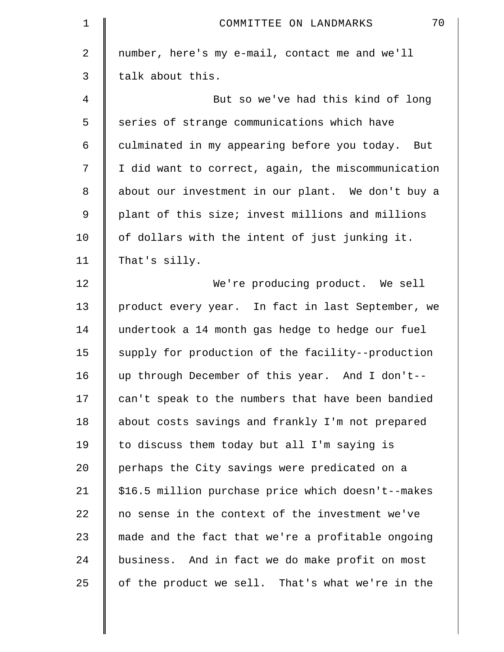| 1  | 70<br>COMMITTEE ON LANDMARKS                       |
|----|----------------------------------------------------|
| 2  | number, here's my e-mail, contact me and we'll     |
| 3  | talk about this.                                   |
| 4  | But so we've had this kind of long                 |
| 5  | series of strange communications which have        |
| 6  | culminated in my appearing before you today. But   |
| 7  | I did want to correct, again, the miscommunication |
| 8  | about our investment in our plant. We don't buy a  |
| 9  | plant of this size; invest millions and millions   |
| 10 | of dollars with the intent of just junking it.     |
| 11 | That's silly.                                      |
| 12 | We're producing product. We sell                   |
| 13 | product every year. In fact in last September, we  |
| 14 | undertook a 14 month gas hedge to hedge our fuel   |
| 15 | supply for production of the facility--production  |
| 16 | up through December of this year. And I don't--    |
| 17 | can't speak to the numbers that have been bandied  |
| 18 | about costs savings and frankly I'm not prepared   |
| 19 | to discuss them today but all I'm saying is        |
| 20 | perhaps the City savings were predicated on a      |
| 21 | \$16.5 million purchase price which doesn't--makes |
| 22 | no sense in the context of the investment we've    |
| 23 | made and the fact that we're a profitable ongoing  |
| 24 | business. And in fact we do make profit on most    |
| 25 | of the product we sell. That's what we're in the   |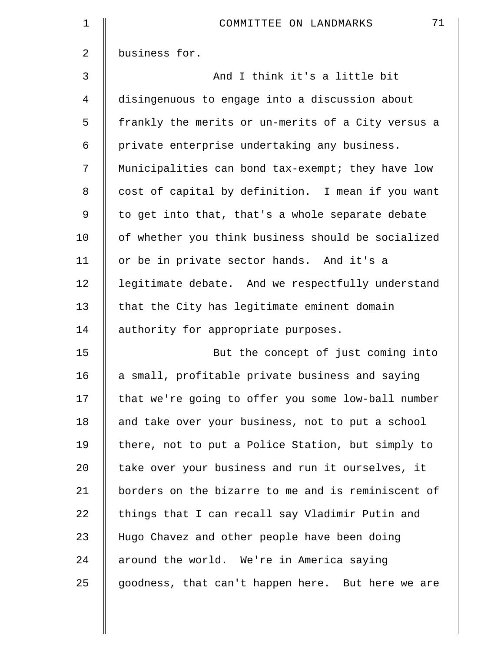| $\mathbf 1$    | 71<br>COMMITTEE ON LANDMARKS                       |
|----------------|----------------------------------------------------|
| $\overline{2}$ | business for.                                      |
| 3              | And I think it's a little bit                      |
| 4              | disingenuous to engage into a discussion about     |
| 5              | frankly the merits or un-merits of a City versus a |
| 6              | private enterprise undertaking any business.       |
| 7              | Municipalities can bond tax-exempt; they have low  |
| 8              | cost of capital by definition. I mean if you want  |
| 9              | to get into that, that's a whole separate debate   |
| 10             | of whether you think business should be socialized |
| 11             | or be in private sector hands. And it's a          |
| 12             | legitimate debate. And we respectfully understand  |
| 13             | that the City has legitimate eminent domain        |
| 14             | authority for appropriate purposes.                |
| 15             | But the concept of just coming into                |
| 16             | a small, profitable private business and saying    |
| 17             | that we're going to offer you some low-ball number |
| 18             | and take over your business, not to put a school   |
| 19             | there, not to put a Police Station, but simply to  |
| 20             | take over your business and run it ourselves, it   |
| 21             | borders on the bizarre to me and is reminiscent of |
| 22             | things that I can recall say Vladimir Putin and    |
| 23             | Hugo Chavez and other people have been doing       |
| 24             | around the world. We're in America saying          |
| 25             | goodness, that can't happen here. But here we are  |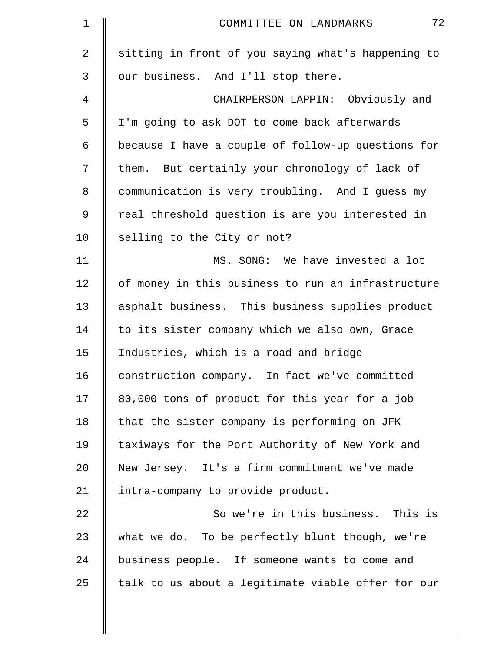| $\mathbf 1$ | 72<br>COMMITTEE ON LANDMARKS                       |
|-------------|----------------------------------------------------|
| 2           | sitting in front of you saying what's happening to |
| 3           | our business. And I'll stop there.                 |
| 4           | CHAIRPERSON LAPPIN: Obviously and                  |
| 5           | I'm going to ask DOT to come back afterwards       |
| 6           | because I have a couple of follow-up questions for |
| 7           | them. But certainly your chronology of lack of     |
| 8           | communication is very troubling. And I guess my    |
| 9           | real threshold question is are you interested in   |
| 10          | selling to the City or not?                        |
| 11          | MS. SONG: We have invested a lot                   |
| 12          | of money in this business to run an infrastructure |
| 13          | asphalt business. This business supplies product   |
| 14          | to its sister company which we also own, Grace     |
| 15          | Industries, which is a road and bridge             |
| 16          | construction company. In fact we've committed      |
| 17          | 80,000 tons of product for this year for a job     |
| 18          | that the sister company is performing on JFK       |
| 19          | taxiways for the Port Authority of New York and    |
| 20          | New Jersey. It's a firm commitment we've made      |
| 21          | intra-company to provide product.                  |
| 22          | So we're in this business. This is                 |
| 23          | what we do. To be perfectly blunt though, we're    |
| 24          | business people. If someone wants to come and      |
| 25          | talk to us about a legitimate viable offer for our |
|             |                                                    |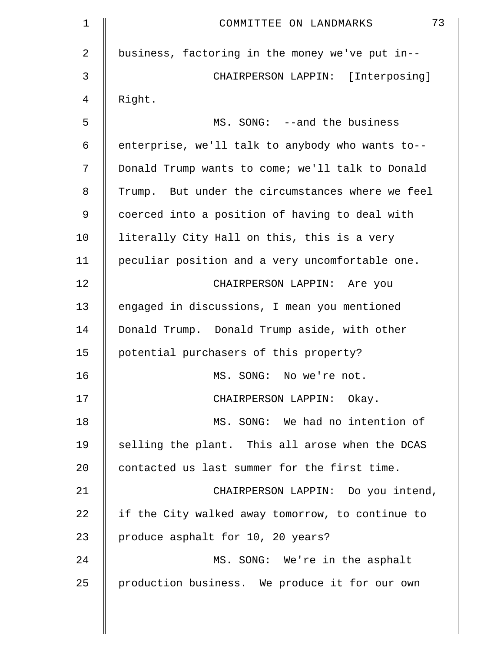| $\mathbf 1$    | 73<br>COMMITTEE ON LANDMARKS                     |
|----------------|--------------------------------------------------|
| $\overline{2}$ | business, factoring in the money we've put in--  |
| 3              | CHAIRPERSON LAPPIN: [Interposing]                |
| 4              | Right.                                           |
| 5              | MS. SONG: --and the business                     |
| 6              | enterprise, we'll talk to anybody who wants to-- |
| 7              | Donald Trump wants to come; we'll talk to Donald |
| 8              | Trump. But under the circumstances where we feel |
| 9              | coerced into a position of having to deal with   |
| 10             | literally City Hall on this, this is a very      |
| 11             | peculiar position and a very uncomfortable one.  |
| 12             | CHAIRPERSON LAPPIN: Are you                      |
| 13             | engaged in discussions, I mean you mentioned     |
| 14             | Donald Trump. Donald Trump aside, with other     |
| 15             | potential purchasers of this property?           |
| 16             | MS. SONG: No we're not.                          |
| 17             | CHAIRPERSON LAPPIN: Okay.                        |
| 18             | MS. SONG: We had no intention of                 |
| 19             | selling the plant. This all arose when the DCAS  |
| 20             | contacted us last summer for the first time.     |
| 21             | CHAIRPERSON LAPPIN: Do you intend,               |
| 22             | if the City walked away tomorrow, to continue to |
| 23             | produce asphalt for 10, 20 years?                |
| 24             | MS. SONG: We're in the asphalt                   |
| 25             | production business. We produce it for our own   |
|                |                                                  |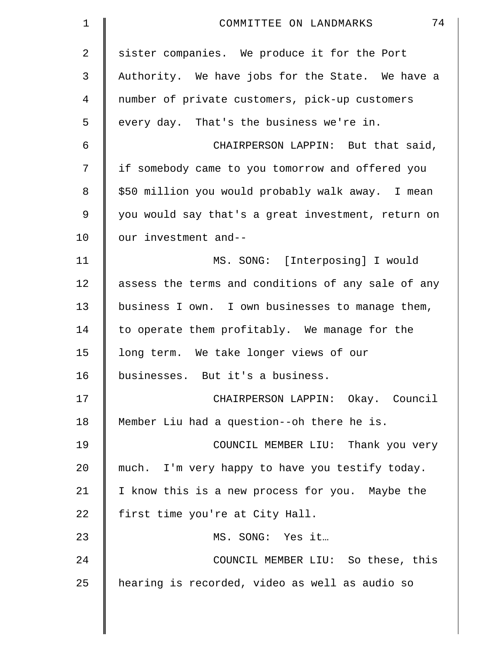| 1              | 74<br>COMMITTEE ON LANDMARKS                       |
|----------------|----------------------------------------------------|
| $\overline{a}$ | sister companies. We produce it for the Port       |
| 3              | Authority. We have jobs for the State. We have a   |
| 4              | number of private customers, pick-up customers     |
| 5              | every day. That's the business we're in.           |
| 6              | CHAIRPERSON LAPPIN: But that said,                 |
| 7              | if somebody came to you tomorrow and offered you   |
| 8              | \$50 million you would probably walk away. I mean  |
| 9              | you would say that's a great investment, return on |
| 10             | our investment and--                               |
| 11             | MS. SONG: [Interposing] I would                    |
| 12             | assess the terms and conditions of any sale of any |
| 13             | business I own. I own businesses to manage them,   |
| 14             | to operate them profitably. We manage for the      |
| 15             | long term. We take longer views of our             |
| 16             | businesses. But it's a business.                   |
| 17             | CHAIRPERSON LAPPIN: Okay. Council                  |
| 18             | Member Liu had a question--oh there he is.         |
| 19             | COUNCIL MEMBER LIU: Thank you very                 |
| 20             | much. I'm very happy to have you testify today.    |
| 21             | I know this is a new process for you. Maybe the    |
| 22             | first time you're at City Hall.                    |
| 23             | MS. SONG: Yes it                                   |
| 24             | COUNCIL MEMBER LIU: So these, this                 |
| 25             | hearing is recorded, video as well as audio so     |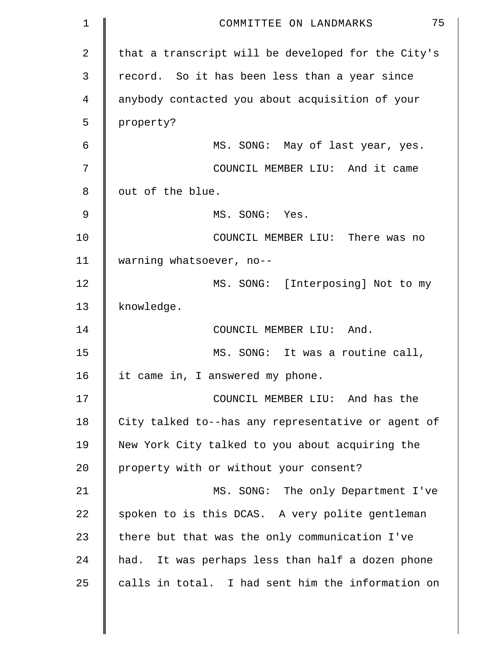| 1  | 75<br>COMMITTEE ON LANDMARKS                       |
|----|----------------------------------------------------|
| 2  | that a transcript will be developed for the City's |
| 3  | record. So it has been less than a year since      |
| 4  | anybody contacted you about acquisition of your    |
| 5  | property?                                          |
| 6  | MS. SONG: May of last year, yes.                   |
| 7  | COUNCIL MEMBER LIU: And it came                    |
| 8  | out of the blue.                                   |
| 9  | MS. SONG: Yes.                                     |
| 10 | COUNCIL MEMBER LIU: There was no                   |
| 11 | warning whatsoever, no--                           |
| 12 | MS. SONG: [Interposing] Not to my                  |
| 13 | knowledge.                                         |
| 14 | COUNCIL MEMBER LIU: And.                           |
| 15 | MS. SONG: It was a routine call,                   |
| 16 | it came in, I answered my phone.                   |
| 17 | COUNCIL MEMBER LIU: And has the                    |
| 18 | City talked to--has any representative or agent of |
| 19 | New York City talked to you about acquiring the    |
| 20 | property with or without your consent?             |
| 21 | MS. SONG: The only Department I've                 |
| 22 | spoken to is this DCAS. A very polite gentleman    |
| 23 | there but that was the only communication I've     |
| 24 | had. It was perhaps less than half a dozen phone   |
| 25 | calls in total. I had sent him the information on  |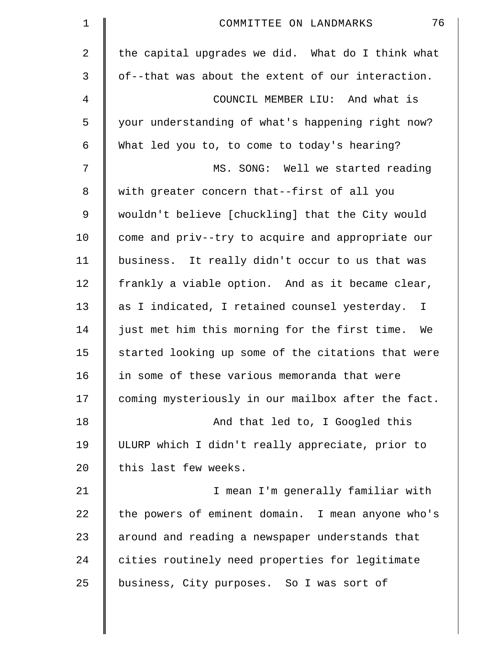| $\mathbf 1$    | 76<br>COMMITTEE ON LANDMARKS                        |
|----------------|-----------------------------------------------------|
| $\overline{2}$ | the capital upgrades we did. What do I think what   |
| 3              | of--that was about the extent of our interaction.   |
| 4              | COUNCIL MEMBER LIU: And what is                     |
| 5              | your understanding of what's happening right now?   |
| 6              | What led you to, to come to today's hearing?        |
| 7              | MS. SONG: Well we started reading                   |
| 8              | with greater concern that--first of all you         |
| 9              | wouldn't believe [chuckling] that the City would    |
| 10             | come and priv--try to acquire and appropriate our   |
| 11             | business. It really didn't occur to us that was     |
| 12             | frankly a viable option. And as it became clear,    |
| 13             | as I indicated, I retained counsel yesterday. I     |
| 14             | just met him this morning for the first time.<br>We |
| 15             | started looking up some of the citations that were  |
| 16             | in some of these various memoranda that were        |
| 17             | coming mysteriously in our mailbox after the fact.  |
| 18             | And that led to, I Googled this                     |
| 19             | ULURP which I didn't really appreciate, prior to    |
| 20             | this last few weeks.                                |
| 21             | I mean I'm generally familiar with                  |
| 22             | the powers of eminent domain. I mean anyone who's   |
| 23             | around and reading a newspaper understands that     |
| 24             | cities routinely need properties for legitimate     |
| 25             | business, City purposes. So I was sort of           |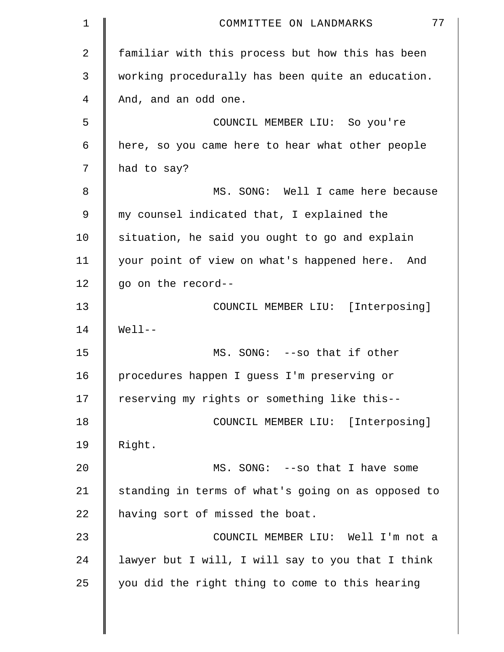| 1  | 77<br>COMMITTEE ON LANDMARKS                       |
|----|----------------------------------------------------|
| 2  | familiar with this process but how this has been   |
| 3  | working procedurally has been quite an education.  |
| 4  | And, and an odd one.                               |
| 5  | COUNCIL MEMBER LIU: So you're                      |
| 6  | here, so you came here to hear what other people   |
| 7  | had to say?                                        |
| 8  | MS. SONG: Well I came here because                 |
| 9  | my counsel indicated that, I explained the         |
| 10 | situation, he said you ought to go and explain     |
| 11 | your point of view on what's happened here. And    |
| 12 | go on the record--                                 |
| 13 | COUNCIL MEMBER LIU: [Interposing]                  |
| 14 | $Well1--$                                          |
| 15 | MS. SONG: --so that if other                       |
| 16 | procedures happen I guess I'm preserving or        |
| 17 | reserving my rights or something like this--       |
| 18 | COUNCIL MEMBER LIU: [Interposing]                  |
| 19 | Right.                                             |
| 20 | MS. SONG: -- so that I have some                   |
| 21 | standing in terms of what's going on as opposed to |
| 22 | having sort of missed the boat.                    |
| 23 | COUNCIL MEMBER LIU: Well I'm not a                 |
| 24 | lawyer but I will, I will say to you that I think  |
| 25 | you did the right thing to come to this hearing    |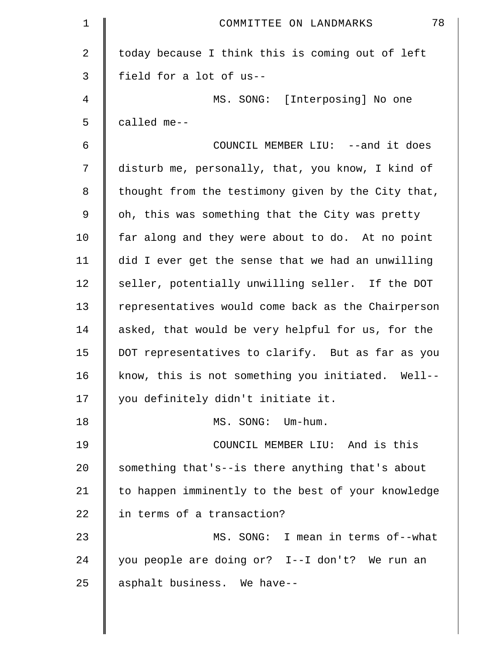| $\mathbf 1$    | 78<br>COMMITTEE ON LANDMARKS                       |
|----------------|----------------------------------------------------|
| $\overline{2}$ | today because I think this is coming out of left   |
| 3              | field for a lot of us--                            |
| 4              | MS. SONG: [Interposing] No one                     |
| 5              | called me--                                        |
| 6              | COUNCIL MEMBER LIU: --and it does                  |
| 7              | disturb me, personally, that, you know, I kind of  |
| 8              | thought from the testimony given by the City that, |
| 9              | oh, this was something that the City was pretty    |
| 10             | far along and they were about to do. At no point   |
| 11             | did I ever get the sense that we had an unwilling  |
| 12             | seller, potentially unwilling seller. If the DOT   |
| 13             | representatives would come back as the Chairperson |
| 14             | asked, that would be very helpful for us, for the  |
| 15             | DOT representatives to clarify. But as far as you  |
| 16             | know, this is not something you initiated. Well--  |
| 17             | you definitely didn't initiate it.                 |
| 18             | MS. SONG: Um-hum.                                  |
| 19             | COUNCIL MEMBER LIU: And is this                    |
| 20             | something that's--is there anything that's about   |
| 21             | to happen imminently to the best of your knowledge |
| 22             | in terms of a transaction?                         |
| 23             | MS. SONG: I mean in terms of--what                 |
| 24             | you people are doing or? I--I don't? We run an     |
| 25             | asphalt business. We have--                        |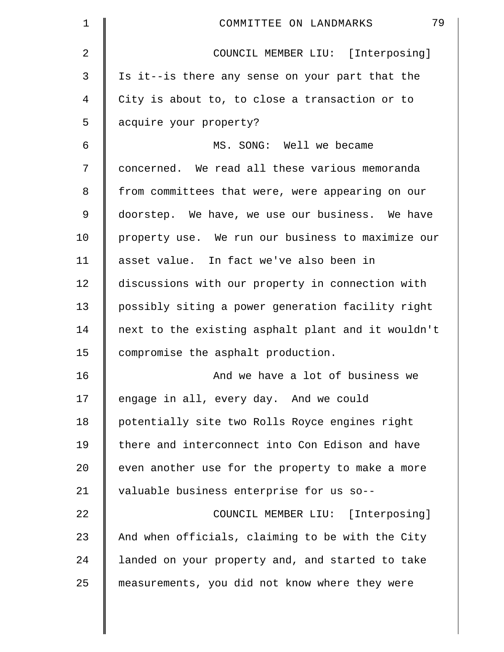| 1  | 79<br>COMMITTEE ON LANDMARKS                       |
|----|----------------------------------------------------|
| 2  | COUNCIL MEMBER LIU: [Interposing]                  |
| 3  | Is it--is there any sense on your part that the    |
| 4  | City is about to, to close a transaction or to     |
| 5  | acquire your property?                             |
| 6  | MS. SONG: Well we became                           |
| 7  | concerned. We read all these various memoranda     |
| 8  | from committees that were, were appearing on our   |
| 9  | doorstep. We have, we use our business. We have    |
| 10 | property use. We run our business to maximize our  |
| 11 | asset value. In fact we've also been in            |
| 12 | discussions with our property in connection with   |
| 13 | possibly siting a power generation facility right  |
| 14 | next to the existing asphalt plant and it wouldn't |
| 15 | compromise the asphalt production.                 |
| 16 | And we have a lot of business we                   |
| 17 | engage in all, every day. And we could             |
| 18 | potentially site two Rolls Royce engines right     |
| 19 | there and interconnect into Con Edison and have    |
| 20 | even another use for the property to make a more   |
| 21 | valuable business enterprise for us so--           |
| 22 | COUNCIL MEMBER LIU: [Interposing]                  |
| 23 | And when officials, claiming to be with the City   |
| 24 | landed on your property and, and started to take   |
| 25 | measurements, you did not know where they were     |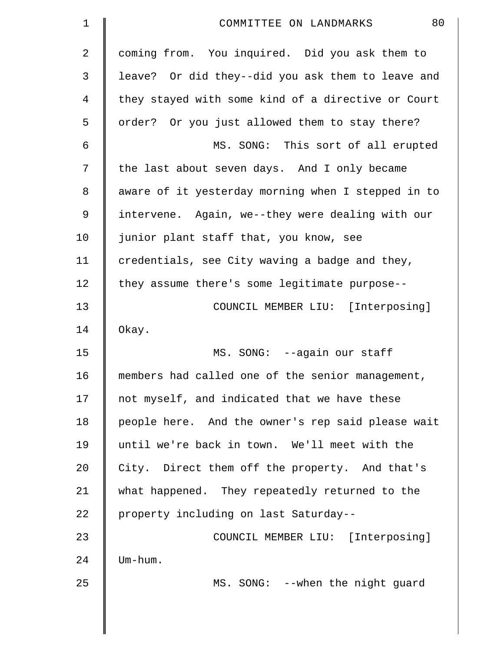| 1  | 80<br>COMMITTEE ON LANDMARKS                       |
|----|----------------------------------------------------|
| 2  | coming from. You inquired. Did you ask them to     |
| 3  | leave? Or did they--did you ask them to leave and  |
| 4  | they stayed with some kind of a directive or Court |
| 5  | order? Or you just allowed them to stay there?     |
| 6  | MS. SONG: This sort of all erupted                 |
| 7  | the last about seven days. And I only became       |
| 8  | aware of it yesterday morning when I stepped in to |
| 9  | intervene. Again, we--they were dealing with our   |
| 10 | junior plant staff that, you know, see             |
| 11 | credentials, see City waving a badge and they,     |
| 12 | they assume there's some legitimate purpose--      |
| 13 | COUNCIL MEMBER LIU: [Interposing]                  |
| 14 | Okay.                                              |
| 15 | MS. SONG: --again our staff                        |
| 16 | members had called one of the senior management,   |
| 17 | not myself, and indicated that we have these       |
| 18 | people here. And the owner's rep said please wait  |
| 19 | until we're back in town. We'll meet with the      |
| 20 | City. Direct them off the property. And that's     |
| 21 | what happened. They repeatedly returned to the     |
| 22 | property including on last Saturday--              |
| 23 | COUNCIL MEMBER LIU: [Interposing]                  |
| 24 | Um-hum.                                            |
| 25 | MS. SONG: --when the night guard                   |
|    |                                                    |
|    |                                                    |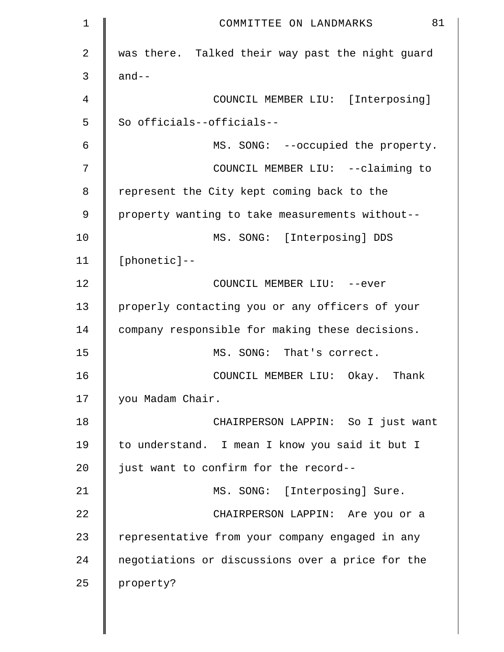| 1              | 81<br>COMMITTEE ON LANDMARKS                     |
|----------------|--------------------------------------------------|
| $\overline{2}$ | was there. Talked their way past the night guard |
| 3              | $and--$                                          |
| 4              | COUNCIL MEMBER LIU: [Interposing]                |
| 5              | So officials--officials--                        |
| 6              | MS. SONG: --occupied the property.               |
| 7              | COUNCIL MEMBER LIU: -- claiming to               |
| 8              | represent the City kept coming back to the       |
| 9              | property wanting to take measurements without--  |
| 10             | MS. SONG: [Interposing] DDS                      |
| 11             | $[planetic] --$                                  |
| 12             | COUNCIL MEMBER LIU: --ever                       |
| 13             | properly contacting you or any officers of your  |
| 14             | company responsible for making these decisions.  |
| 15             | MS. SONG: That's correct.                        |
| 16             | COUNCIL MEMBER LIU: Okay. Thank                  |
| 17             | you Madam Chair.                                 |
| 18             | CHAIRPERSON LAPPIN: So I just want               |
| 19             | to understand. I mean I know you said it but I   |
| 20             | just want to confirm for the record--            |
| 21             | MS. SONG: [Interposing] Sure.                    |
| 22             | CHAIRPERSON LAPPIN: Are you or a                 |
| 23             | representative from your company engaged in any  |
| 24             | negotiations or discussions over a price for the |
| 25             | property?                                        |
|                |                                                  |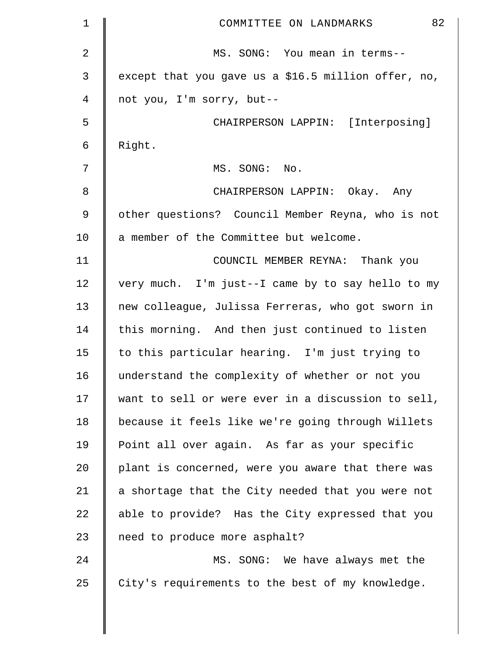| $\mathbf 1$ | 82<br>COMMITTEE ON LANDMARKS                        |
|-------------|-----------------------------------------------------|
| 2           | MS. SONG: You mean in terms--                       |
| 3           | except that you gave us a \$16.5 million offer, no, |
| 4           | not you, I'm sorry, but--                           |
| 5           | CHAIRPERSON LAPPIN: [Interposing]                   |
| 6           | Right.                                              |
| 7           | MS. SONG: No.                                       |
| 8           | CHAIRPERSON LAPPIN: Okay. Any                       |
| 9           | other questions? Council Member Reyna, who is not   |
| 10          | a member of the Committee but welcome.              |
| 11          | COUNCIL MEMBER REYNA: Thank you                     |
| 12          | very much. I'm just--I came by to say hello to my   |
| 13          | new colleague, Julissa Ferreras, who got sworn in   |
| 14          | this morning. And then just continued to listen     |
| 15          | to this particular hearing. I'm just trying to      |
| 16          | understand the complexity of whether or not you     |
| 17          | want to sell or were ever in a discussion to sell,  |
| 18          | because it feels like we're going through Willets   |
| 19          | Point all over again. As far as your specific       |
| 20          | plant is concerned, were you aware that there was   |
| 21          | a shortage that the City needed that you were not   |
| 22          | able to provide? Has the City expressed that you    |
| 23          | need to produce more asphalt?                       |
| 24          | MS. SONG: We have always met the                    |
| 25          | City's requirements to the best of my knowledge.    |
|             |                                                     |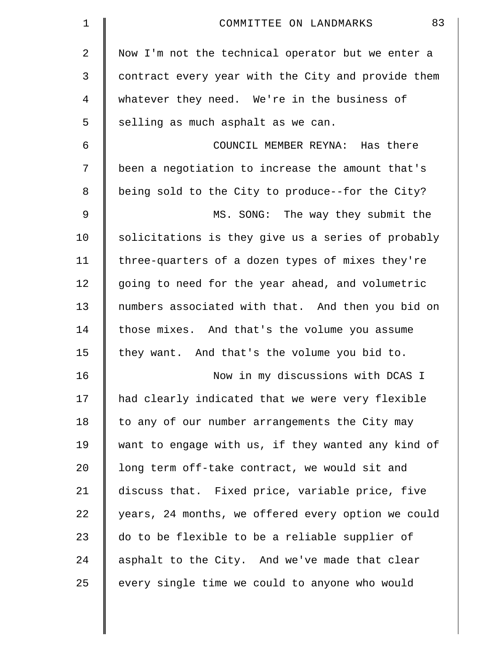| $\mathbf 1$    | 83<br>COMMITTEE ON LANDMARKS                       |
|----------------|----------------------------------------------------|
| $\overline{2}$ | Now I'm not the technical operator but we enter a  |
| 3              | contract every year with the City and provide them |
| 4              | whatever they need. We're in the business of       |
| 5              | selling as much asphalt as we can.                 |
| 6              | COUNCIL MEMBER REYNA: Has there                    |
| 7              | been a negotiation to increase the amount that's   |
| 8              | being sold to the City to produce--for the City?   |
| 9              | MS. SONG: The way they submit the                  |
| 10             | solicitations is they give us a series of probably |
| 11             | three-quarters of a dozen types of mixes they're   |
| 12             | going to need for the year ahead, and volumetric   |
| 13             | numbers associated with that. And then you bid on  |
| 14             | those mixes. And that's the volume you assume      |
| 15             | they want. And that's the volume you bid to.       |
| 16             | Now in my discussions with DCAS I                  |
| 17             | had clearly indicated that we were very flexible   |
| 18             | to any of our number arrangements the City may     |
| 19             | want to engage with us, if they wanted any kind of |
| 20             | long term off-take contract, we would sit and      |
| 21             | discuss that. Fixed price, variable price, five    |
| 22             | years, 24 months, we offered every option we could |
| 23             | do to be flexible to be a reliable supplier of     |
| 24             | asphalt to the City. And we've made that clear     |
| 25             | every single time we could to anyone who would     |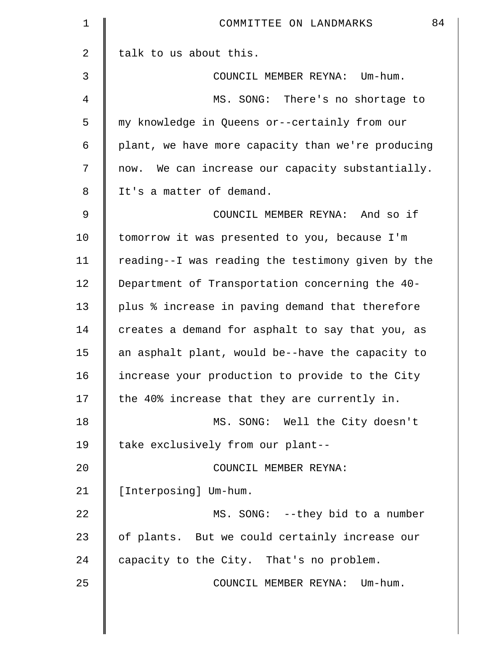| $\mathbf 1$    | 84<br>COMMITTEE ON LANDMARKS                        |
|----------------|-----------------------------------------------------|
| $\overline{2}$ | talk to us about this.                              |
| 3              | COUNCIL MEMBER REYNA: Um-hum.                       |
| 4              | MS. SONG: There's no shortage to                    |
| 5              | my knowledge in Queens or--certainly from our       |
| 6              | plant, we have more capacity than we're producing   |
| 7              | We can increase our capacity substantially.<br>now. |
| 8              | It's a matter of demand.                            |
| 9              | COUNCIL MEMBER REYNA: And so if                     |
| 10             | tomorrow it was presented to you, because I'm       |
| 11             | reading--I was reading the testimony given by the   |
| 12             | Department of Transportation concerning the 40-     |
| 13             | plus % increase in paving demand that therefore     |
| 14             | creates a demand for asphalt to say that you, as    |
| 15             | an asphalt plant, would be--have the capacity to    |
| 16             | increase your production to provide to the City     |
| 17             | the 40% increase that they are currently in.        |
| 18             | MS. SONG: Well the City doesn't                     |
| 19             | take exclusively from our plant--                   |
| 20             | COUNCIL MEMBER REYNA:                               |
| 21             | [Interposing] Um-hum.                               |
| 22             | MS. SONG: --they bid to a number                    |
| 23             | of plants. But we could certainly increase our      |
| 24             | capacity to the City. That's no problem.            |
| 25             | COUNCIL MEMBER REYNA: Um-hum.                       |
|                |                                                     |

 $\mathbb{I}$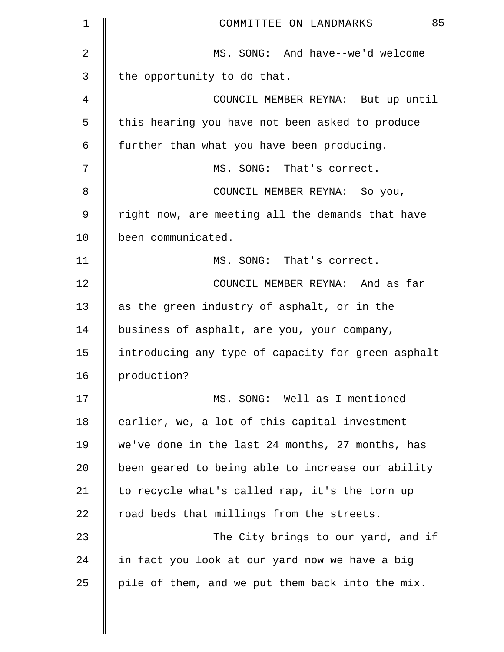| 1              | 85<br>COMMITTEE ON LANDMARKS                       |
|----------------|----------------------------------------------------|
| $\overline{a}$ | MS. SONG: And have--we'd welcome                   |
| 3              | the opportunity to do that.                        |
| 4              | COUNCIL MEMBER REYNA: But up until                 |
| 5              | this hearing you have not been asked to produce    |
| 6              | further than what you have been producing.         |
| 7              | MS. SONG: That's correct.                          |
| 8              | COUNCIL MEMBER REYNA: So you,                      |
| 9              | right now, are meeting all the demands that have   |
| 10             | been communicated.                                 |
| 11             | MS. SONG: That's correct.                          |
| 12             | COUNCIL MEMBER REYNA: And as far                   |
| 13             | as the green industry of asphalt, or in the        |
| 14             | business of asphalt, are you, your company,        |
| 15             | introducing any type of capacity for green asphalt |
| 16             | production?                                        |
| 17             | MS. SONG: Well as I mentioned                      |
| 18             | earlier, we, a lot of this capital investment      |
| 19             | we've done in the last 24 months, 27 months, has   |
| 20             | been geared to being able to increase our ability  |
| 21             | to recycle what's called rap, it's the torn up     |
| 22             | road beds that millings from the streets.          |
| 23             | The City brings to our yard, and if                |
| 24             | in fact you look at our yard now we have a big     |
| 25             | pile of them, and we put them back into the mix.   |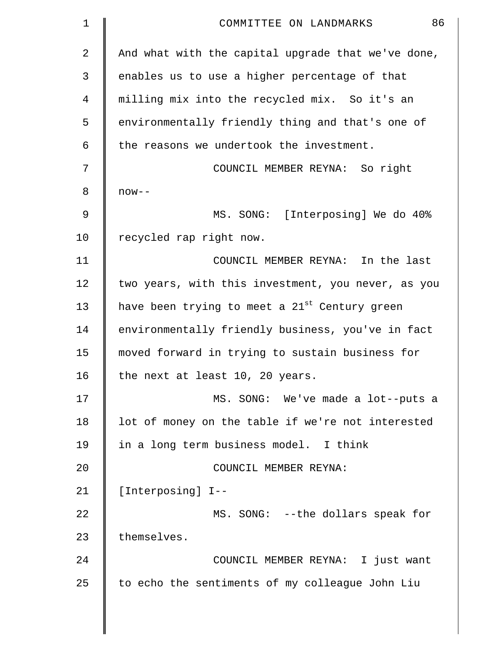| 1              | 86<br>COMMITTEE ON LANDMARKS                              |
|----------------|-----------------------------------------------------------|
| $\overline{a}$ | And what with the capital upgrade that we've done,        |
| 3              | enables us to use a higher percentage of that             |
| 4              | milling mix into the recycled mix. So it's an             |
| 5              | environmentally friendly thing and that's one of          |
| 6              | the reasons we undertook the investment.                  |
| 7              | COUNCIL MEMBER REYNA: So right                            |
| 8              | $now--$                                                   |
| 9              | MS. SONG: [Interposing] We do 40%                         |
| 10             | recycled rap right now.                                   |
| 11             | COUNCIL MEMBER REYNA: In the last                         |
| 12             | two years, with this investment, you never, as you        |
| 13             | have been trying to meet a 21 <sup>st</sup> Century green |
| 14             | environmentally friendly business, you've in fact         |
| 15             | moved forward in trying to sustain business for           |
| 16             | the next at least 10, 20 years.                           |
| 17             | MS. SONG: We've made a lot--puts a                        |
| 18             | lot of money on the table if we're not interested         |
| 19             | in a long term business model. I think                    |
| 20             | COUNCIL MEMBER REYNA:                                     |
| 21             | [Interposing] I--                                         |
| 22             | MS. SONG: --the dollars speak for                         |
| 23             | themselves.                                               |
| 24             | COUNCIL MEMBER REYNA: I just want                         |
| 25             | to echo the sentiments of my colleague John Liu           |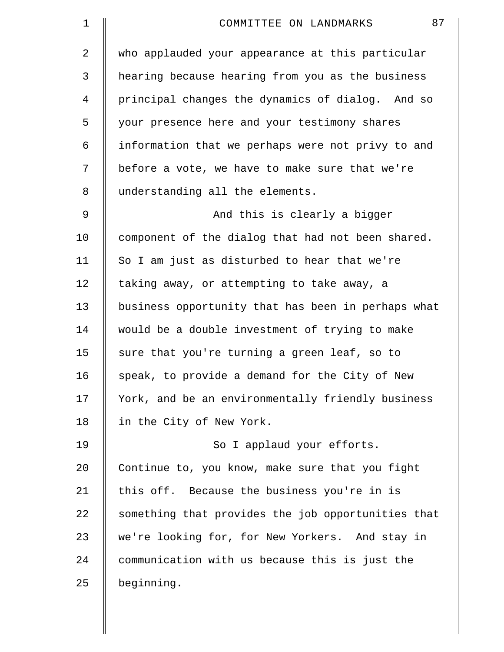| $\mathbf 1$    | 87<br>COMMITTEE ON LANDMARKS                       |
|----------------|----------------------------------------------------|
| $\overline{2}$ | who applauded your appearance at this particular   |
| 3              | hearing because hearing from you as the business   |
| 4              | principal changes the dynamics of dialog. And so   |
| 5              | your presence here and your testimony shares       |
| 6              | information that we perhaps were not privy to and  |
| 7              | before a vote, we have to make sure that we're     |
| 8              | understanding all the elements.                    |
| 9              | And this is clearly a bigger                       |
| 10             | component of the dialog that had not been shared.  |
| 11             | So I am just as disturbed to hear that we're       |
| 12             | taking away, or attempting to take away, a         |
| 13             | business opportunity that has been in perhaps what |
| 14             | would be a double investment of trying to make     |
| 15             | sure that you're turning a green leaf, so to       |
| 16             | speak, to provide a demand for the City of New     |
| 17             | York, and be an environmentally friendly business  |
| 18             | in the City of New York.                           |
| 19             | So I applaud your efforts.                         |
| 20             | Continue to, you know, make sure that you fight    |
| 21             | this off. Because the business you're in is        |
| 22             | something that provides the job opportunities that |
| 23             | we're looking for, for New Yorkers. And stay in    |
| 24             | communication with us because this is just the     |
| 25             | beginning.                                         |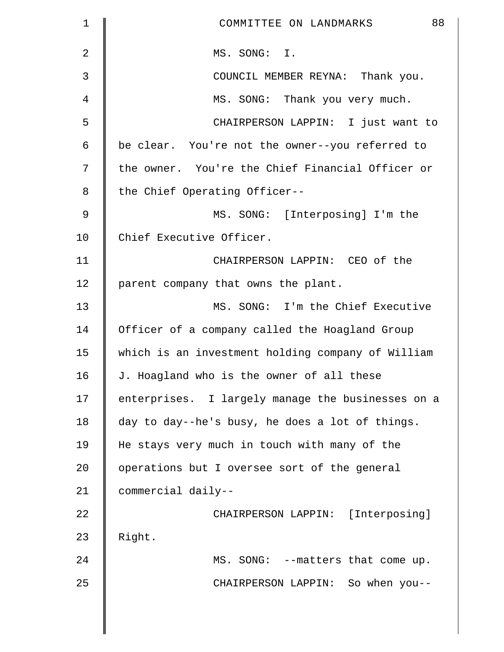| $\mathbf 1$    | 88<br>COMMITTEE ON LANDMARKS                      |
|----------------|---------------------------------------------------|
| $\overline{2}$ | MS. SONG: I.                                      |
| 3              | COUNCIL MEMBER REYNA: Thank you.                  |
| 4              | MS. SONG: Thank you very much.                    |
| 5              | CHAIRPERSON LAPPIN: I just want to                |
| 6              | be clear. You're not the owner--you referred to   |
| 7              | the owner. You're the Chief Financial Officer or  |
| 8              | the Chief Operating Officer--                     |
| 9              | MS. SONG: [Interposing] I'm the                   |
| 10             | Chief Executive Officer.                          |
| 11             | CHAIRPERSON LAPPIN: CEO of the                    |
| 12             | parent company that owns the plant.               |
| 13             | MS. SONG: I'm the Chief Executive                 |
| 14             | Officer of a company called the Hoagland Group    |
| 15             | which is an investment holding company of William |
| 16             | J. Hoagland who is the owner of all these         |
| 17             | enterprises. I largely manage the businesses on a |
| 18             | day to day--he's busy, he does a lot of things.   |
| 19             | He stays very much in touch with many of the      |
| 20             | operations but I oversee sort of the general      |
| 21             | commercial daily--                                |
| 22             | CHAIRPERSON LAPPIN: [Interposing]                 |
| 23             | Right.                                            |
| 24             | MS. SONG: --matters that come up.                 |
| 25             | CHAIRPERSON LAPPIN: So when you--                 |
|                |                                                   |
|                |                                                   |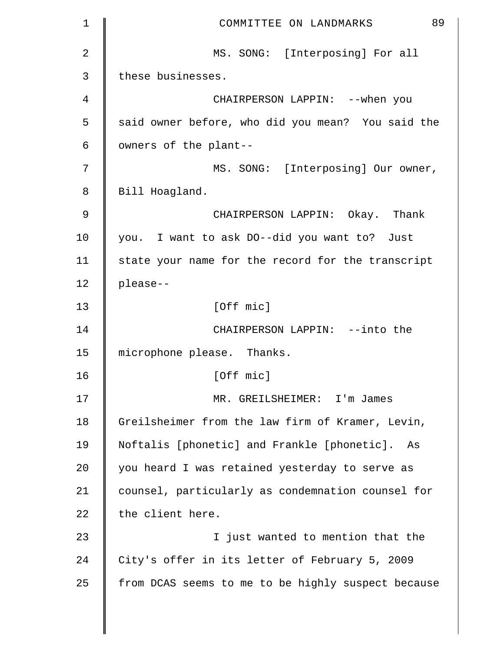| $\mathbf 1$    | 89<br>COMMITTEE ON LANDMARKS                       |
|----------------|----------------------------------------------------|
| $\overline{2}$ | MS. SONG: [Interposing] For all                    |
| 3              | these businesses.                                  |
| 4              | CHAIRPERSON LAPPIN: --when you                     |
| 5              | said owner before, who did you mean? You said the  |
| 6              | owners of the plant--                              |
| 7              | MS. SONG: [Interposing] Our owner,                 |
| 8              | Bill Hoagland.                                     |
| 9              | CHAIRPERSON LAPPIN: Okay. Thank                    |
| 10             | you. I want to ask DO--did you want to? Just       |
| 11             | state your name for the record for the transcript  |
| 12             | please--                                           |
| 13             | [Off mic]                                          |
| 14             | CHAIRPERSON LAPPIN: --into the                     |
| 15             | microphone please. Thanks.                         |
| 16             | [Off mic]                                          |
| 17             | MR. GREILSHEIMER: I'm James                        |
| 18             | Greilsheimer from the law firm of Kramer, Levin,   |
| 19             | Noftalis [phonetic] and Frankle [phonetic].<br>As  |
| 20             | you heard I was retained yesterday to serve as     |
| 21             | counsel, particularly as condemnation counsel for  |
| 22             | the client here.                                   |
| 23             | I just wanted to mention that the                  |
| 24             | City's offer in its letter of February 5, 2009     |
| 25             | from DCAS seems to me to be highly suspect because |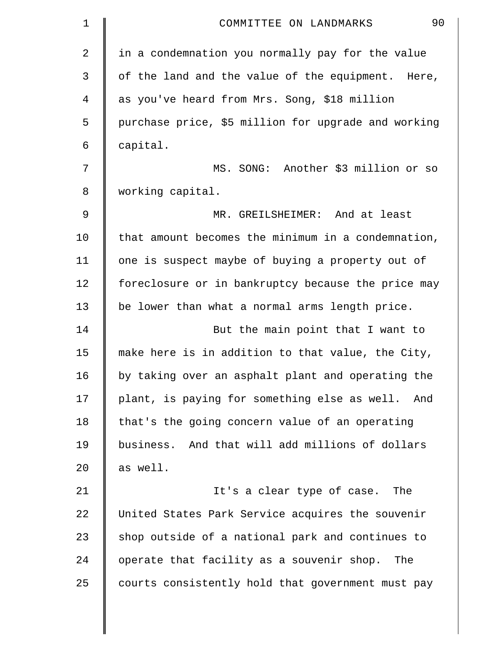| 1  | 90<br>COMMITTEE ON LANDMARKS                        |
|----|-----------------------------------------------------|
| 2  | in a condemnation you normally pay for the value    |
| 3  | of the land and the value of the equipment. Here,   |
| 4  | as you've heard from Mrs. Song, \$18 million        |
| 5  | purchase price, \$5 million for upgrade and working |
| 6  | capital.                                            |
| 7  | MS. SONG: Another \$3 million or so                 |
| 8  | working capital.                                    |
| 9  | MR. GREILSHEIMER: And at least                      |
| 10 | that amount becomes the minimum in a condemnation,  |
| 11 | one is suspect maybe of buying a property out of    |
| 12 | foreclosure or in bankruptcy because the price may  |
| 13 | be lower than what a normal arms length price.      |
| 14 | But the main point that I want to                   |
| 15 | make here is in addition to that value, the City,   |
| 16 | by taking over an asphalt plant and operating the   |
| 17 | plant, is paying for something else as well. And    |
| 18 | that's the going concern value of an operating      |
| 19 | business. And that will add millions of dollars     |
| 20 | as well.                                            |
| 21 | It's a clear type of case. The                      |
| 22 | United States Park Service acquires the souvenir    |
| 23 | shop outside of a national park and continues to    |
| 24 | operate that facility as a souvenir shop. The       |
| 25 | courts consistently hold that government must pay   |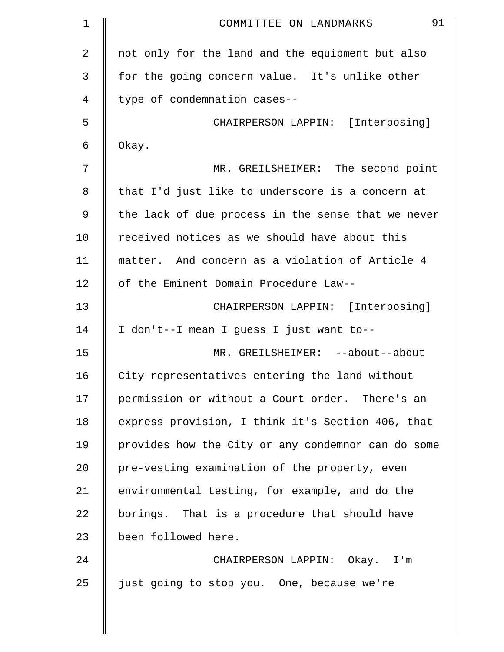| 1  | 91<br>COMMITTEE ON LANDMARKS                       |
|----|----------------------------------------------------|
| 2  | not only for the land and the equipment but also   |
| 3  | for the going concern value. It's unlike other     |
| 4  | type of condemnation cases--                       |
| 5  | CHAIRPERSON LAPPIN: [Interposing]                  |
| 6  | Okay.                                              |
| 7  | MR. GREILSHEIMER: The second point                 |
| 8  | that I'd just like to underscore is a concern at   |
| 9  | the lack of due process in the sense that we never |
| 10 | received notices as we should have about this      |
| 11 | matter. And concern as a violation of Article 4    |
| 12 | of the Eminent Domain Procedure Law--              |
| 13 | CHAIRPERSON LAPPIN: [Interposing]                  |
| 14 | I don't--I mean I guess I just want to--           |
| 15 | MR. GREILSHEIMER: --about--about                   |
| 16 | City representatives entering the land without     |
| 17 | permission or without a Court order. There's an    |
| 18 | express provision, I think it's Section 406, that  |
| 19 | provides how the City or any condemnor can do some |
| 20 | pre-vesting examination of the property, even      |
| 21 | environmental testing, for example, and do the     |
| 22 | borings. That is a procedure that should have      |
| 23 | been followed here.                                |
| 24 | CHAIRPERSON LAPPIN: Okay. I'm                      |
| 25 | just going to stop you. One, because we're         |

 $\parallel$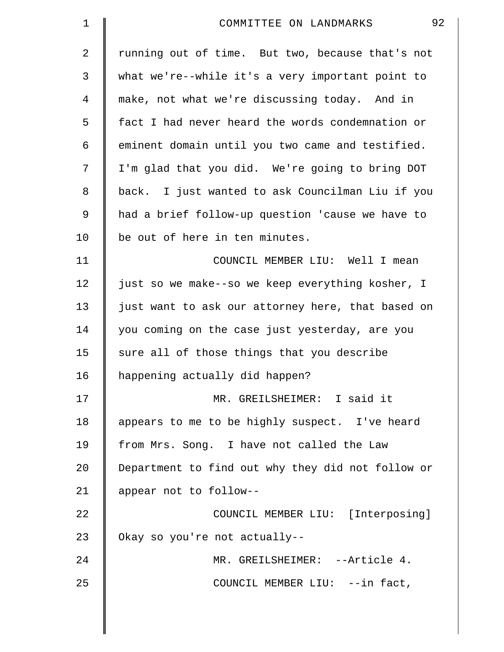| $\mathbf 1$    | 92<br>COMMITTEE ON LANDMARKS                      |
|----------------|---------------------------------------------------|
| $\overline{a}$ | running out of time. But two, because that's not  |
| 3              | what we're--while it's a very important point to  |
| 4              | make, not what we're discussing today. And in     |
| 5              | fact I had never heard the words condemnation or  |
| 6              | eminent domain until you two came and testified.  |
| 7              | I'm glad that you did. We're going to bring DOT   |
| 8              | back. I just wanted to ask Councilman Liu if you  |
| 9              | had a brief follow-up question 'cause we have to  |
| 10             | be out of here in ten minutes.                    |
| 11             | COUNCIL MEMBER LIU: Well I mean                   |
| 12             | just so we make--so we keep everything kosher, I  |
| 13             | just want to ask our attorney here, that based on |
| 14             | you coming on the case just yesterday, are you    |
| 15             | sure all of those things that you describe        |
| 16             | happening actually did happen?                    |
| 17             | MR. GREILSHEIMER: I said it                       |
| 18             | appears to me to be highly suspect. I've heard    |
| 19             | from Mrs. Song. I have not called the Law         |
| 20             | Department to find out why they did not follow or |
| 21             | appear not to follow--                            |
| 22             | COUNCIL MEMBER LIU: [Interposing]                 |
| 23             | Okay so you're not actually--                     |
| 24             | MR. GREILSHEIMER: --Article 4.                    |
| 25             | COUNCIL MEMBER LIU: --in fact,                    |
|                |                                                   |

 $\parallel$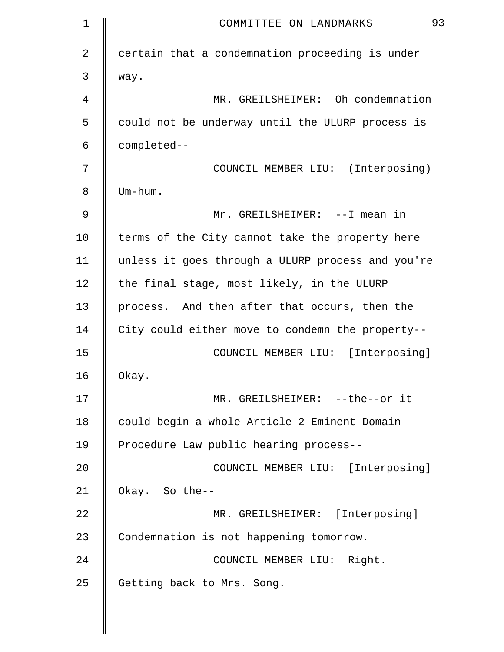| $\mathbf 1$ | 93<br>COMMITTEE ON LANDMARKS                      |
|-------------|---------------------------------------------------|
| 2           | certain that a condemnation proceeding is under   |
| 3           | way.                                              |
| 4           | MR. GREILSHEIMER: Oh condemnation                 |
| 5           | could not be underway until the ULURP process is  |
| 6           | completed--                                       |
| 7           | COUNCIL MEMBER LIU: (Interposing)                 |
| 8           | Um-hum.                                           |
| 9           | Mr. GREILSHEIMER: --I mean in                     |
| 10          | terms of the City cannot take the property here   |
| 11          | unless it goes through a ULURP process and you're |
| 12          | the final stage, most likely, in the ULURP        |
| 13          | process. And then after that occurs, then the     |
| 14          | City could either move to condemn the property--  |
| 15          | COUNCIL MEMBER LIU: [Interposing]                 |
| 16          | Okay.                                             |
| 17          | MR. GREILSHEIMER: --the--or it                    |
| 18          | could begin a whole Article 2 Eminent Domain      |
| 19          | Procedure Law public hearing process--            |
| 20          | COUNCIL MEMBER LIU: [Interposing]                 |
| 21          | Okay. So the--                                    |
| 22          | MR. GREILSHEIMER: [Interposing]                   |
| 23          | Condemnation is not happening tomorrow.           |
| 24          | COUNCIL MEMBER LIU: Right.                        |
| 25          | Getting back to Mrs. Song.                        |
|             |                                                   |

I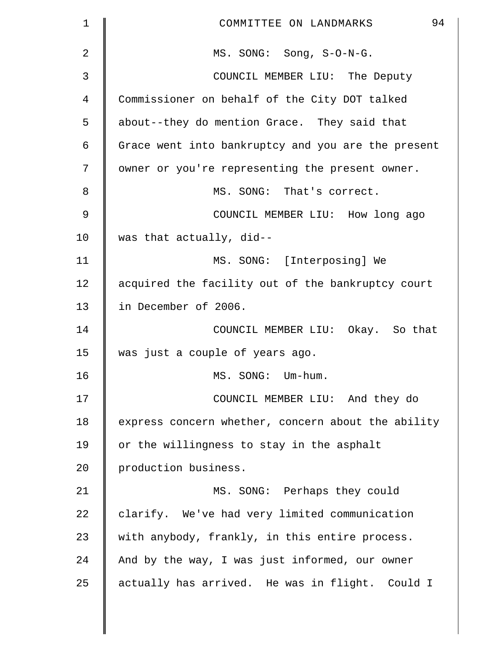| 1  | 94<br>COMMITTEE ON LANDMARKS                       |
|----|----------------------------------------------------|
| 2  | MS. SONG: Song, S-O-N-G.                           |
| 3  | COUNCIL MEMBER LIU: The Deputy                     |
| 4  | Commissioner on behalf of the City DOT talked      |
| 5  | about--they do mention Grace. They said that       |
| 6  | Grace went into bankruptcy and you are the present |
| 7  | owner or you're representing the present owner.    |
| 8  | MS. SONG: That's correct.                          |
| 9  | COUNCIL MEMBER LIU: How long ago                   |
| 10 | was that actually, did--                           |
| 11 | MS. SONG: [Interposing] We                         |
| 12 | acquired the facility out of the bankruptcy court  |
| 13 | in December of 2006.                               |
| 14 | COUNCIL MEMBER LIU: Okay. So that                  |
| 15 | was just a couple of years ago.                    |
| 16 | MS. SONG: Um-hum.                                  |
| 17 | COUNCIL MEMBER LIU: And they do                    |
| 18 | express concern whether, concern about the ability |
| 19 | or the willingness to stay in the asphalt          |
| 20 | production business.                               |
| 21 | MS. SONG: Perhaps they could                       |
| 22 | clarify. We've had very limited communication      |
| 23 | with anybody, frankly, in this entire process.     |
| 24 | And by the way, I was just informed, our owner     |
| 25 | actually has arrived. He was in flight. Could I    |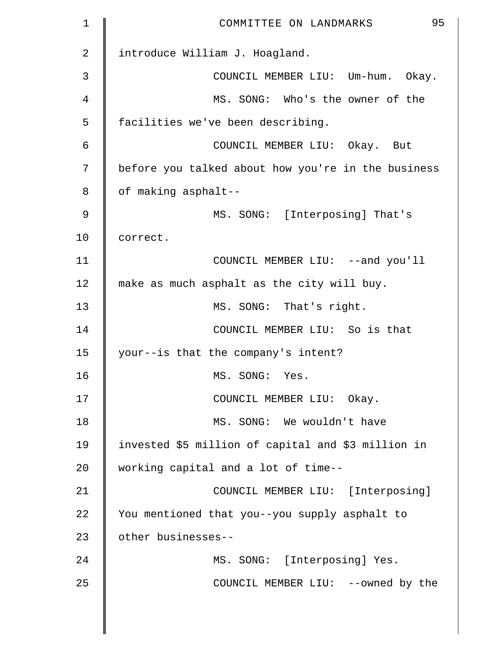| $\mathbf 1$    | 95<br>COMMITTEE ON LANDMARKS                       |
|----------------|----------------------------------------------------|
| $\overline{2}$ | introduce William J. Hoagland.                     |
| 3              | COUNCIL MEMBER LIU: Um-hum. Okay.                  |
| $\overline{4}$ | MS. SONG: Who's the owner of the                   |
| 5              | facilities we've been describing.                  |
| 6              | COUNCIL MEMBER LIU: Okay. But                      |
| 7              | before you talked about how you're in the business |
| 8              | of making asphalt--                                |
| $\mathcal{G}$  | MS. SONG: [Interposing] That's                     |
| 10             | correct.                                           |
| 11             | COUNCIL MEMBER LIU: --and you'll                   |
| 12             | make as much asphalt as the city will buy.         |
| 13             | MS. SONG: That's right.                            |
| 14             | COUNCIL MEMBER LIU: So is that                     |
| 15             | your--is that the company's intent?                |
| 16             | MS. SONG: Yes.                                     |
| 17             | COUNCIL MEMBER LIU: Okay.                          |
| 18             | MS. SONG: We wouldn't have                         |
| 19             | invested \$5 million of capital and \$3 million in |
| 20             | working capital and a lot of time--                |
| 21             | COUNCIL MEMBER LIU: [Interposing]                  |
| 22             | You mentioned that you--you supply asphalt to      |
| 23             | other businesses--                                 |
| 24             | MS. SONG: [Interposing] Yes.                       |
| 25             | COUNCIL MEMBER LIU: --owned by the                 |
|                |                                                    |
|                |                                                    |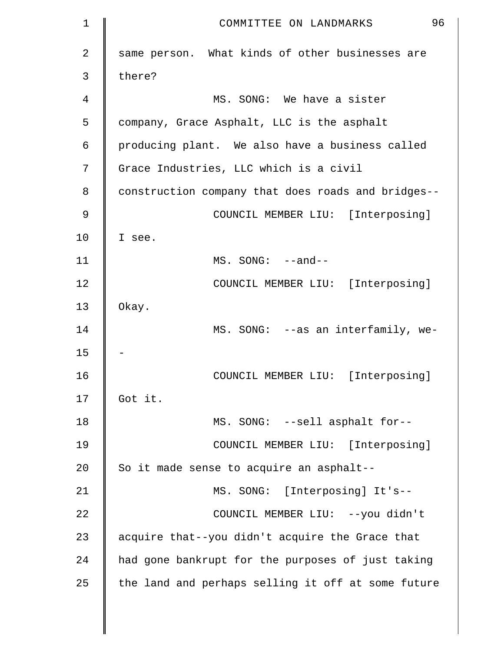| 1  | 96<br>COMMITTEE ON LANDMARKS                       |
|----|----------------------------------------------------|
| 2  | same person. What kinds of other businesses are    |
| 3  | there?                                             |
| 4  | MS. SONG: We have a sister                         |
| 5  | company, Grace Asphalt, LLC is the asphalt         |
| 6  | producing plant. We also have a business called    |
| 7  | Grace Industries, LLC which is a civil             |
| 8  | construction company that does roads and bridges-- |
| 9  | COUNCIL MEMBER LIU: [Interposing]                  |
| 10 | I see.                                             |
| 11 | $MS. SONG: --and--$                                |
| 12 | COUNCIL MEMBER LIU: [Interposing]                  |
| 13 | Okay.                                              |
| 14 | MS. SONG: --as an interfamily, we-                 |
| 15 |                                                    |
| 16 | COUNCIL MEMBER LIU: [Interposing]                  |
| 17 | Got it.                                            |
| 18 | MS. SONG: --sell asphalt for--                     |
| 19 | COUNCIL MEMBER LIU: [Interposing]                  |
| 20 | So it made sense to acquire an asphalt--           |
| 21 | MS. SONG: [Interposing] It's--                     |
| 22 | COUNCIL MEMBER LIU: --you didn't                   |
| 23 | acquire that--you didn't acquire the Grace that    |
| 24 | had gone bankrupt for the purposes of just taking  |
| 25 | the land and perhaps selling it off at some future |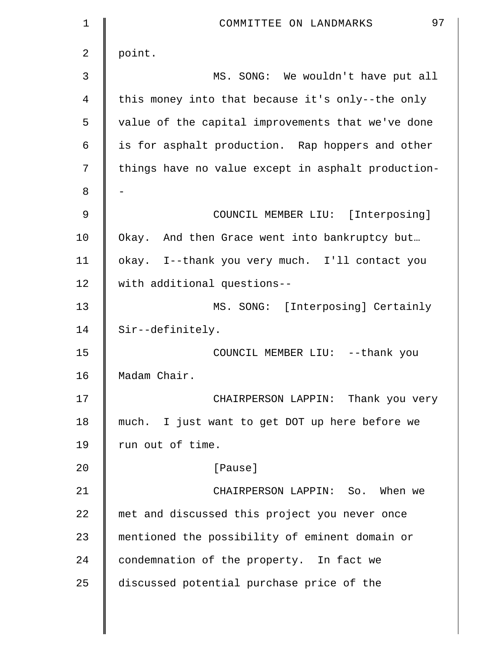| $\mathbf 1$    | 97<br>COMMITTEE ON LANDMARKS                       |
|----------------|----------------------------------------------------|
| $\overline{2}$ | point.                                             |
| 3              | MS. SONG: We wouldn't have put all                 |
| 4              | this money into that because it's only--the only   |
| 5              | value of the capital improvements that we've done  |
| 6              | is for asphalt production. Rap hoppers and other   |
| 7              | things have no value except in asphalt production- |
| 8              |                                                    |
| $\mathcal{G}$  | COUNCIL MEMBER LIU: [Interposing]                  |
| 10             | Okay. And then Grace went into bankruptcy but      |
| 11             | okay. I--thank you very much. I'll contact you     |
| 12             | with additional questions--                        |
| 13             | MS. SONG: [Interposing] Certainly                  |
| 14             | Sir--definitely.                                   |
| 15             | COUNCIL MEMBER LIU: --thank you                    |
| 16             | Madam Chair.                                       |
| 17             | CHAIRPERSON LAPPIN: Thank you very                 |
| 18             | much. I just want to get DOT up here before we     |
| 19             | run out of time.                                   |
| 20             | [Pause]                                            |
| 21             | CHAIRPERSON LAPPIN: So. When we                    |
| 22             | met and discussed this project you never once      |
| 23             | mentioned the possibility of eminent domain or     |
| 24             | condemnation of the property. In fact we           |
| 25             | discussed potential purchase price of the          |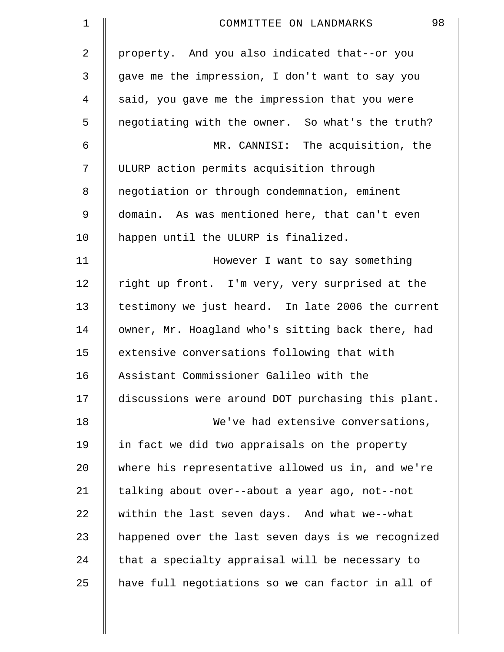| $\mathbf 1$ | 98<br>COMMITTEE ON LANDMARKS                       |
|-------------|----------------------------------------------------|
| 2           | property. And you also indicated that--or you      |
| 3           | gave me the impression, I don't want to say you    |
| 4           | said, you gave me the impression that you were     |
| 5           | negotiating with the owner. So what's the truth?   |
| 6           | MR. CANNISI: The acquisition, the                  |
| 7           | ULURP action permits acquisition through           |
| 8           | negotiation or through condemnation, eminent       |
| 9           | domain. As was mentioned here, that can't even     |
| 10          | happen until the ULURP is finalized.               |
| 11          | However I want to say something                    |
| 12          | right up front. I'm very, very surprised at the    |
| 13          | testimony we just heard. In late 2006 the current  |
| 14          | owner, Mr. Hoagland who's sitting back there, had  |
| 15          | extensive conversations following that with        |
| 16          | Assistant Commissioner Galileo with the            |
| 17          | discussions were around DOT purchasing this plant. |
| 18          | We've had extensive conversations,                 |
| 19          | in fact we did two appraisals on the property      |
| 20          | where his representative allowed us in, and we're  |
| 21          | talking about over--about a year ago, not--not     |
| 22          | within the last seven days. And what we--what      |
| 23          | happened over the last seven days is we recognized |
| 24          | that a specialty appraisal will be necessary to    |
| 25          | have full negotiations so we can factor in all of  |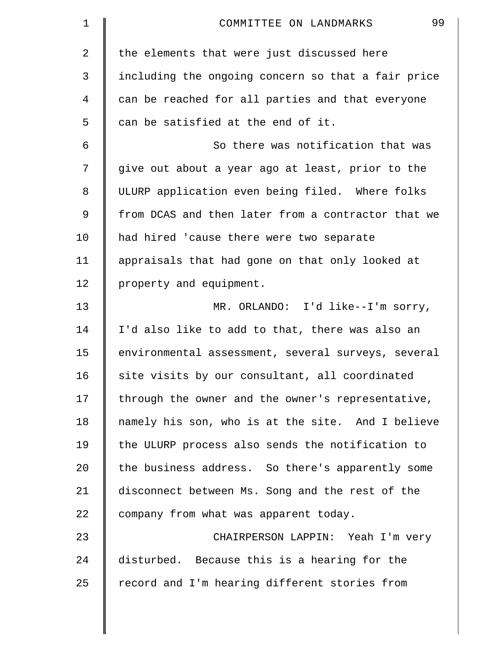| 1              | 99<br>COMMITTEE ON LANDMARKS                       |
|----------------|----------------------------------------------------|
| $\overline{a}$ | the elements that were just discussed here         |
| 3              | including the ongoing concern so that a fair price |
| 4              | can be reached for all parties and that everyone   |
| 5              | can be satisfied at the end of it.                 |
| 6              | So there was notification that was                 |
| 7              | give out about a year ago at least, prior to the   |
| 8              | ULURP application even being filed. Where folks    |
| 9              | from DCAS and then later from a contractor that we |
| 10             | had hired 'cause there were two separate           |
| 11             | appraisals that had gone on that only looked at    |
| 12             | property and equipment.                            |
| 13             | MR. ORLANDO: I'd like--I'm sorry,                  |
| 14             | I'd also like to add to that, there was also an    |
| 15             | environmental assessment, several surveys, several |
| 16             | site visits by our consultant, all coordinated     |
| 17             | through the owner and the owner's representative,  |
| 18             | namely his son, who is at the site. And I believe  |
| 19             | the ULURP process also sends the notification to   |
| 20             | the business address. So there's apparently some   |
| 21             | disconnect between Ms. Song and the rest of the    |
| 22             | company from what was apparent today.              |
| 23             | CHAIRPERSON LAPPIN: Yeah I'm very                  |
| 24             | disturbed. Because this is a hearing for the       |
| 25             | record and I'm hearing different stories from      |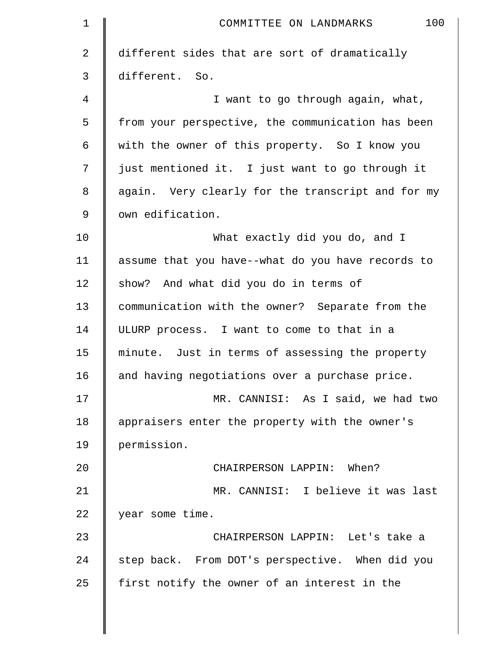| $\mathbf 1$    | 100<br>COMMITTEE ON LANDMARKS                     |
|----------------|---------------------------------------------------|
| 2              | different sides that are sort of dramatically     |
| $\mathfrak{Z}$ | different. So.                                    |
| 4              | I want to go through again, what,                 |
| 5              | from your perspective, the communication has been |
| 6              | with the owner of this property. So I know you    |
| 7              | just mentioned it. I just want to go through it   |
| 8              | again. Very clearly for the transcript and for my |
| 9              | own edification.                                  |
| 10             | What exactly did you do, and I                    |
| 11             | assume that you have--what do you have records to |
| 12             | show? And what did you do in terms of             |
| 13             | communication with the owner? Separate from the   |
| 14             | ULURP process. I want to come to that in a        |
| 15             | minute. Just in terms of assessing the property   |
| 16             | and having negotiations over a purchase price.    |
| 17             | MR. CANNISI: As I said, we had two                |
| 18             | appraisers enter the property with the owner's    |
| 19             | permission.                                       |
| 20             | CHAIRPERSON LAPPIN: When?                         |
| 21             | MR. CANNISI: I believe it was last                |
| 22             | year some time.                                   |
| 23             | CHAIRPERSON LAPPIN: Let's take a                  |
| 24             | step back. From DOT's perspective. When did you   |
| 25             | first notify the owner of an interest in the      |
|                |                                                   |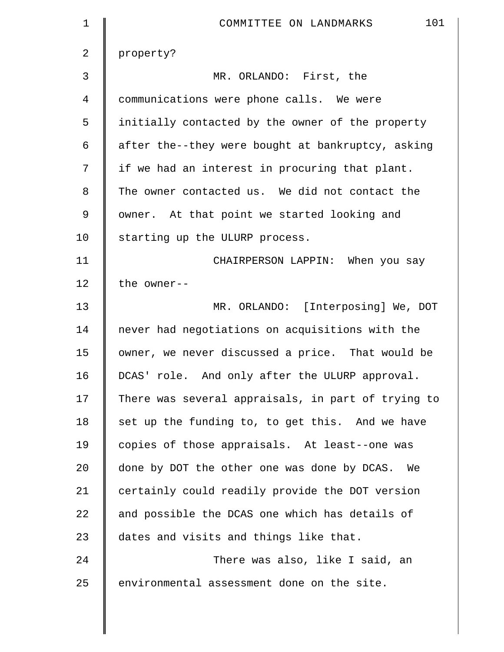| $\mathbf 1$ | 101<br>COMMITTEE ON LANDMARKS                      |
|-------------|----------------------------------------------------|
| 2           | property?                                          |
| 3           | MR. ORLANDO: First, the                            |
| 4           | communications were phone calls. We were           |
| 5           | initially contacted by the owner of the property   |
| 6           | after the--they were bought at bankruptcy, asking  |
| 7           | if we had an interest in procuring that plant.     |
| 8           | The owner contacted us. We did not contact the     |
| 9           | owner. At that point we started looking and        |
| 10          | starting up the ULURP process.                     |
| 11          | CHAIRPERSON LAPPIN: When you say                   |
| 12          | the owner--                                        |
| 13          | MR. ORLANDO: [Interposing] We, DOT                 |
| 14          | never had negotiations on acquisitions with the    |
| 15          | owner, we never discussed a price. That would be   |
| 16          | DCAS' role. And only after the ULURP approval.     |
| 17          | There was several appraisals, in part of trying to |
| 18          | set up the funding to, to get this. And we have    |
| 19          | copies of those appraisals. At least--one was      |
| 20          | done by DOT the other one was done by DCAS. We     |
| 21          | certainly could readily provide the DOT version    |
| 22          | and possible the DCAS one which has details of     |
| 23          | dates and visits and things like that.             |
| 24          | There was also, like I said, an                    |
| 25          | environmental assessment done on the site.         |
|             |                                                    |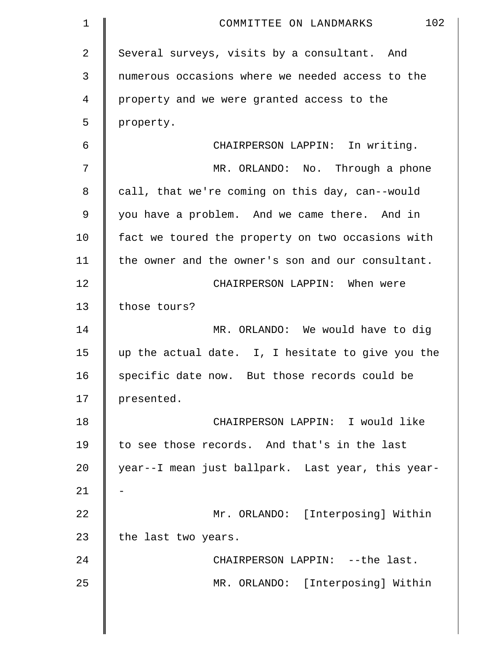| $\mathbf 1$ | 102<br>COMMITTEE ON LANDMARKS                     |
|-------------|---------------------------------------------------|
| 2           | Several surveys, visits by a consultant. And      |
| 3           | numerous occasions where we needed access to the  |
| 4           | property and we were granted access to the        |
| 5           | property.                                         |
| 6           | CHAIRPERSON LAPPIN: In writing.                   |
| 7           | MR. ORLANDO: No. Through a phone                  |
| 8           | call, that we're coming on this day, can--would   |
| $\mathsf 9$ | you have a problem. And we came there. And in     |
| 10          | fact we toured the property on two occasions with |
| 11          | the owner and the owner's son and our consultant. |
| 12          | CHAIRPERSON LAPPIN: When were                     |
| 13          | those tours?                                      |
| 14          | MR. ORLANDO: We would have to dig                 |
| 15          | up the actual date. I, I hesitate to give you the |
| 16          | specific date now. But those records could be     |
| 17          | presented.                                        |
| 18          | CHAIRPERSON LAPPIN: I would like                  |
| 19          | to see those records. And that's in the last      |
| 20          | year--I mean just ballpark. Last year, this year- |
| 21          |                                                   |
| 22          | Mr. ORLANDO: [Interposing] Within                 |
| 23          | the last two years.                               |
| 24          | CHAIRPERSON LAPPIN: --the last.                   |
| 25          | MR. ORLANDO: [Interposing] Within                 |
|             |                                                   |
|             |                                                   |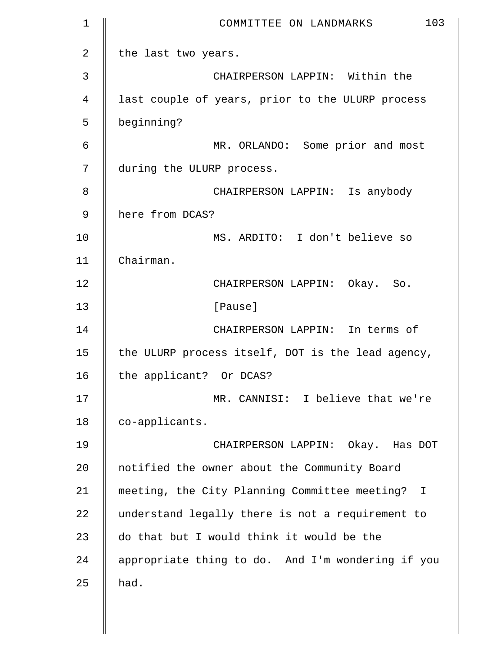| $\mathbf 1$    | 103<br>COMMITTEE ON LANDMARKS                     |
|----------------|---------------------------------------------------|
| $\overline{a}$ | the last two years.                               |
| 3              | CHAIRPERSON LAPPIN: Within the                    |
| 4              | last couple of years, prior to the ULURP process  |
| 5              | beginning?                                        |
| 6              | MR. ORLANDO: Some prior and most                  |
| 7              | during the ULURP process.                         |
| 8              | CHAIRPERSON LAPPIN: Is anybody                    |
| 9              | here from DCAS?                                   |
| 10             | MS. ARDITO: I don't believe so                    |
| 11             | Chairman.                                         |
| 12             | CHAIRPERSON LAPPIN: Okay. So.                     |
| 13             | [Pause]                                           |
| 14             | CHAIRPERSON LAPPIN: In terms of                   |
| 15             | the ULURP process itself, DOT is the lead agency, |
| 16             | the applicant? Or DCAS?                           |
| 17             | MR. CANNISI: I believe that we're                 |
| 18             | co-applicants.                                    |
| 19             | CHAIRPERSON LAPPIN: Okay. Has DOT                 |
| 20             | notified the owner about the Community Board      |
| 21             | meeting, the City Planning Committee meeting? I   |
| 22             | understand legally there is not a requirement to  |
| 23             | do that but I would think it would be the         |
| 24             | appropriate thing to do. And I'm wondering if you |
| 25             | had.                                              |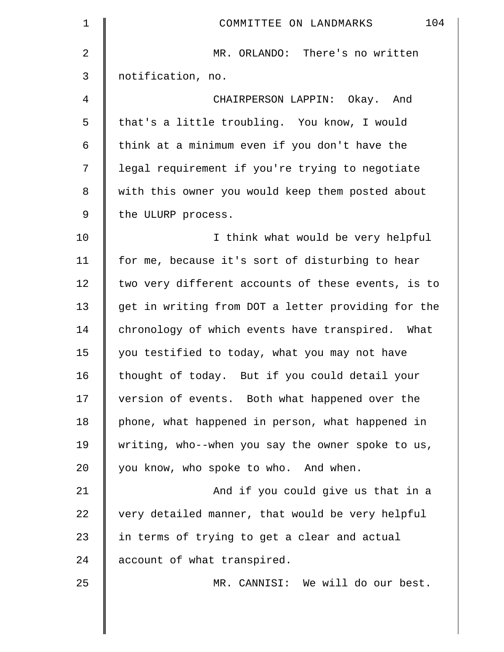| $\mathbf 1$    | 104<br>COMMITTEE ON LANDMARKS                      |
|----------------|----------------------------------------------------|
| $\overline{2}$ | MR. ORLANDO: There's no written                    |
| 3              | notification, no.                                  |
| 4              | CHAIRPERSON LAPPIN: Okay. And                      |
| 5              | that's a little troubling. You know, I would       |
| 6              | think at a minimum even if you don't have the      |
| 7              | legal requirement if you're trying to negotiate    |
| 8              | with this owner you would keep them posted about   |
| 9              | the ULURP process.                                 |
| 10             | I think what would be very helpful                 |
| 11             | for me, because it's sort of disturbing to hear    |
| 12             | two very different accounts of these events, is to |
| 13             | get in writing from DOT a letter providing for the |
| 14             | chronology of which events have transpired. What   |
| 15             | you testified to today, what you may not have      |
| 16             | thought of today. But if you could detail your     |
| 17             | version of events. Both what happened over the     |
| 18             | phone, what happened in person, what happened in   |
| 19             | writing, who--when you say the owner spoke to us,  |
| 20             | you know, who spoke to who. And when.              |
| 21             | And if you could give us that in a                 |
| 22             | very detailed manner, that would be very helpful   |
| 23             | in terms of trying to get a clear and actual       |
| 24             | account of what transpired.                        |
| 25             | MR. CANNISI: We will do our best.                  |
|                |                                                    |

 $\parallel$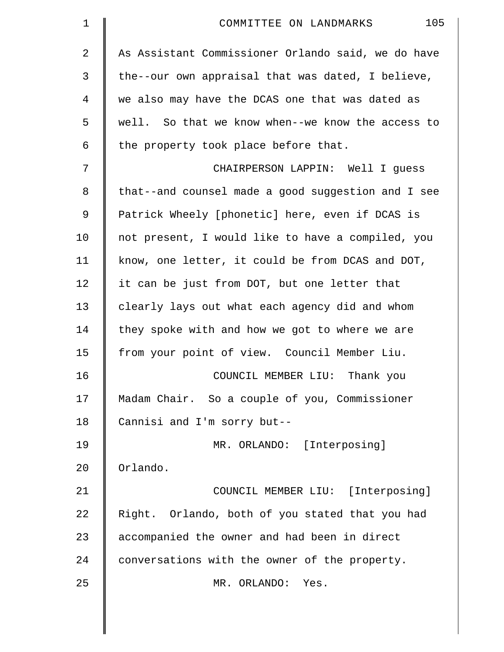| $\mathbf 1$    | 105<br>COMMITTEE ON LANDMARKS                      |
|----------------|----------------------------------------------------|
| $\overline{2}$ | As Assistant Commissioner Orlando said, we do have |
| 3              | the--our own appraisal that was dated, I believe,  |
| 4              | we also may have the DCAS one that was dated as    |
| 5              | well. So that we know when--we know the access to  |
| 6              | the property took place before that.               |
| 7              | CHAIRPERSON LAPPIN: Well I guess                   |
| 8              | that--and counsel made a good suggestion and I see |
| 9              | Patrick Wheely [phonetic] here, even if DCAS is    |
| 10             | not present, I would like to have a compiled, you  |
| 11             | know, one letter, it could be from DCAS and DOT,   |
| 12             | it can be just from DOT, but one letter that       |
| 13             | clearly lays out what each agency did and whom     |
| 14             | they spoke with and how we got to where we are     |
| 15             | from your point of view. Council Member Liu.       |
| 16             | COUNCIL MEMBER LIU: Thank you                      |
| 17             | Madam Chair. So a couple of you, Commissioner      |
| 18             | Cannisi and I'm sorry but--                        |
| 19             | MR. ORLANDO: [Interposing]                         |
| 20             | Orlando.                                           |
| 21             | COUNCIL MEMBER LIU: [Interposing]                  |
| 22             | Right. Orlando, both of you stated that you had    |
| 23             | accompanied the owner and had been in direct       |
| 24             | conversations with the owner of the property.      |
| 25             | MR. ORLANDO:<br>Yes.                               |
|                |                                                    |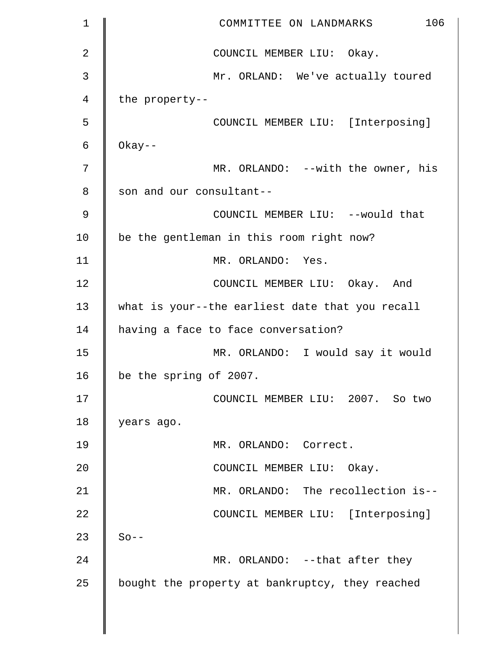| $\mathbf 1$ | 106<br>COMMITTEE ON LANDMARKS                   |
|-------------|-------------------------------------------------|
| 2           | COUNCIL MEMBER LIU: Okay.                       |
| 3           | Mr. ORLAND: We've actually toured               |
| 4           | the property--                                  |
| 5           | COUNCIL MEMBER LIU: [Interposing]               |
| 6           | $0$ kay--                                       |
| 7           | MR. ORLANDO: --with the owner, his              |
| 8           | son and our consultant--                        |
| 9           | COUNCIL MEMBER LIU: --would that                |
| 10          | be the gentleman in this room right now?        |
| 11          | MR. ORLANDO: Yes.                               |
| 12          | COUNCIL MEMBER LIU: Okay. And                   |
| 13          | what is your--the earliest date that you recall |
| 14          | having a face to face conversation?             |
| 15          | MR. ORLANDO: I would say it would               |
| 16          | be the spring of 2007.                          |
| 17          | COUNCIL MEMBER LIU: 2007. So two                |
| 18          | years ago.                                      |
| 19          | MR. ORLANDO: Correct.                           |
| 20          | COUNCIL MEMBER LIU: Okay.                       |
| 21          | MR. ORLANDO: The recollection is--              |
| 22          | COUNCIL MEMBER LIU: [Interposing]               |
| 23          | $So --$                                         |
| 24          | MR. ORLANDO: --that after they                  |
| 25          | bought the property at bankruptcy, they reached |
|             |                                                 |
|             |                                                 |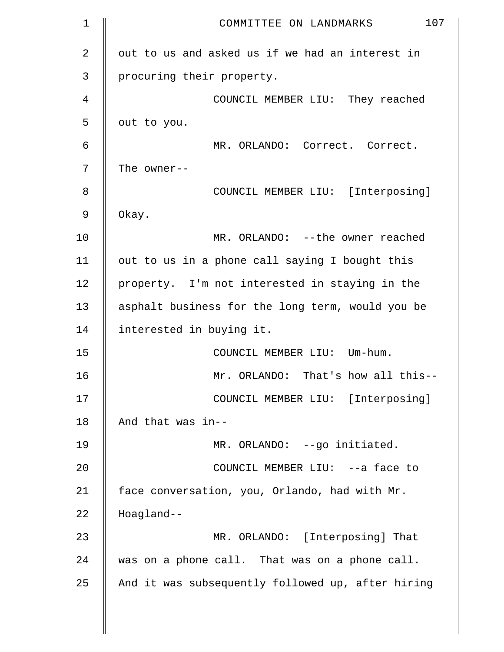| $\mathbf 1$ | 107<br>COMMITTEE ON LANDMARKS                     |
|-------------|---------------------------------------------------|
| 2           | out to us and asked us if we had an interest in   |
| 3           | procuring their property.                         |
| 4           | COUNCIL MEMBER LIU: They reached                  |
| 5           | out to you.                                       |
| 6           | MR. ORLANDO: Correct. Correct.                    |
| 7           | The owner--                                       |
| 8           | COUNCIL MEMBER LIU: [Interposing]                 |
| 9           | Okay.                                             |
| 10          | MR. ORLANDO: --the owner reached                  |
| 11          | out to us in a phone call saying I bought this    |
| 12          | property. I'm not interested in staying in the    |
| 13          | asphalt business for the long term, would you be  |
| 14          | interested in buying it.                          |
| 15          | COUNCIL MEMBER LIU: Um-hum.                       |
| 16          | Mr. ORLANDO: That's how all this--                |
| 17          | COUNCIL MEMBER LIU: [Interposing]                 |
| 18          | And that was in--                                 |
| 19          | MR. ORLANDO: --go initiated.                      |
| 20          | COUNCIL MEMBER LIU: -- a face to                  |
| 21          | face conversation, you, Orlando, had with Mr.     |
| 22          | Hoagland--                                        |
| 23          | MR. ORLANDO: [Interposing] That                   |
| 24          | was on a phone call. That was on a phone call.    |
| 25          | And it was subsequently followed up, after hiring |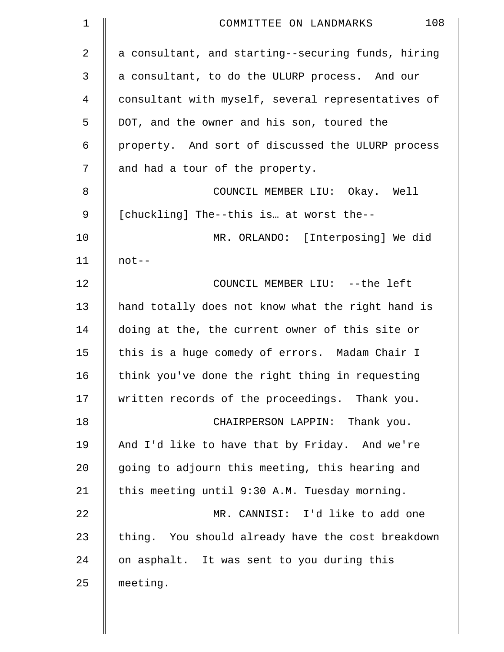| $\mathbf 1$    | 108<br>COMMITTEE ON LANDMARKS                      |
|----------------|----------------------------------------------------|
| $\overline{a}$ | a consultant, and starting--securing funds, hiring |
| 3              | a consultant, to do the ULURP process. And our     |
| 4              | consultant with myself, several representatives of |
| 5              | DOT, and the owner and his son, toured the         |
| 6              | property. And sort of discussed the ULURP process  |
| 7              | and had a tour of the property.                    |
| 8              | COUNCIL MEMBER LIU: Okay. Well                     |
| 9              | [chuckling] The--this is at worst the--            |
| 10             | MR. ORLANDO: [Interposing] We did                  |
| 11             | $not--$                                            |
| 12             | COUNCIL MEMBER LIU: --the left                     |
| 13             | hand totally does not know what the right hand is  |
| 14             | doing at the, the current owner of this site or    |
| 15             | this is a huge comedy of errors. Madam Chair I     |
| 16             | think you've done the right thing in requesting    |
| 17             | written records of the proceedings. Thank you.     |
| 18             | CHAIRPERSON LAPPIN: Thank you.                     |
| 19             | And I'd like to have that by Friday. And we're     |
| 20             | going to adjourn this meeting, this hearing and    |
| 21             | this meeting until 9:30 A.M. Tuesday morning.      |
| 22             | MR. CANNISI: I'd like to add one                   |
| 23             | thing. You should already have the cost breakdown  |
| 24             | on asphalt. It was sent to you during this         |
| 25             | meeting.                                           |
|                |                                                    |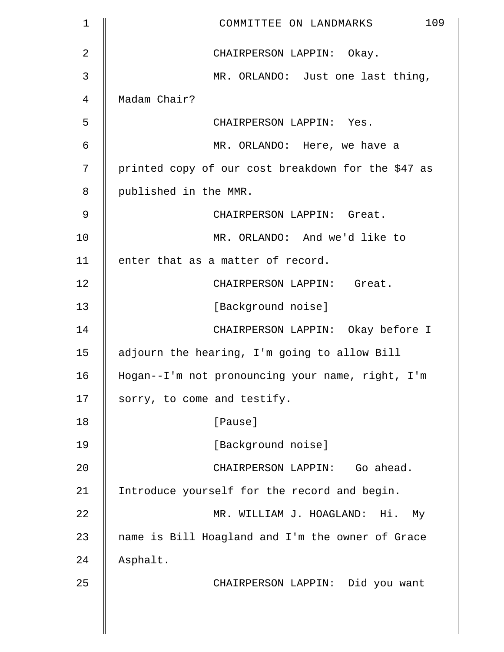| $\mathbf 1$    | 109<br>COMMITTEE ON LANDMARKS                      |
|----------------|----------------------------------------------------|
| 2              | CHAIRPERSON LAPPIN: Okay.                          |
| 3              | MR. ORLANDO: Just one last thing,                  |
| $\overline{4}$ | Madam Chair?                                       |
| 5              | CHAIRPERSON LAPPIN: Yes.                           |
| 6              | MR. ORLANDO: Here, we have a                       |
| 7              | printed copy of our cost breakdown for the \$47 as |
| 8              | published in the MMR.                              |
| 9              | CHAIRPERSON LAPPIN: Great.                         |
| 10             | MR. ORLANDO: And we'd like to                      |
| 11             | enter that as a matter of record.                  |
| 12             | CHAIRPERSON LAPPIN: Great.                         |
| 13             | [Background noise]                                 |
| 14             | CHAIRPERSON LAPPIN: Okay before I                  |
| 15             | adjourn the hearing, I'm going to allow Bill       |
| 16             | Hogan--I'm not pronouncing your name, right, I'm   |
| 17             | sorry, to come and testify.                        |
| 18             | [Pause]                                            |
| 19             | [Background noise]                                 |
| 20             | CHAIRPERSON LAPPIN: Go ahead.                      |
| 21             | Introduce yourself for the record and begin.       |
| 22             | MR. WILLIAM J. HOAGLAND: Hi. My                    |
| 23             | name is Bill Hoagland and I'm the owner of Grace   |
| 24             | Asphalt.                                           |
| 25             | CHAIRPERSON LAPPIN: Did you want                   |
|                |                                                    |
|                |                                                    |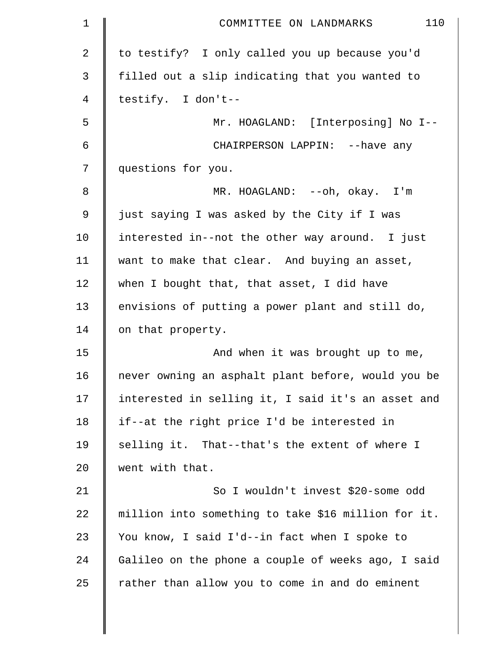| 1              | 110<br>COMMITTEE ON LANDMARKS                       |
|----------------|-----------------------------------------------------|
| $\overline{a}$ | to testify? I only called you up because you'd      |
| 3              | filled out a slip indicating that you wanted to     |
| 4              | testify. I don't--                                  |
| 5              | Mr. HOAGLAND: [Interposing] No I--                  |
| 6              | CHAIRPERSON LAPPIN: -- have any                     |
| 7              | questions for you.                                  |
| 8              | MR. HOAGLAND: --oh, okay. I'm                       |
| 9              | just saying I was asked by the City if I was        |
| 10             | interested in--not the other way around. I just     |
| 11             | want to make that clear. And buying an asset,       |
| 12             | when I bought that, that asset, I did have          |
| 13             | envisions of putting a power plant and still do,    |
| 14             | on that property.                                   |
| 15             | And when it was brought up to me,                   |
| 16             | never owning an asphalt plant before, would you be  |
| 17             | interested in selling it, I said it's an asset and  |
| 18             | if--at the right price I'd be interested in         |
| 19             | selling it. That--that's the extent of where I      |
| 20             | went with that.                                     |
| 21             | So I wouldn't invest \$20-some odd                  |
| 22             | million into something to take \$16 million for it. |
| 23             | You know, I said I'd--in fact when I spoke to       |
| 24             | Galileo on the phone a couple of weeks ago, I said  |
| 25             | rather than allow you to come in and do eminent     |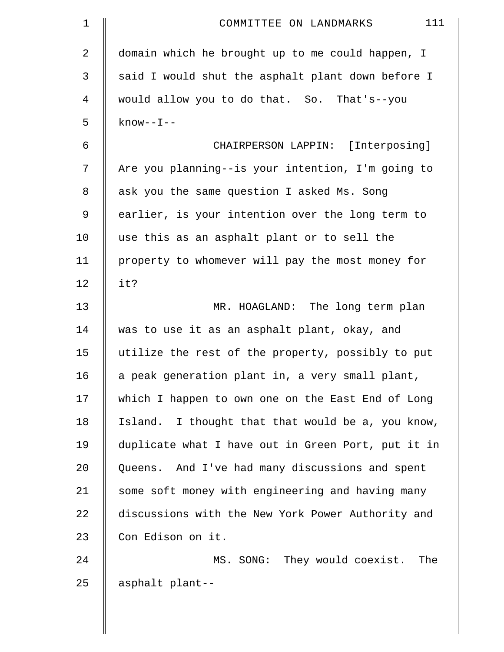| $\mathbf 1$ | 111<br>COMMITTEE ON LANDMARKS                      |
|-------------|----------------------------------------------------|
| 2           | domain which he brought up to me could happen, I   |
| 3           | said I would shut the asphalt plant down before I  |
| 4           | would allow you to do that. So. That's--you        |
| 5           | $know--I--$                                        |
| 6           | CHAIRPERSON LAPPIN: [Interposing]                  |
| 7           | Are you planning--is your intention, I'm going to  |
| 8           | ask you the same question I asked Ms. Song         |
| 9           | earlier, is your intention over the long term to   |
| 10          | use this as an asphalt plant or to sell the        |
| 11          | property to whomever will pay the most money for   |
| 12          | it?                                                |
| 13          | MR. HOAGLAND: The long term plan                   |
| 14          | was to use it as an asphalt plant, okay, and       |
| 15          | utilize the rest of the property, possibly to put  |
| 16          | a peak generation plant in, a very small plant,    |
| 17          | which I happen to own one on the East End of Long  |
| 18          | Island. I thought that that would be a, you know,  |
| 19          | duplicate what I have out in Green Port, put it in |
| 20          | Queens. And I've had many discussions and spent    |
| 21          | some soft money with engineering and having many   |
| 22          | discussions with the New York Power Authority and  |
| 23          | Con Edison on it.                                  |
| 24          | They would coexist.<br>MS. SONG:<br>The            |
| 25          | asphalt plant--                                    |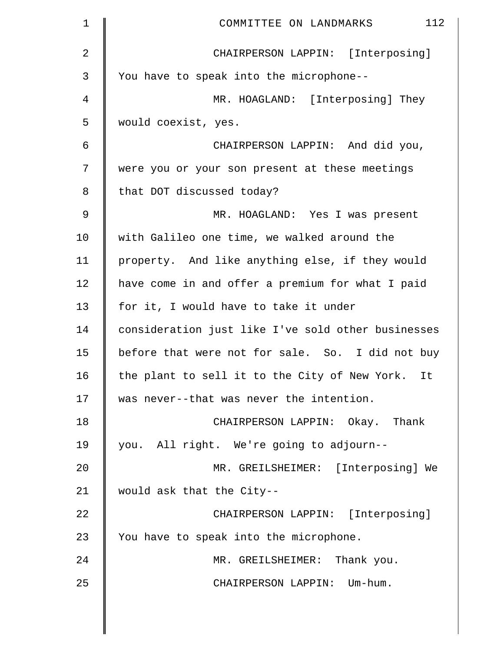| $\mathbf 1$ | 112<br>COMMITTEE ON LANDMARKS                      |
|-------------|----------------------------------------------------|
| 2           | CHAIRPERSON LAPPIN: [Interposing]                  |
| 3           | You have to speak into the microphone--            |
| 4           | MR. HOAGLAND: [Interposing] They                   |
| 5           | would coexist, yes.                                |
| 6           | CHAIRPERSON LAPPIN: And did you,                   |
| 7           | were you or your son present at these meetings     |
| 8           | that DOT discussed today?                          |
| 9           | MR. HOAGLAND: Yes I was present                    |
| 10          | with Galileo one time, we walked around the        |
| 11          | property. And like anything else, if they would    |
| 12          | have come in and offer a premium for what I paid   |
| 13          | for it, I would have to take it under              |
| 14          | consideration just like I've sold other businesses |
| 15          | before that were not for sale. So. I did not buy   |
| 16          | the plant to sell it to the City of New York. It   |
| 17          | was never--that was never the intention.           |
| 18          | CHAIRPERSON LAPPIN: Okay. Thank                    |
| 19          | you. All right. We're going to adjourn--           |
| 20          | MR. GREILSHEIMER: [Interposing] We                 |
| 21          | would ask that the City--                          |
| 22          | CHAIRPERSON LAPPIN: [Interposing]                  |
| 23          | You have to speak into the microphone.             |
| 24          | MR. GREILSHEIMER: Thank you.                       |
| 25          | CHAIRPERSON LAPPIN: Um-hum.                        |
|             |                                                    |

 $\parallel$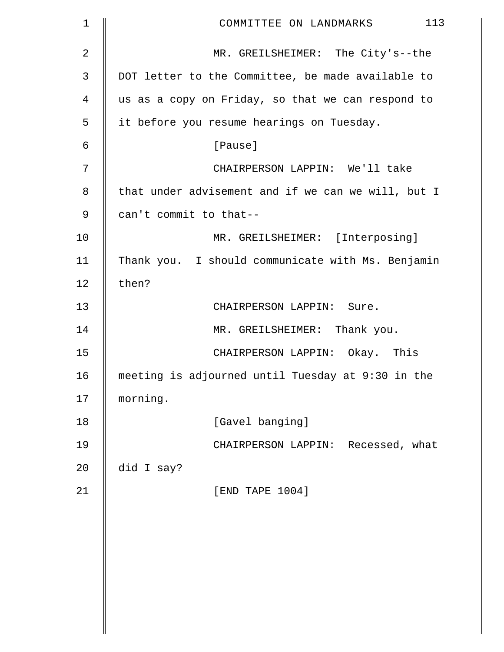| $\mathbf 1$    | 113<br>COMMITTEE ON LANDMARKS                      |
|----------------|----------------------------------------------------|
| 2              | MR. GREILSHEIMER: The City's--the                  |
| 3              | DOT letter to the Committee, be made available to  |
| $\overline{4}$ | us as a copy on Friday, so that we can respond to  |
| 5              | it before you resume hearings on Tuesday.          |
| 6              | [Pause]                                            |
| 7              | CHAIRPERSON LAPPIN: We'll take                     |
| 8              | that under advisement and if we can we will, but I |
| 9              | can't commit to that--                             |
| 10             | MR. GREILSHEIMER: [Interposing]                    |
| 11             | Thank you. I should communicate with Ms. Benjamin  |
| 12             | then?                                              |
| 13             | CHAIRPERSON LAPPIN: Sure.                          |
| 14             | MR. GREILSHEIMER: Thank you.                       |
| 15             | CHAIRPERSON LAPPIN: Okay. This                     |
| 16             | meeting is adjourned until Tuesday at 9:30 in the  |
| 17             | morning.                                           |
| 18             | [Gavel banging]                                    |
| 19             | CHAIRPERSON LAPPIN: Recessed, what                 |
| 20             | did I say?                                         |
| 21             | [END TAPE 1004]                                    |
|                |                                                    |
|                |                                                    |
|                |                                                    |
|                |                                                    |
|                |                                                    |
|                |                                                    |